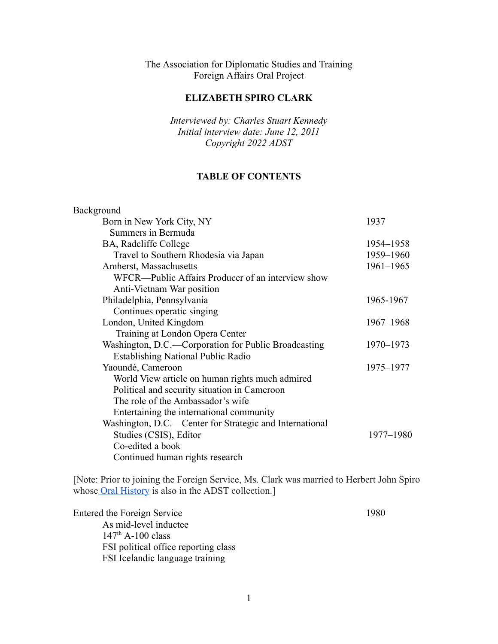## The Association for Diplomatic Studies and Training Foreign Affairs Oral Project

#### **ELIZABETH SPIRO CLARK**

*Interviewed by: Charles Stuart Kennedy Initial interview date: June 12, 2011 Copyright 2022 ADST*

#### **TABLE OF CONTENTS**

| 1937          |
|---------------|
|               |
| 1954-1958     |
| 1959-1960     |
| $1961 - 1965$ |
|               |
|               |
| 1965-1967     |
|               |
| 1967-1968     |
|               |
| 1970-1973     |
|               |
| 1975-1977     |
|               |
|               |
|               |
|               |
|               |
| 1977-1980     |
|               |
|               |
|               |

[Note: Prior to joining the Foreign Service, Ms. Clark was married to Herbert John Spiro whose [Oral History](https://www.adst.org/OH%20TOCs/Spiro,%20Herbert%20John.toc.pdf?_ga=2.225127955.842388077.1629317879-275684741.1585683075) is also in the ADST collection.]

Entered the Foreign Service 1980 As mid-level inductee  $147<sup>th</sup>$  A-100 class FSI political office reporting class FSI Icelandic language training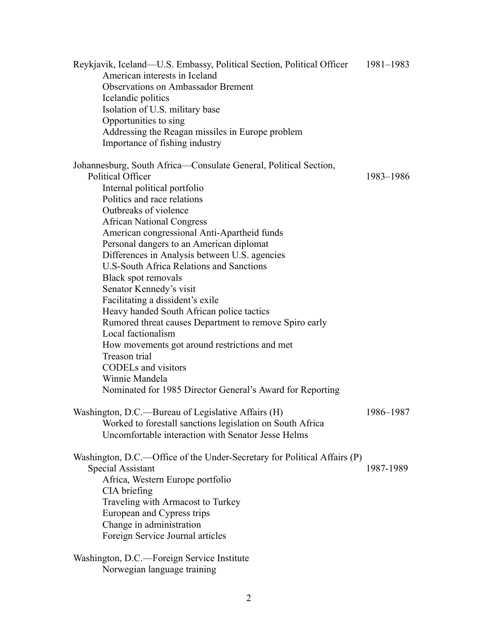| Reykjavik, Iceland—U.S. Embassy, Political Section, Political Officer<br>American interests in Iceland<br><b>Observations on Ambassador Brement</b><br>Icelandic politics<br>Isolation of U.S. military base<br>Opportunities to sing<br>Addressing the Reagan missiles in Europe problem<br>Importance of fishing industry                                                                                                                                                                                                                                                                                                                                                                                                                                                                                        | 1981-1983 |
|--------------------------------------------------------------------------------------------------------------------------------------------------------------------------------------------------------------------------------------------------------------------------------------------------------------------------------------------------------------------------------------------------------------------------------------------------------------------------------------------------------------------------------------------------------------------------------------------------------------------------------------------------------------------------------------------------------------------------------------------------------------------------------------------------------------------|-----------|
| Johannesburg, South Africa—Consulate General, Political Section,<br>Political Officer<br>Internal political portfolio<br>Politics and race relations<br>Outbreaks of violence<br><b>African National Congress</b><br>American congressional Anti-Apartheid funds<br>Personal dangers to an American diplomat<br>Differences in Analysis between U.S. agencies<br><b>U.S-South Africa Relations and Sanctions</b><br>Black spot removals<br>Senator Kennedy's visit<br>Facilitating a dissident's exile<br>Heavy handed South African police tactics<br>Rumored threat causes Department to remove Spiro early<br>Local factionalism<br>How movements got around restrictions and met<br>Treason trial<br><b>CODELs</b> and visitors<br>Winnie Mandela<br>Nominated for 1985 Director General's Award for Reporting | 1983-1986 |
| Washington, D.C.—Bureau of Legislative Affairs (H)<br>Worked to forestall sanctions legislation on South Africa<br>Uncomfortable interaction with Senator Jesse Helms                                                                                                                                                                                                                                                                                                                                                                                                                                                                                                                                                                                                                                              | 1986-1987 |
| Washington, D.C.—Office of the Under-Secretary for Political Affairs (P)<br>Special Assistant<br>Africa, Western Europe portfolio<br>CIA briefing<br>Traveling with Armacost to Turkey<br>European and Cypress trips<br>Change in administration<br>Foreign Service Journal articles                                                                                                                                                                                                                                                                                                                                                                                                                                                                                                                               | 1987-1989 |
| Washington, D.C.—Foreign Service Institute                                                                                                                                                                                                                                                                                                                                                                                                                                                                                                                                                                                                                                                                                                                                                                         |           |

Norwegian language training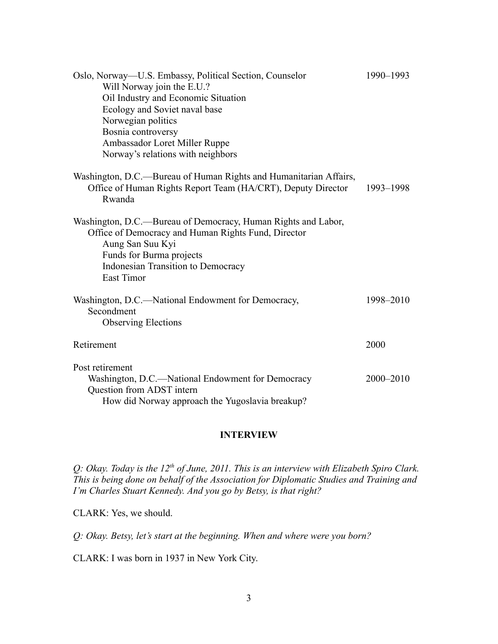| Oslo, Norway-U.S. Embassy, Political Section, Counselor                                                                                                                                                                         | 1990-1993 |
|---------------------------------------------------------------------------------------------------------------------------------------------------------------------------------------------------------------------------------|-----------|
| Will Norway join the E.U.?                                                                                                                                                                                                      |           |
| Oil Industry and Economic Situation                                                                                                                                                                                             |           |
| Ecology and Soviet naval base                                                                                                                                                                                                   |           |
| Norwegian politics                                                                                                                                                                                                              |           |
| Bosnia controversy                                                                                                                                                                                                              |           |
| Ambassador Loret Miller Ruppe                                                                                                                                                                                                   |           |
| Norway's relations with neighbors                                                                                                                                                                                               |           |
| Washington, D.C.—Bureau of Human Rights and Humanitarian Affairs,<br>Office of Human Rights Report Team (HA/CRT), Deputy Director<br>Rwanda                                                                                     | 1993-1998 |
| Washington, D.C.—Bureau of Democracy, Human Rights and Labor,<br>Office of Democracy and Human Rights Fund, Director<br>Aung San Suu Kyi<br>Funds for Burma projects<br>Indonesian Transition to Democracy<br><b>East Timor</b> |           |
| Washington, D.C.—National Endowment for Democracy,<br>Secondment<br><b>Observing Elections</b>                                                                                                                                  | 1998-2010 |
| Retirement                                                                                                                                                                                                                      | 2000      |
| Post retirement                                                                                                                                                                                                                 |           |
| Washington, D.C.—National Endowment for Democracy<br>Question from ADST intern                                                                                                                                                  | 2000-2010 |
| How did Norway approach the Yugoslavia breakup?                                                                                                                                                                                 |           |

#### **INTERVIEW**

*Q: Okay. Today is the 12th of June, 2011. This is an interview with Elizabeth Spiro Clark. This is being done on behalf of the Association for Diplomatic Studies and Training and I'm Charles Stuart Kennedy. And you go by Betsy, is that right?*

CLARK: Yes, we should.

*Q: Okay. Betsy, let's start at the beginning. When and where were you born?*

CLARK: I was born in 1937 in New York City.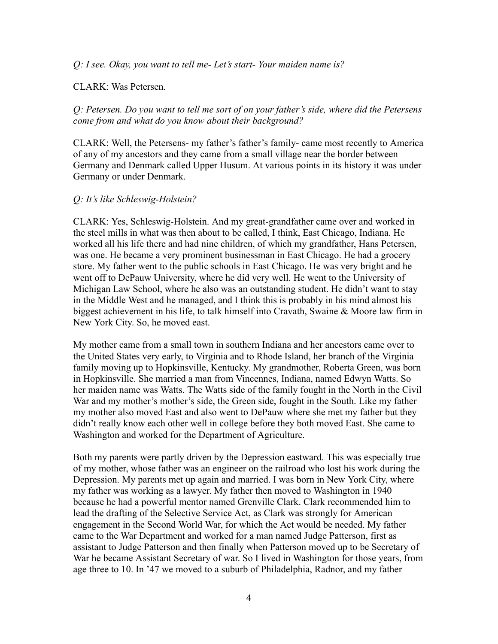*Q: I see. Okay, you want to tell me- Let's start- Your maiden name is?*

#### CLARK: Was Petersen.

*Q: Petersen. Do you want to tell me sort of on your father's side, where did the Petersens come from and what do you know about their background?*

CLARK: Well, the Petersens- my father's father's family- came most recently to America of any of my ancestors and they came from a small village near the border between Germany and Denmark called Upper Husum. At various points in its history it was under Germany or under Denmark.

#### *Q: It's like Schleswig-Holstein?*

CLARK: Yes, Schleswig-Holstein. And my great-grandfather came over and worked in the steel mills in what was then about to be called, I think, East Chicago, Indiana. He worked all his life there and had nine children, of which my grandfather, Hans Petersen, was one. He became a very prominent businessman in East Chicago. He had a grocery store. My father went to the public schools in East Chicago. He was very bright and he went off to DePauw University, where he did very well. He went to the University of Michigan Law School, where he also was an outstanding student. He didn't want to stay in the Middle West and he managed, and I think this is probably in his mind almost his biggest achievement in his life, to talk himself into Cravath, Swaine & Moore law firm in New York City. So, he moved east.

My mother came from a small town in southern Indiana and her ancestors came over to the United States very early, to Virginia and to Rhode Island, her branch of the Virginia family moving up to Hopkinsville, Kentucky. My grandmother, Roberta Green, was born in Hopkinsville. She married a man from Vincennes, Indiana, named Edwyn Watts. So her maiden name was Watts. The Watts side of the family fought in the North in the Civil War and my mother's mother's side, the Green side, fought in the South. Like my father my mother also moved East and also went to DePauw where she met my father but they didn't really know each other well in college before they both moved East. She came to Washington and worked for the Department of Agriculture.

Both my parents were partly driven by the Depression eastward. This was especially true of my mother, whose father was an engineer on the railroad who lost his work during the Depression. My parents met up again and married. I was born in New York City, where my father was working as a lawyer. My father then moved to Washington in 1940 because he had a powerful mentor named Grenville Clark. Clark recommended him to lead the drafting of the Selective Service Act, as Clark was strongly for American engagement in the Second World War, for which the Act would be needed. My father came to the War Department and worked for a man named Judge Patterson, first as assistant to Judge Patterson and then finally when Patterson moved up to be Secretary of War he became Assistant Secretary of war. So I lived in Washington for those years, from age three to 10. In '47 we moved to a suburb of Philadelphia, Radnor, and my father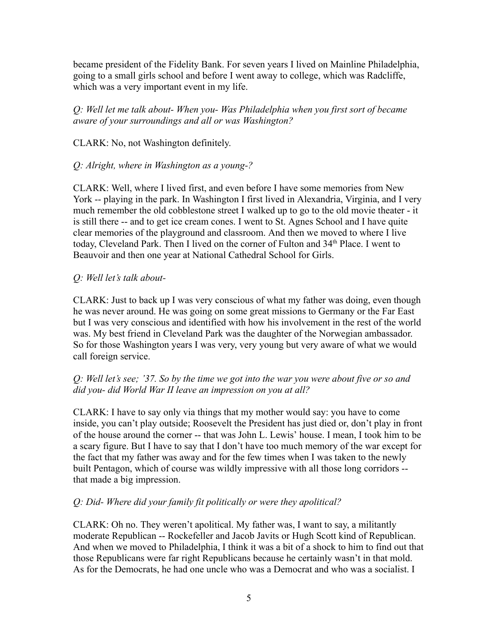became president of the Fidelity Bank. For seven years I lived on Mainline Philadelphia, going to a small girls school and before I went away to college, which was Radcliffe, which was a very important event in my life.

*Q: Well let me talk about- When you- Was Philadelphia when you first sort of became aware of your surroundings and all or was Washington?*

CLARK: No, not Washington definitely.

## *Q: Alright, where in Washington as a young-?*

CLARK: Well, where I lived first, and even before I have some memories from New York -- playing in the park. In Washington I first lived in Alexandria, Virginia, and I very much remember the old cobblestone street I walked up to go to the old movie theater - it is still there -- and to get ice cream cones. I went to St. Agnes School and I have quite clear memories of the playground and classroom. And then we moved to where I live today, Cleveland Park. Then I lived on the corner of Fulton and 34<sup>th</sup> Place. I went to Beauvoir and then one year at National Cathedral School for Girls.

# *Q: Well let's talk about-*

CLARK: Just to back up I was very conscious of what my father was doing, even though he was never around. He was going on some great missions to Germany or the Far East but I was very conscious and identified with how his involvement in the rest of the world was. My best friend in Cleveland Park was the daughter of the Norwegian ambassador. So for those Washington years I was very, very young but very aware of what we would call foreign service.

## *Q: Well let's see; '37. So by the time we got into the war you were about five or so and did you- did World War II leave an impression on you at all?*

CLARK: I have to say only via things that my mother would say: you have to come inside, you can't play outside; Roosevelt the President has just died or, don't play in front of the house around the corner -- that was John L. Lewis' house. I mean, I took him to be a scary figure. But I have to say that I don't have too much memory of the war except for the fact that my father was away and for the few times when I was taken to the newly built Pentagon, which of course was wildly impressive with all those long corridors - that made a big impression.

## *Q: Did- Where did your family fit politically or were they apolitical?*

CLARK: Oh no. They weren't apolitical. My father was, I want to say, a militantly moderate Republican -- Rockefeller and Jacob Javits or Hugh Scott kind of Republican. And when we moved to Philadelphia, I think it was a bit of a shock to him to find out that those Republicans were far right Republicans because he certainly wasn't in that mold. As for the Democrats, he had one uncle who was a Democrat and who was a socialist. I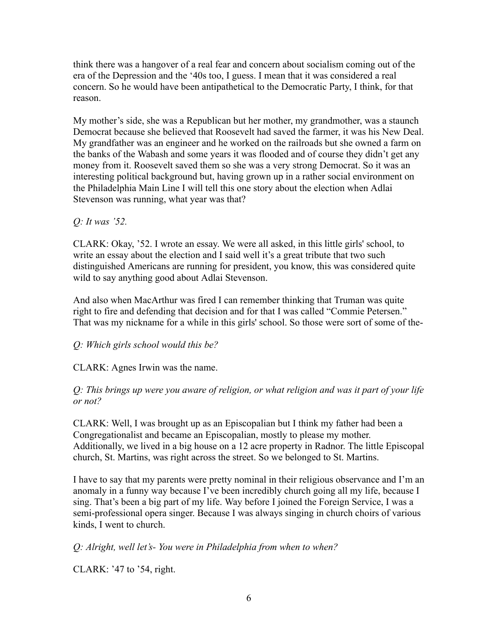think there was a hangover of a real fear and concern about socialism coming out of the era of the Depression and the '40s too, I guess. I mean that it was considered a real concern. So he would have been antipathetical to the Democratic Party, I think, for that reason.

My mother's side, she was a Republican but her mother, my grandmother, was a staunch Democrat because she believed that Roosevelt had saved the farmer, it was his New Deal. My grandfather was an engineer and he worked on the railroads but she owned a farm on the banks of the Wabash and some years it was flooded and of course they didn't get any money from it. Roosevelt saved them so she was a very strong Democrat. So it was an interesting political background but, having grown up in a rather social environment on the Philadelphia Main Line I will tell this one story about the election when Adlai Stevenson was running, what year was that?

## *Q: It was '52.*

CLARK: Okay, '52. I wrote an essay. We were all asked, in this little girls' school, to write an essay about the election and I said well it's a great tribute that two such distinguished Americans are running for president, you know, this was considered quite wild to say anything good about Adlai Stevenson.

And also when MacArthur was fired I can remember thinking that Truman was quite right to fire and defending that decision and for that I was called "Commie Petersen." That was my nickname for a while in this girls' school. So those were sort of some of the-

## *Q: Which girls school would this be?*

CLARK: Agnes Irwin was the name.

*Q: This brings up were you aware of religion, or what religion and was it part of your life or not?*

CLARK: Well, I was brought up as an Episcopalian but I think my father had been a Congregationalist and became an Episcopalian, mostly to please my mother. Additionally, we lived in a big house on a 12 acre property in Radnor. The little Episcopal church, St. Martins, was right across the street. So we belonged to St. Martins.

I have to say that my parents were pretty nominal in their religious observance and I'm an anomaly in a funny way because I've been incredibly church going all my life, because I sing. That's been a big part of my life. Way before I joined the Foreign Service, I was a semi-professional opera singer. Because I was always singing in church choirs of various kinds, I went to church.

*Q: Alright, well let's- You were in Philadelphia from when to when?*

CLARK: '47 to '54, right.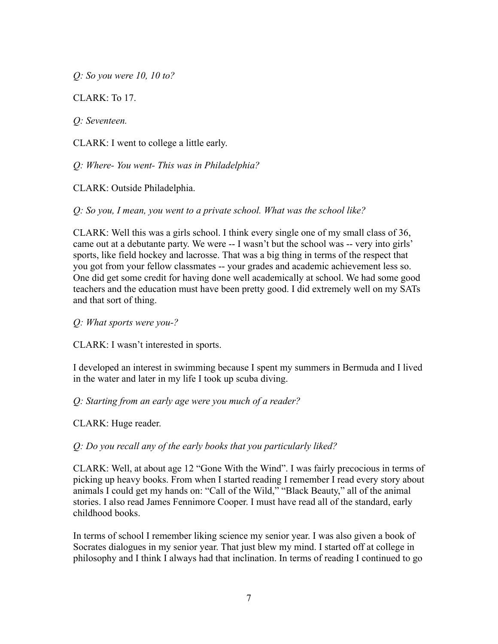*Q: So you were 10, 10 to?*

CLARK: To 17.

*Q: Seventeen.*

CLARK: I went to college a little early.

*Q: Where- You went- This was in Philadelphia?*

CLARK: Outside Philadelphia.

*Q: So you, I mean, you went to a private school. What was the school like?*

CLARK: Well this was a girls school. I think every single one of my small class of 36, came out at a debutante party. We were -- I wasn't but the school was -- very into girls' sports, like field hockey and lacrosse. That was a big thing in terms of the respect that you got from your fellow classmates -- your grades and academic achievement less so. One did get some credit for having done well academically at school. We had some good teachers and the education must have been pretty good. I did extremely well on my SATs and that sort of thing.

*Q: What sports were you-?*

CLARK: I wasn't interested in sports.

I developed an interest in swimming because I spent my summers in Bermuda and I lived in the water and later in my life I took up scuba diving.

*Q: Starting from an early age were you much of a reader?*

CLARK: Huge reader.

*Q: Do you recall any of the early books that you particularly liked?*

CLARK: Well, at about age 12 "Gone With the Wind". I was fairly precocious in terms of picking up heavy books. From when I started reading I remember I read every story about animals I could get my hands on: "Call of the Wild," "Black Beauty," all of the animal stories. I also read James Fennimore Cooper. I must have read all of the standard, early childhood books.

In terms of school I remember liking science my senior year. I was also given a book of Socrates dialogues in my senior year. That just blew my mind. I started off at college in philosophy and I think I always had that inclination. In terms of reading I continued to go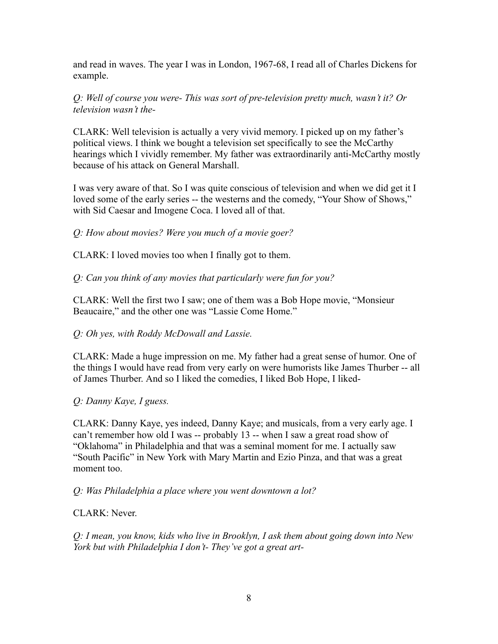and read in waves. The year I was in London, 1967-68, I read all of Charles Dickens for example.

*Q: Well of course you were- This was sort of pre-television pretty much, wasn't it? Or television wasn't the-*

CLARK: Well television is actually a very vivid memory. I picked up on my father's political views. I think we bought a television set specifically to see the McCarthy hearings which I vividly remember. My father was extraordinarily anti-McCarthy mostly because of his attack on General Marshall.

I was very aware of that. So I was quite conscious of television and when we did get it I loved some of the early series -- the westerns and the comedy, "Your Show of Shows," with Sid Caesar and Imogene Coca. I loved all of that.

*Q: How about movies? Were you much of a movie goer?*

CLARK: I loved movies too when I finally got to them.

*Q: Can you think of any movies that particularly were fun for you?*

CLARK: Well the first two I saw; one of them was a Bob Hope movie, "Monsieur Beaucaire," and the other one was "Lassie Come Home."

## *Q: Oh yes, with Roddy McDowall and Lassie.*

CLARK: Made a huge impression on me. My father had a great sense of humor. One of the things I would have read from very early on were humorists like James Thurber -- all of James Thurber. And so I liked the comedies, I liked Bob Hope, I liked-

*Q: Danny Kaye, I guess.*

CLARK: Danny Kaye, yes indeed, Danny Kaye; and musicals, from a very early age. I can't remember how old I was -- probably 13 -- when I saw a great road show of "Oklahoma" in Philadelphia and that was a seminal moment for me. I actually saw "South Pacific" in New York with Mary Martin and Ezio Pinza, and that was a great moment too.

*Q: Was Philadelphia a place where you went downtown a lot?*

CLARK: Never.

*Q: I mean, you know, kids who live in Brooklyn, I ask them about going down into New York but with Philadelphia I don't- They've got a great art-*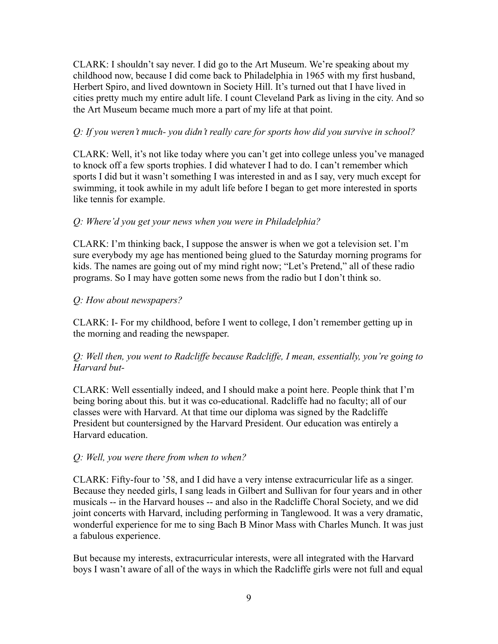CLARK: I shouldn't say never. I did go to the Art Museum. We're speaking about my childhood now, because I did come back to Philadelphia in 1965 with my first husband, Herbert Spiro, and lived downtown in Society Hill. It's turned out that I have lived in cities pretty much my entire adult life. I count Cleveland Park as living in the city. And so the Art Museum became much more a part of my life at that point.

## *Q: If you weren't much- you didn't really care for sports how did you survive in school?*

CLARK: Well, it's not like today where you can't get into college unless you've managed to knock off a few sports trophies. I did whatever I had to do. I can't remember which sports I did but it wasn't something I was interested in and as I say, very much except for swimming, it took awhile in my adult life before I began to get more interested in sports like tennis for example.

## *Q: Where'd you get your news when you were in Philadelphia?*

CLARK: I'm thinking back, I suppose the answer is when we got a television set. I'm sure everybody my age has mentioned being glued to the Saturday morning programs for kids. The names are going out of my mind right now; "Let's Pretend," all of these radio programs. So I may have gotten some news from the radio but I don't think so.

## *Q: How about newspapers?*

CLARK: I- For my childhood, before I went to college, I don't remember getting up in the morning and reading the newspaper.

## *Q: Well then, you went to Radcliffe because Radcliffe, I mean, essentially, you're going to Harvard but-*

CLARK: Well essentially indeed, and I should make a point here. People think that I'm being boring about this. but it was co-educational. Radcliffe had no faculty; all of our classes were with Harvard. At that time our diploma was signed by the Radcliffe President but countersigned by the Harvard President. Our education was entirely a Harvard education.

## *Q: Well, you were there from when to when?*

CLARK: Fifty-four to '58, and I did have a very intense extracurricular life as a singer. Because they needed girls, I sang leads in Gilbert and Sullivan for four years and in other musicals -- in the Harvard houses -- and also in the Radcliffe Choral Society, and we did joint concerts with Harvard, including performing in Tanglewood. It was a very dramatic, wonderful experience for me to sing Bach B Minor Mass with Charles Munch. It was just a fabulous experience.

But because my interests, extracurricular interests, were all integrated with the Harvard boys I wasn't aware of all of the ways in which the Radcliffe girls were not full and equal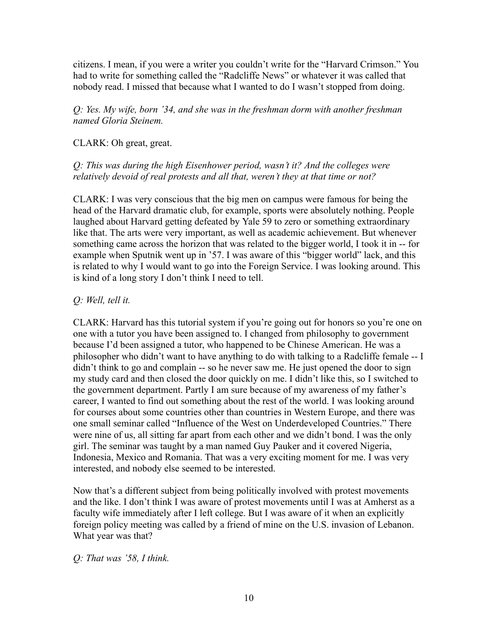citizens. I mean, if you were a writer you couldn't write for the "Harvard Crimson." You had to write for something called the "Radcliffe News" or whatever it was called that nobody read. I missed that because what I wanted to do I wasn't stopped from doing.

*Q: Yes. My wife, born '34, and she was in the freshman dorm with another freshman named Gloria Steinem.*

## CLARK: Oh great, great.

## *Q: This was during the high Eisenhower period, wasn't it? And the colleges were relatively devoid of real protests and all that, weren't they at that time or not?*

CLARK: I was very conscious that the big men on campus were famous for being the head of the Harvard dramatic club, for example, sports were absolutely nothing. People laughed about Harvard getting defeated by Yale 59 to zero or something extraordinary like that. The arts were very important, as well as academic achievement. But whenever something came across the horizon that was related to the bigger world, I took it in -- for example when Sputnik went up in '57. I was aware of this "bigger world" lack, and this is related to why I would want to go into the Foreign Service. I was looking around. This is kind of a long story I don't think I need to tell.

## *Q: Well, tell it.*

CLARK: Harvard has this tutorial system if you're going out for honors so you're one on one with a tutor you have been assigned to. I changed from philosophy to government because I'd been assigned a tutor, who happened to be Chinese American. He was a philosopher who didn't want to have anything to do with talking to a Radcliffe female -- I didn't think to go and complain -- so he never saw me. He just opened the door to sign my study card and then closed the door quickly on me. I didn't like this, so I switched to the government department. Partly I am sure because of my awareness of my father's career, I wanted to find out something about the rest of the world. I was looking around for courses about some countries other than countries in Western Europe, and there was one small seminar called "Influence of the West on Underdeveloped Countries." There were nine of us, all sitting far apart from each other and we didn't bond. I was the only girl. The seminar was taught by a man named Guy Pauker and it covered Nigeria, Indonesia, Mexico and Romania. That was a very exciting moment for me. I was very interested, and nobody else seemed to be interested.

Now that's a different subject from being politically involved with protest movements and the like. I don't think I was aware of protest movements until I was at Amherst as a faculty wife immediately after I left college. But I was aware of it when an explicitly foreign policy meeting was called by a friend of mine on the U.S. invasion of Lebanon. What year was that?

*Q: That was '58, I think.*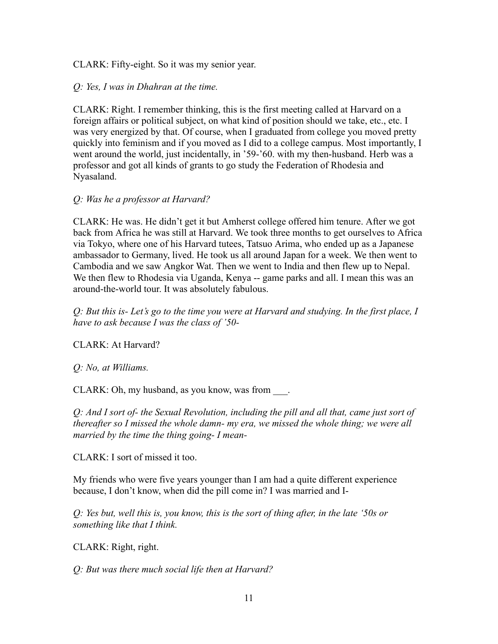CLARK: Fifty-eight. So it was my senior year.

## *Q: Yes, I was in Dhahran at the time.*

CLARK: Right. I remember thinking, this is the first meeting called at Harvard on a foreign affairs or political subject, on what kind of position should we take, etc., etc. I was very energized by that. Of course, when I graduated from college you moved pretty quickly into feminism and if you moved as I did to a college campus. Most importantly, I went around the world, just incidentally, in '59-'60. with my then-husband. Herb was a professor and got all kinds of grants to go study the Federation of Rhodesia and Nyasaland.

## *Q: Was he a professor at Harvard?*

CLARK: He was. He didn't get it but Amherst college offered him tenure. After we got back from Africa he was still at Harvard. We took three months to get ourselves to Africa via Tokyo, where one of his Harvard tutees, Tatsuo Arima, who ended up as a Japanese ambassador to Germany, lived. He took us all around Japan for a week. We then went to Cambodia and we saw Angkor Wat. Then we went to India and then flew up to Nepal. We then flew to Rhodesia via Uganda, Kenya -- game parks and all. I mean this was an around-the-world tour. It was absolutely fabulous.

*Q: But this is- Let's go to the time you were at Harvard and studying. In the first place, I have to ask because I was the class of '50-*

CLARK: At Harvard?

*Q: No, at Williams.*

CLARK: Oh, my husband, as you know, was from \_\_\_.

*Q: And I sort of- the Sexual Revolution, including the pill and all that, came just sort of thereafter so I missed the whole damn- my era, we missed the whole thing; we were all married by the time the thing going- I mean-*

CLARK: I sort of missed it too.

My friends who were five years younger than I am had a quite different experience because, I don't know, when did the pill come in? I was married and I-

*Q: Yes but, well this is, you know, this is the sort of thing after, in the late '50s or something like that I think.*

CLARK: Right, right.

*Q: But was there much social life then at Harvard?*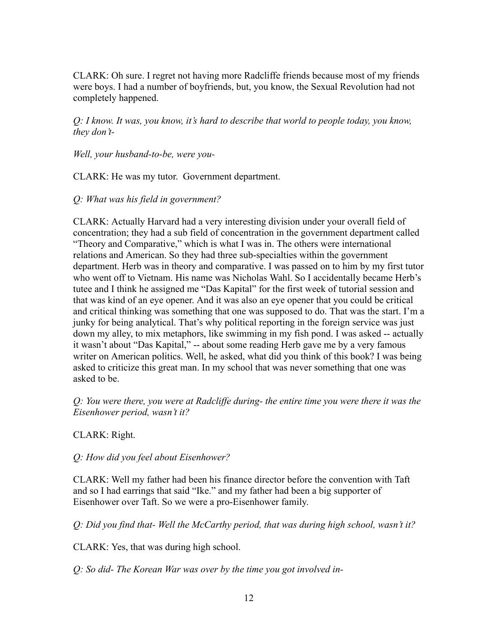CLARK: Oh sure. I regret not having more Radcliffe friends because most of my friends were boys. I had a number of boyfriends, but, you know, the Sexual Revolution had not completely happened.

*Q: I know. It was, you know, it's hard to describe that world to people today, you know, they don't-*

*Well, your husband-to-be, were you-*

CLARK: He was my tutor. Government department.

*Q: What was his field in government?*

CLARK: Actually Harvard had a very interesting division under your overall field of concentration; they had a sub field of concentration in the government department called "Theory and Comparative," which is what I was in. The others were international relations and American. So they had three sub-specialties within the government department. Herb was in theory and comparative. I was passed on to him by my first tutor who went off to Vietnam. His name was Nicholas Wahl. So I accidentally became Herb's tutee and I think he assigned me "Das Kapital" for the first week of tutorial session and that was kind of an eye opener. And it was also an eye opener that you could be critical and critical thinking was something that one was supposed to do. That was the start. I'm a junky for being analytical. That's why political reporting in the foreign service was just down my alley, to mix metaphors, like swimming in my fish pond. I was asked -- actually it wasn't about "Das Kapital," -- about some reading Herb gave me by a very famous writer on American politics. Well, he asked, what did you think of this book? I was being asked to criticize this great man. In my school that was never something that one was asked to be.

*Q: You were there, you were at Radcliffe during- the entire time you were there it was the Eisenhower period, wasn't it?*

CLARK: Right.

*Q: How did you feel about Eisenhower?*

CLARK: Well my father had been his finance director before the convention with Taft and so I had earrings that said "Ike." and my father had been a big supporter of Eisenhower over Taft. So we were a pro-Eisenhower family.

*Q: Did you find that- Well the McCarthy period, that was during high school, wasn't it?*

CLARK: Yes, that was during high school.

*Q: So did- The Korean War was over by the time you got involved in-*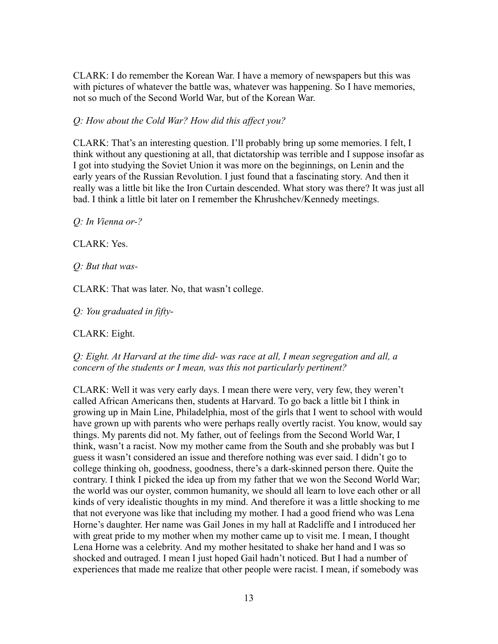CLARK: I do remember the Korean War. I have a memory of newspapers but this was with pictures of whatever the battle was, whatever was happening. So I have memories, not so much of the Second World War, but of the Korean War.

## *Q: How about the Cold War? How did this affect you?*

CLARK: That's an interesting question. I'll probably bring up some memories. I felt, I think without any questioning at all, that dictatorship was terrible and I suppose insofar as I got into studying the Soviet Union it was more on the beginnings, on Lenin and the early years of the Russian Revolution. I just found that a fascinating story. And then it really was a little bit like the Iron Curtain descended. What story was there? It was just all bad. I think a little bit later on I remember the Khrushchev/Kennedy meetings.

*Q: In Vienna or-?*

CLARK: Yes.

*Q: But that was-*

CLARK: That was later. No, that wasn't college.

*Q: You graduated in fifty-*

CLARK: Eight.

*Q: Eight. At Harvard at the time did- was race at all, I mean segregation and all, a concern of the students or I mean, was this not particularly pertinent?*

CLARK: Well it was very early days. I mean there were very, very few, they weren't called African Americans then, students at Harvard. To go back a little bit I think in growing up in Main Line, Philadelphia, most of the girls that I went to school with would have grown up with parents who were perhaps really overtly racist. You know, would say things. My parents did not. My father, out of feelings from the Second World War, I think, wasn't a racist. Now my mother came from the South and she probably was but I guess it wasn't considered an issue and therefore nothing was ever said. I didn't go to college thinking oh, goodness, goodness, there's a dark-skinned person there. Quite the contrary. I think I picked the idea up from my father that we won the Second World War; the world was our oyster, common humanity, we should all learn to love each other or all kinds of very idealistic thoughts in my mind. And therefore it was a little shocking to me that not everyone was like that including my mother. I had a good friend who was Lena Horne's daughter. Her name was Gail Jones in my hall at Radcliffe and I introduced her with great pride to my mother when my mother came up to visit me. I mean, I thought Lena Horne was a celebrity. And my mother hesitated to shake her hand and I was so shocked and outraged. I mean I just hoped Gail hadn't noticed. But I had a number of experiences that made me realize that other people were racist. I mean, if somebody was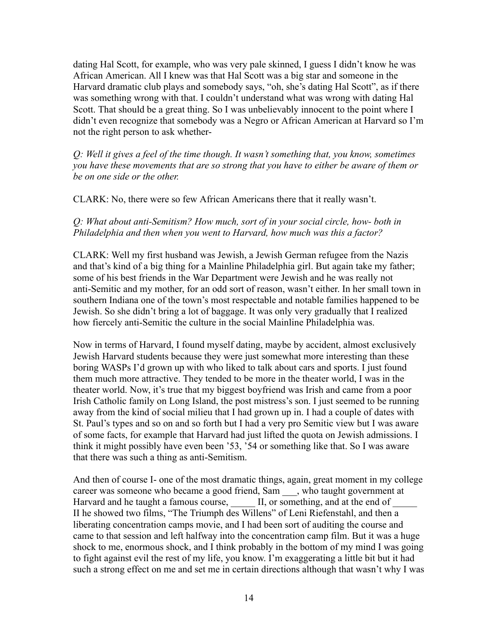dating Hal Scott, for example, who was very pale skinned, I guess I didn't know he was African American. All I knew was that Hal Scott was a big star and someone in the Harvard dramatic club plays and somebody says, "oh, she's dating Hal Scott", as if there was something wrong with that. I couldn't understand what was wrong with dating Hal Scott. That should be a great thing. So I was unbelievably innocent to the point where I didn't even recognize that somebody was a Negro or African American at Harvard so I'm not the right person to ask whether-

*Q: Well it gives a feel of the time though. It wasn't something that, you know, sometimes you have these movements that are so strong that you have to either be aware of them or be on one side or the other.*

CLARK: No, there were so few African Americans there that it really wasn't.

#### *Q: What about anti-Semitism? How much, sort of in your social circle, how- both in Philadelphia and then when you went to Harvard, how much was this a factor?*

CLARK: Well my first husband was Jewish, a Jewish German refugee from the Nazis and that's kind of a big thing for a Mainline Philadelphia girl. But again take my father; some of his best friends in the War Department were Jewish and he was really not anti-Semitic and my mother, for an odd sort of reason, wasn't either. In her small town in southern Indiana one of the town's most respectable and notable families happened to be Jewish. So she didn't bring a lot of baggage. It was only very gradually that I realized how fiercely anti-Semitic the culture in the social Mainline Philadelphia was.

Now in terms of Harvard, I found myself dating, maybe by accident, almost exclusively Jewish Harvard students because they were just somewhat more interesting than these boring WASPs I'd grown up with who liked to talk about cars and sports. I just found them much more attractive. They tended to be more in the theater world, I was in the theater world. Now, it's true that my biggest boyfriend was Irish and came from a poor Irish Catholic family on Long Island, the post mistress's son. I just seemed to be running away from the kind of social milieu that I had grown up in. I had a couple of dates with St. Paul's types and so on and so forth but I had a very pro Semitic view but I was aware of some facts, for example that Harvard had just lifted the quota on Jewish admissions. I think it might possibly have even been '53, '54 or something like that. So I was aware that there was such a thing as anti-Semitism.

And then of course I- one of the most dramatic things, again, great moment in my college career was someone who became a good friend, Sam \_\_\_, who taught government at Harvard and he taught a famous course, <br>II, or something, and at the end of II he showed two films, "The Triumph des Willens" of Leni Riefenstahl, and then a liberating concentration camps movie, and I had been sort of auditing the course and came to that session and left halfway into the concentration camp film. But it was a huge shock to me, enormous shock, and I think probably in the bottom of my mind I was going to fight against evil the rest of my life, you know. I'm exaggerating a little bit but it had such a strong effect on me and set me in certain directions although that wasn't why I was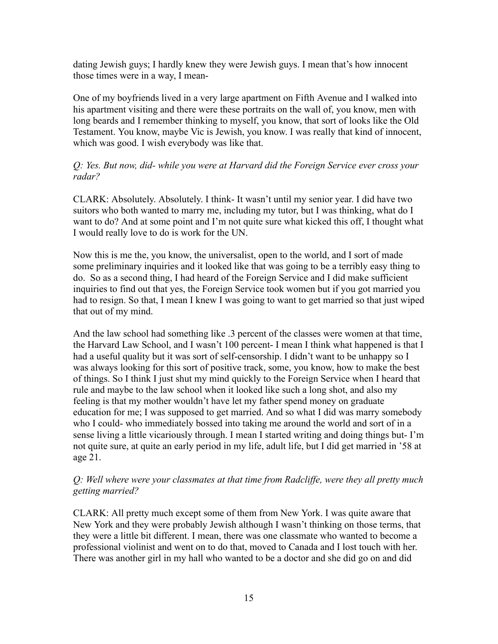dating Jewish guys; I hardly knew they were Jewish guys. I mean that's how innocent those times were in a way, I mean-

One of my boyfriends lived in a very large apartment on Fifth Avenue and I walked into his apartment visiting and there were these portraits on the wall of, you know, men with long beards and I remember thinking to myself, you know, that sort of looks like the Old Testament. You know, maybe Vic is Jewish, you know. I was really that kind of innocent, which was good. I wish everybody was like that.

## *Q: Yes. But now, did- while you were at Harvard did the Foreign Service ever cross your radar?*

CLARK: Absolutely. Absolutely. I think- It wasn't until my senior year. I did have two suitors who both wanted to marry me, including my tutor, but I was thinking, what do I want to do? And at some point and I'm not quite sure what kicked this off, I thought what I would really love to do is work for the UN.

Now this is me the, you know, the universalist, open to the world, and I sort of made some preliminary inquiries and it looked like that was going to be a terribly easy thing to do. So as a second thing, I had heard of the Foreign Service and I did make sufficient inquiries to find out that yes, the Foreign Service took women but if you got married you had to resign. So that, I mean I knew I was going to want to get married so that just wiped that out of my mind.

And the law school had something like .3 percent of the classes were women at that time, the Harvard Law School, and I wasn't 100 percent- I mean I think what happened is that I had a useful quality but it was sort of self-censorship. I didn't want to be unhappy so I was always looking for this sort of positive track, some, you know, how to make the best of things. So I think I just shut my mind quickly to the Foreign Service when I heard that rule and maybe to the law school when it looked like such a long shot, and also my feeling is that my mother wouldn't have let my father spend money on graduate education for me; I was supposed to get married. And so what I did was marry somebody who I could- who immediately bossed into taking me around the world and sort of in a sense living a little vicariously through. I mean I started writing and doing things but- I'm not quite sure, at quite an early period in my life, adult life, but I did get married in '58 at age 21.

## *Q: Well where were your classmates at that time from Radcliffe, were they all pretty much getting married?*

CLARK: All pretty much except some of them from New York. I was quite aware that New York and they were probably Jewish although I wasn't thinking on those terms, that they were a little bit different. I mean, there was one classmate who wanted to become a professional violinist and went on to do that, moved to Canada and I lost touch with her. There was another girl in my hall who wanted to be a doctor and she did go on and did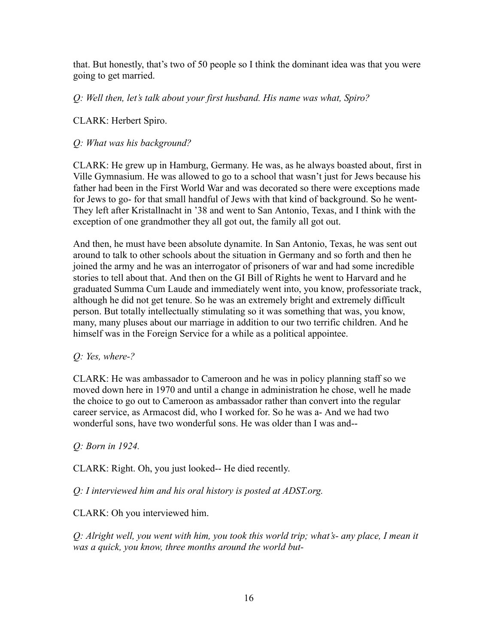that. But honestly, that's two of 50 people so I think the dominant idea was that you were going to get married.

*Q: Well then, let's talk about your first husband. His name was what, Spiro?*

CLARK: Herbert Spiro.

## *Q: What was his background?*

CLARK: He grew up in Hamburg, Germany. He was, as he always boasted about, first in Ville Gymnasium. He was allowed to go to a school that wasn't just for Jews because his father had been in the First World War and was decorated so there were exceptions made for Jews to go- for that small handful of Jews with that kind of background. So he went-They left after Kristallnacht in '38 and went to San Antonio, Texas, and I think with the exception of one grandmother they all got out, the family all got out.

And then, he must have been absolute dynamite. In San Antonio, Texas, he was sent out around to talk to other schools about the situation in Germany and so forth and then he joined the army and he was an interrogator of prisoners of war and had some incredible stories to tell about that. And then on the GI Bill of Rights he went to Harvard and he graduated Summa Cum Laude and immediately went into, you know, professoriate track, although he did not get tenure. So he was an extremely bright and extremely difficult person. But totally intellectually stimulating so it was something that was, you know, many, many pluses about our marriage in addition to our two terrific children. And he himself was in the Foreign Service for a while as a political appointee.

#### *Q: Yes, where-?*

CLARK: He was ambassador to Cameroon and he was in policy planning staff so we moved down here in 1970 and until a change in administration he chose, well he made the choice to go out to Cameroon as ambassador rather than convert into the regular career service, as Armacost did, who I worked for. So he was a- And we had two wonderful sons, have two wonderful sons. He was older than I was and--

#### *Q: Born in 1924.*

CLARK: Right. Oh, you just looked-- He died recently.

*Q: I interviewed him and his oral history is posted at ADST.org.*

## CLARK: Oh you interviewed him.

*Q: Alright well, you went with him, you took this world trip; what's- any place, I mean it was a quick, you know, three months around the world but-*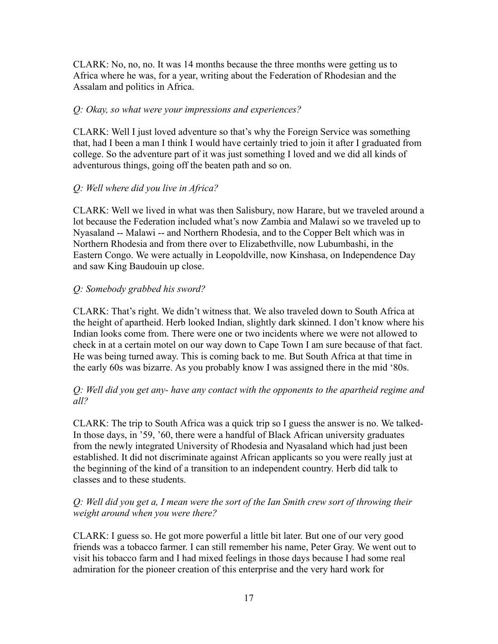CLARK: No, no, no. It was 14 months because the three months were getting us to Africa where he was, for a year, writing about the Federation of Rhodesian and the Assalam and politics in Africa.

## *Q: Okay, so what were your impressions and experiences?*

CLARK: Well I just loved adventure so that's why the Foreign Service was something that, had I been a man I think I would have certainly tried to join it after I graduated from college. So the adventure part of it was just something I loved and we did all kinds of adventurous things, going off the beaten path and so on.

## *Q: Well where did you live in Africa?*

CLARK: Well we lived in what was then Salisbury, now Harare, but we traveled around a lot because the Federation included what's now Zambia and Malawi so we traveled up to Nyasaland -- Malawi -- and Northern Rhodesia, and to the Copper Belt which was in Northern Rhodesia and from there over to Elizabethville, now Lubumbashi, in the Eastern Congo. We were actually in Leopoldville, now Kinshasa, on Independence Day and saw King Baudouin up close.

## *Q: Somebody grabbed his sword?*

CLARK: That's right. We didn't witness that. We also traveled down to South Africa at the height of apartheid. Herb looked Indian, slightly dark skinned. I don't know where his Indian looks come from. There were one or two incidents where we were not allowed to check in at a certain motel on our way down to Cape Town I am sure because of that fact. He was being turned away. This is coming back to me. But South Africa at that time in the early 60s was bizarre. As you probably know I was assigned there in the mid '80s.

## *Q: Well did you get any- have any contact with the opponents to the apartheid regime and all?*

CLARK: The trip to South Africa was a quick trip so I guess the answer is no. We talked-In those days, in '59, '60, there were a handful of Black African university graduates from the newly integrated University of Rhodesia and Nyasaland which had just been established. It did not discriminate against African applicants so you were really just at the beginning of the kind of a transition to an independent country. Herb did talk to classes and to these students.

## *Q: Well did you get a, I mean were the sort of the Ian Smith crew sort of throwing their weight around when you were there?*

CLARK: I guess so. He got more powerful a little bit later. But one of our very good friends was a tobacco farmer. I can still remember his name, Peter Gray. We went out to visit his tobacco farm and I had mixed feelings in those days because I had some real admiration for the pioneer creation of this enterprise and the very hard work for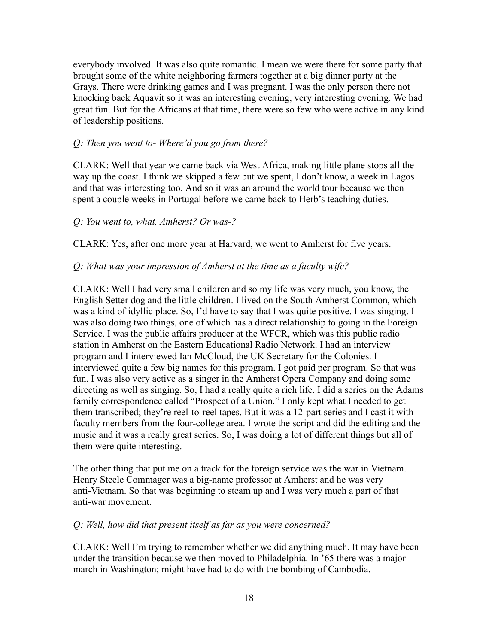everybody involved. It was also quite romantic. I mean we were there for some party that brought some of the white neighboring farmers together at a big dinner party at the Grays. There were drinking games and I was pregnant. I was the only person there not knocking back Aquavit so it was an interesting evening, very interesting evening. We had great fun. But for the Africans at that time, there were so few who were active in any kind of leadership positions.

#### *Q: Then you went to- Where'd you go from there?*

CLARK: Well that year we came back via West Africa, making little plane stops all the way up the coast. I think we skipped a few but we spent, I don't know, a week in Lagos and that was interesting too. And so it was an around the world tour because we then spent a couple weeks in Portugal before we came back to Herb's teaching duties.

#### *Q: You went to, what, Amherst? Or was-?*

CLARK: Yes, after one more year at Harvard, we went to Amherst for five years.

#### *Q: What was your impression of Amherst at the time as a faculty wife?*

CLARK: Well I had very small children and so my life was very much, you know, the English Setter dog and the little children. I lived on the South Amherst Common, which was a kind of idyllic place. So, I'd have to say that I was quite positive. I was singing. I was also doing two things, one of which has a direct relationship to going in the Foreign Service. I was the public affairs producer at the WFCR, which was this public radio station in Amherst on the Eastern Educational Radio Network. I had an interview program and I interviewed Ian McCloud, the UK Secretary for the Colonies. I interviewed quite a few big names for this program. I got paid per program. So that was fun. I was also very active as a singer in the Amherst Opera Company and doing some directing as well as singing. So, I had a really quite a rich life. I did a series on the Adams family correspondence called "Prospect of a Union." I only kept what I needed to get them transcribed; they're reel-to-reel tapes. But it was a 12-part series and I cast it with faculty members from the four-college area. I wrote the script and did the editing and the music and it was a really great series. So, I was doing a lot of different things but all of them were quite interesting.

The other thing that put me on a track for the foreign service was the war in Vietnam. Henry Steele Commager was a big-name professor at Amherst and he was very anti-Vietnam. So that was beginning to steam up and I was very much a part of that anti-war movement.

#### *Q: Well, how did that present itself as far as you were concerned?*

CLARK: Well I'm trying to remember whether we did anything much. It may have been under the transition because we then moved to Philadelphia. In '65 there was a major march in Washington; might have had to do with the bombing of Cambodia.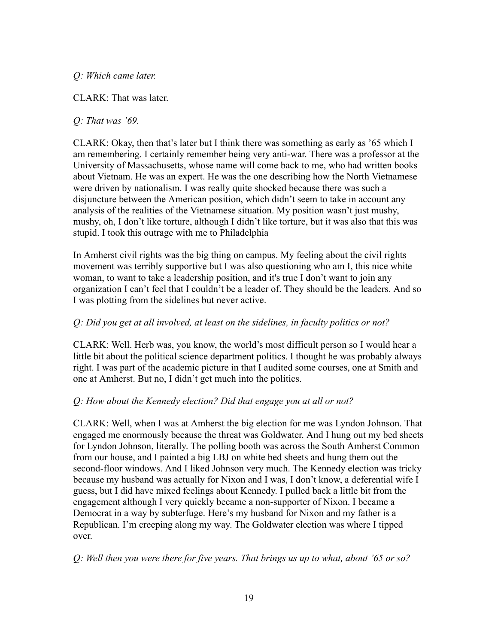## *Q: Which came later.*

CLARK: That was later.

## *Q: That was '69.*

CLARK: Okay, then that's later but I think there was something as early as '65 which I am remembering. I certainly remember being very anti-war. There was a professor at the University of Massachusetts, whose name will come back to me, who had written books about Vietnam. He was an expert. He was the one describing how the North Vietnamese were driven by nationalism. I was really quite shocked because there was such a disjuncture between the American position, which didn't seem to take in account any analysis of the realities of the Vietnamese situation. My position wasn't just mushy, mushy, oh, I don't like torture, although I didn't like torture, but it was also that this was stupid. I took this outrage with me to Philadelphia

In Amherst civil rights was the big thing on campus. My feeling about the civil rights movement was terribly supportive but I was also questioning who am I, this nice white woman, to want to take a leadership position, and it's true I don't want to join any organization I can't feel that I couldn't be a leader of. They should be the leaders. And so I was plotting from the sidelines but never active.

## *Q: Did you get at all involved, at least on the sidelines, in faculty politics or not?*

CLARK: Well. Herb was, you know, the world's most difficult person so I would hear a little bit about the political science department politics. I thought he was probably always right. I was part of the academic picture in that I audited some courses, one at Smith and one at Amherst. But no, I didn't get much into the politics.

## *Q: How about the Kennedy election? Did that engage you at all or not?*

CLARK: Well, when I was at Amherst the big election for me was Lyndon Johnson. That engaged me enormously because the threat was Goldwater. And I hung out my bed sheets for Lyndon Johnson, literally. The polling booth was across the South Amherst Common from our house, and I painted a big LBJ on white bed sheets and hung them out the second-floor windows. And I liked Johnson very much. The Kennedy election was tricky because my husband was actually for Nixon and I was, I don't know, a deferential wife I guess, but I did have mixed feelings about Kennedy. I pulled back a little bit from the engagement although I very quickly became a non-supporter of Nixon. I became a Democrat in a way by subterfuge. Here's my husband for Nixon and my father is a Republican. I'm creeping along my way. The Goldwater election was where I tipped over.

*Q: Well then you were there for five years. That brings us up to what, about '65 or so?*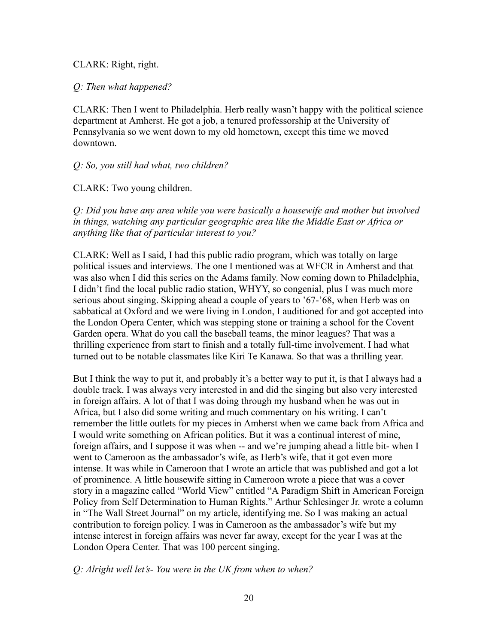CLARK: Right, right.

#### *Q: Then what happened?*

CLARK: Then I went to Philadelphia. Herb really wasn't happy with the political science department at Amherst. He got a job, a tenured professorship at the University of Pennsylvania so we went down to my old hometown, except this time we moved downtown.

#### *Q: So, you still had what, two children?*

CLARK: Two young children.

*Q: Did you have any area while you were basically a housewife and mother but involved in things, watching any particular geographic area like the Middle East or Africa or anything like that of particular interest to you?*

CLARK: Well as I said, I had this public radio program, which was totally on large political issues and interviews. The one I mentioned was at WFCR in Amherst and that was also when I did this series on the Adams family. Now coming down to Philadelphia, I didn't find the local public radio station, WHYY, so congenial, plus I was much more serious about singing. Skipping ahead a couple of years to '67-'68, when Herb was on sabbatical at Oxford and we were living in London, I auditioned for and got accepted into the London Opera Center, which was stepping stone or training a school for the Covent Garden opera. What do you call the baseball teams, the minor leagues? That was a thrilling experience from start to finish and a totally full-time involvement. I had what turned out to be notable classmates like Kiri Te Kanawa. So that was a thrilling year.

But I think the way to put it, and probably it's a better way to put it, is that I always had a double track. I was always very interested in and did the singing but also very interested in foreign affairs. A lot of that I was doing through my husband when he was out in Africa, but I also did some writing and much commentary on his writing. I can't remember the little outlets for my pieces in Amherst when we came back from Africa and I would write something on African politics. But it was a continual interest of mine, foreign affairs, and I suppose it was when -- and we're jumping ahead a little bit- when I went to Cameroon as the ambassador's wife, as Herb's wife, that it got even more intense. It was while in Cameroon that I wrote an article that was published and got a lot of prominence. A little housewife sitting in Cameroon wrote a piece that was a cover story in a magazine called "World View" entitled "A Paradigm Shift in American Foreign Policy from Self Determination to Human Rights." Arthur Schlesinger Jr. wrote a column in "The Wall Street Journal" on my article, identifying me. So I was making an actual contribution to foreign policy. I was in Cameroon as the ambassador's wife but my intense interest in foreign affairs was never far away, except for the year I was at the London Opera Center. That was 100 percent singing.

#### *Q: Alright well let's- You were in the UK from when to when?*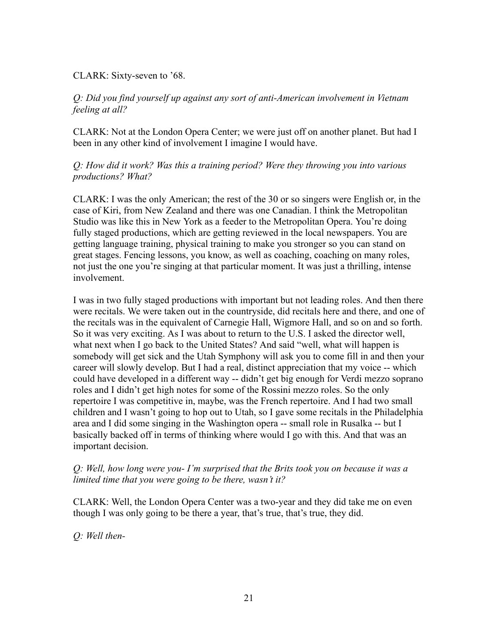### CLARK: Sixty-seven to '68.

## *Q: Did you find yourself up against any sort of anti-American involvement in Vietnam feeling at all?*

CLARK: Not at the London Opera Center; we were just off on another planet. But had I been in any other kind of involvement I imagine I would have.

*Q: How did it work? Was this a training period? Were they throwing you into various productions? What?*

CLARK: I was the only American; the rest of the 30 or so singers were English or, in the case of Kiri, from New Zealand and there was one Canadian. I think the Metropolitan Studio was like this in New York as a feeder to the Metropolitan Opera. You're doing fully staged productions, which are getting reviewed in the local newspapers. You are getting language training, physical training to make you stronger so you can stand on great stages. Fencing lessons, you know, as well as coaching, coaching on many roles, not just the one you're singing at that particular moment. It was just a thrilling, intense involvement.

I was in two fully staged productions with important but not leading roles. And then there were recitals. We were taken out in the countryside, did recitals here and there, and one of the recitals was in the equivalent of Carnegie Hall, Wigmore Hall, and so on and so forth. So it was very exciting. As I was about to return to the U.S. I asked the director well, what next when I go back to the United States? And said "well, what will happen is somebody will get sick and the Utah Symphony will ask you to come fill in and then your career will slowly develop. But I had a real, distinct appreciation that my voice -- which could have developed in a different way -- didn't get big enough for Verdi mezzo soprano roles and I didn't get high notes for some of the Rossini mezzo roles. So the only repertoire I was competitive in, maybe, was the French repertoire. And I had two small children and I wasn't going to hop out to Utah, so I gave some recitals in the Philadelphia area and I did some singing in the Washington opera -- small role in Rusalka -- but I basically backed off in terms of thinking where would I go with this. And that was an important decision.

## *Q: Well, how long were you- I'm surprised that the Brits took you on because it was a limited time that you were going to be there, wasn't it?*

CLARK: Well, the London Opera Center was a two-year and they did take me on even though I was only going to be there a year, that's true, that's true, they did.

*Q: Well then-*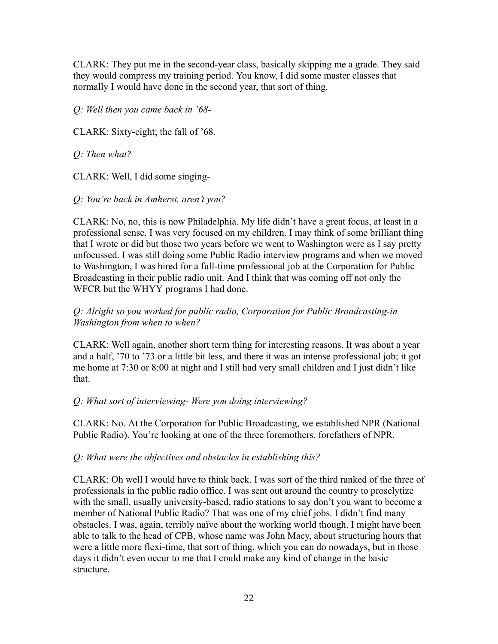CLARK: They put me in the second-year class, basically skipping me a grade. They said they would compress my training period. You know, I did some master classes that normally I would have done in the second year, that sort of thing.

*Q: Well then you came back in '68-*

CLARK: Sixty-eight; the fall of '68.

*Q: Then what?*

CLARK: Well, I did some singing-

*Q: You're back in Amherst, aren't you?*

CLARK: No, no, this is now Philadelphia. My life didn't have a great focus, at least in a professional sense. I was very focused on my children. I may think of some brilliant thing that I wrote or did but those two years before we went to Washington were as I say pretty unfocussed. I was still doing some Public Radio interview programs and when we moved to Washington, I was hired for a full-time professional job at the Corporation for Public Broadcasting in their public radio unit. And I think that was coming off not only the WFCR but the WHYY programs I had done.

## *Q: Alright so you worked for public radio, Corporation for Public Broadcasting-in Washington from when to when?*

CLARK: Well again, another short term thing for interesting reasons. It was about a year and a half, '70 to '73 or a little bit less, and there it was an intense professional job; it got me home at 7:30 or 8:00 at night and I still had very small children and I just didn't like that.

## *Q: What sort of interviewing- Were you doing interviewing?*

CLARK: No. At the Corporation for Public Broadcasting, we established NPR (National Public Radio). You're looking at one of the three foremothers, forefathers of NPR.

## *Q: What were the objectives and obstacles in establishing this?*

CLARK: Oh well I would have to think back. I was sort of the third ranked of the three of professionals in the public radio office. I was sent out around the country to proselytize with the small, usually university-based, radio stations to say don't you want to become a member of National Public Radio? That was one of my chief jobs. I didn't find many obstacles. I was, again, terribly naïve about the working world though. I might have been able to talk to the head of CPB, whose name was John Macy, about structuring hours that were a little more flexi-time, that sort of thing, which you can do nowadays, but in those days it didn't even occur to me that I could make any kind of change in the basic structure.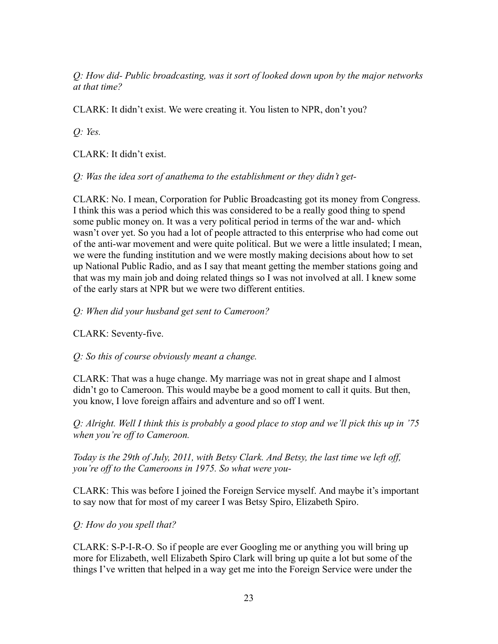*Q: How did- Public broadcasting, was it sort of looked down upon by the major networks at that time?*

CLARK: It didn't exist. We were creating it. You listen to NPR, don't you?

*Q: Yes.*

CLARK: It didn't exist.

*Q: Was the idea sort of anathema to the establishment or they didn't get-*

CLARK: No. I mean, Corporation for Public Broadcasting got its money from Congress. I think this was a period which this was considered to be a really good thing to spend some public money on. It was a very political period in terms of the war and- which wasn't over yet. So you had a lot of people attracted to this enterprise who had come out of the anti-war movement and were quite political. But we were a little insulated; I mean, we were the funding institution and we were mostly making decisions about how to set up National Public Radio, and as I say that meant getting the member stations going and that was my main job and doing related things so I was not involved at all. I knew some of the early stars at NPR but we were two different entities.

*Q: When did your husband get sent to Cameroon?*

CLARK: Seventy-five.

*Q: So this of course obviously meant a change.*

CLARK: That was a huge change. My marriage was not in great shape and I almost didn't go to Cameroon. This would maybe be a good moment to call it quits. But then, you know, I love foreign affairs and adventure and so off I went.

*Q: Alright. Well I think this is probably a good place to stop and we'll pick this up in '75 when you're off to Cameroon.*

*Today is the 29th of July, 2011, with Betsy Clark. And Betsy, the last time we left off, you're off to the Cameroons in 1975. So what were you-*

CLARK: This was before I joined the Foreign Service myself. And maybe it's important to say now that for most of my career I was Betsy Spiro, Elizabeth Spiro.

*Q: How do you spell that?*

CLARK: S-P-I-R-O. So if people are ever Googling me or anything you will bring up more for Elizabeth, well Elizabeth Spiro Clark will bring up quite a lot but some of the things I've written that helped in a way get me into the Foreign Service were under the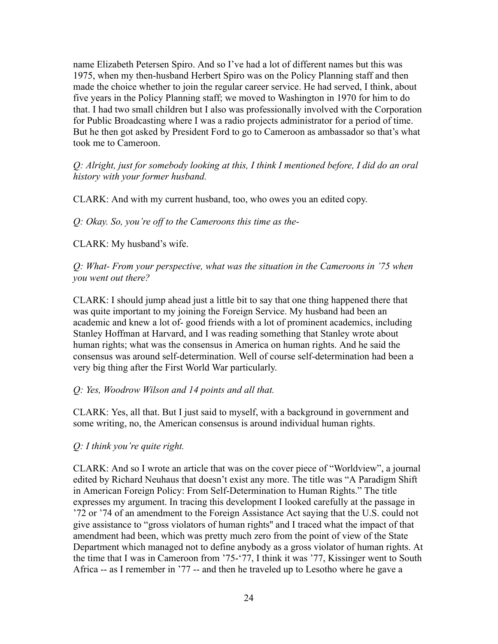name Elizabeth Petersen Spiro. And so I've had a lot of different names but this was 1975, when my then-husband Herbert Spiro was on the Policy Planning staff and then made the choice whether to join the regular career service. He had served, I think, about five years in the Policy Planning staff; we moved to Washington in 1970 for him to do that. I had two small children but I also was professionally involved with the Corporation for Public Broadcasting where I was a radio projects administrator for a period of time. But he then got asked by President Ford to go to Cameroon as ambassador so that's what took me to Cameroon.

*Q: Alright, just for somebody looking at this, I think I mentioned before, I did do an oral history with your former husband.*

CLARK: And with my current husband, too, who owes you an edited copy.

*Q: Okay. So, you're off to the Cameroons this time as the-*

CLARK: My husband's wife.

*Q: What- From your perspective, what was the situation in the Cameroons in '75 when you went out there?*

CLARK: I should jump ahead just a little bit to say that one thing happened there that was quite important to my joining the Foreign Service. My husband had been an academic and knew a lot of- good friends with a lot of prominent academics, including Stanley Hoffman at Harvard, and I was reading something that Stanley wrote about human rights; what was the consensus in America on human rights. And he said the consensus was around self-determination. Well of course self-determination had been a very big thing after the First World War particularly.

#### *Q: Yes, Woodrow Wilson and 14 points and all that.*

CLARK: Yes, all that. But I just said to myself, with a background in government and some writing, no, the American consensus is around individual human rights.

#### *Q: I think you're quite right.*

CLARK: And so I wrote an article that was on the cover piece of "Worldview", a journal edited by Richard Neuhaus that doesn't exist any more. The title was "A Paradigm Shift in American Foreign Policy: From Self-Determination to Human Rights." The title expresses my argument. In tracing this development I looked carefully at the passage in '72 or '74 of an amendment to the Foreign Assistance Act saying that the U.S. could not give assistance to "gross violators of human rights'' and I traced what the impact of that amendment had been, which was pretty much zero from the point of view of the State Department which managed not to define anybody as a gross violator of human rights. At the time that I was in Cameroon from '75-'77, I think it was '77, Kissinger went to South Africa -- as I remember in '77 -- and then he traveled up to Lesotho where he gave a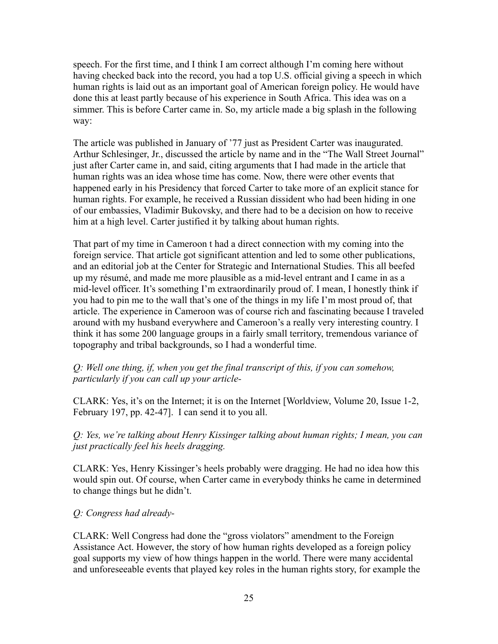speech. For the first time, and I think I am correct although I'm coming here without having checked back into the record, you had a top U.S. official giving a speech in which human rights is laid out as an important goal of American foreign policy. He would have done this at least partly because of his experience in South Africa. This idea was on a simmer. This is before Carter came in. So, my article made a big splash in the following way:

The article was published in January of '77 just as President Carter was inaugurated. Arthur Schlesinger, Jr., discussed the article by name and in the "The Wall Street Journal" just after Carter came in, and said, citing arguments that I had made in the article that human rights was an idea whose time has come. Now, there were other events that happened early in his Presidency that forced Carter to take more of an explicit stance for human rights. For example, he received a Russian dissident who had been hiding in one of our embassies, Vladimir Bukovsky, and there had to be a decision on how to receive him at a high level. Carter justified it by talking about human rights.

That part of my time in Cameroon t had a direct connection with my coming into the foreign service. That article got significant attention and led to some other publications, and an editorial job at the Center for Strategic and International Studies. This all beefed up my résumé, and made me more plausible as a mid-level entrant and I came in as a mid-level officer. It's something I'm extraordinarily proud of. I mean, I honestly think if you had to pin me to the wall that's one of the things in my life I'm most proud of, that article. The experience in Cameroon was of course rich and fascinating because I traveled around with my husband everywhere and Cameroon's a really very interesting country. I think it has some 200 language groups in a fairly small territory, tremendous variance of topography and tribal backgrounds, so I had a wonderful time.

*Q: Well one thing, if, when you get the final transcript of this, if you can somehow, particularly if you can call up your article-*

CLARK: Yes, it's on the Internet; it is on the Internet [Worldview, Volume 20, Issue 1-2, February 197, pp. 42-47]. I can send it to you all.

*Q: Yes, we're talking about Henry Kissinger talking about human rights; I mean, you can just practically feel his heels dragging.*

CLARK: Yes, Henry Kissinger's heels probably were dragging. He had no idea how this would spin out. Of course, when Carter came in everybody thinks he came in determined to change things but he didn't.

#### *Q: Congress had already-*

CLARK: Well Congress had done the "gross violators" amendment to the Foreign Assistance Act. However, the story of how human rights developed as a foreign policy goal supports my view of how things happen in the world. There were many accidental and unforeseeable events that played key roles in the human rights story, for example the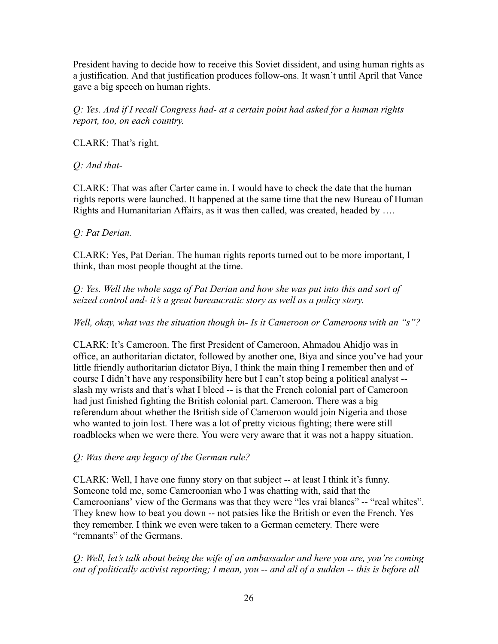President having to decide how to receive this Soviet dissident, and using human rights as a justification. And that justification produces follow-ons. It wasn't until April that Vance gave a big speech on human rights.

*Q: Yes. And if I recall Congress had- at a certain point had asked for a human rights report, too, on each country.*

CLARK: That's right.

# *Q: And that-*

CLARK: That was after Carter came in. I would have to check the date that the human rights reports were launched. It happened at the same time that the new Bureau of Human Rights and Humanitarian Affairs, as it was then called, was created, headed by ….

## *Q: Pat Derian.*

CLARK: Yes, Pat Derian. The human rights reports turned out to be more important, I think, than most people thought at the time.

*Q: Yes. Well the whole saga of Pat Derian and how she was put into this and sort of seized control and- it's a great bureaucratic story as well as a policy story.*

*Well, okay, what was the situation though in- Is it Cameroon or Cameroons with an "s"?*

CLARK: It's Cameroon. The first President of Cameroon, Ahmadou Ahidjo was in office, an authoritarian dictator, followed by another one, Biya and since you've had your little friendly authoritarian dictator Biya, I think the main thing I remember then and of course I didn't have any responsibility here but I can't stop being a political analyst - slash my wrists and that's what I bleed -- is that the French colonial part of Cameroon had just finished fighting the British colonial part. Cameroon. There was a big referendum about whether the British side of Cameroon would join Nigeria and those who wanted to join lost. There was a lot of pretty vicious fighting; there were still roadblocks when we were there. You were very aware that it was not a happy situation.

## *Q: Was there any legacy of the German rule?*

CLARK: Well, I have one funny story on that subject -- at least I think it's funny. Someone told me, some Cameroonian who I was chatting with, said that the Cameroonians' view of the Germans was that they were "les vrai blancs" -- "real whites". They knew how to beat you down -- not patsies like the British or even the French. Yes they remember. I think we even were taken to a German cemetery. There were "remnants" of the Germans.

*Q: Well, let's talk about being the wife of an ambassador and here you are, you're coming out of politically activist reporting; I mean, you -- and all of a sudden -- this is before all*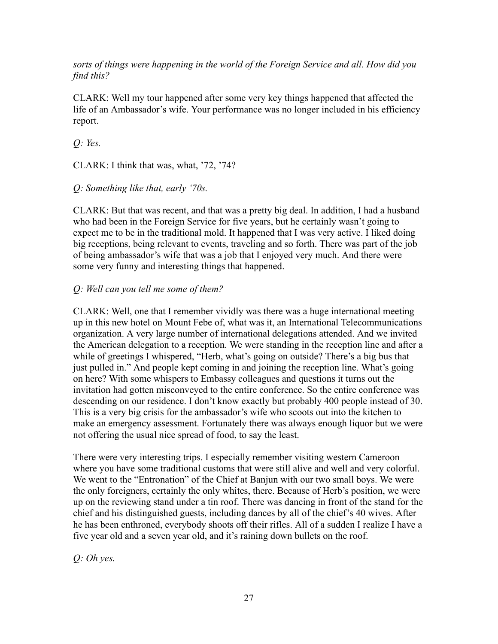*sorts of things were happening in the world of the Foreign Service and all. How did you find this?*

CLARK: Well my tour happened after some very key things happened that affected the life of an Ambassador's wife. Your performance was no longer included in his efficiency report.

*Q: Yes.*

CLARK: I think that was, what, '72, '74?

*Q: Something like that, early '70s.*

CLARK: But that was recent, and that was a pretty big deal. In addition, I had a husband who had been in the Foreign Service for five years, but he certainly wasn't going to expect me to be in the traditional mold. It happened that I was very active. I liked doing big receptions, being relevant to events, traveling and so forth. There was part of the job of being ambassador's wife that was a job that I enjoyed very much. And there were some very funny and interesting things that happened.

## *Q: Well can you tell me some of them?*

CLARK: Well, one that I remember vividly was there was a huge international meeting up in this new hotel on Mount Febe of, what was it, an International Telecommunications organization. A very large number of international delegations attended. And we invited the American delegation to a reception. We were standing in the reception line and after a while of greetings I whispered, "Herb, what's going on outside? There's a big bus that just pulled in." And people kept coming in and joining the reception line. What's going on here? With some whispers to Embassy colleagues and questions it turns out the invitation had gotten misconveyed to the entire conference. So the entire conference was descending on our residence. I don't know exactly but probably 400 people instead of 30. This is a very big crisis for the ambassador's wife who scoots out into the kitchen to make an emergency assessment. Fortunately there was always enough liquor but we were not offering the usual nice spread of food, to say the least.

There were very interesting trips. I especially remember visiting western Cameroon where you have some traditional customs that were still alive and well and very colorful. We went to the "Entronation" of the Chief at Banjun with our two small boys. We were the only foreigners, certainly the only whites, there. Because of Herb's position, we were up on the reviewing stand under a tin roof. There was dancing in front of the stand for the chief and his distinguished guests, including dances by all of the chief's 40 wives. After he has been enthroned, everybody shoots off their rifles. All of a sudden I realize I have a five year old and a seven year old, and it's raining down bullets on the roof.

*Q: Oh yes.*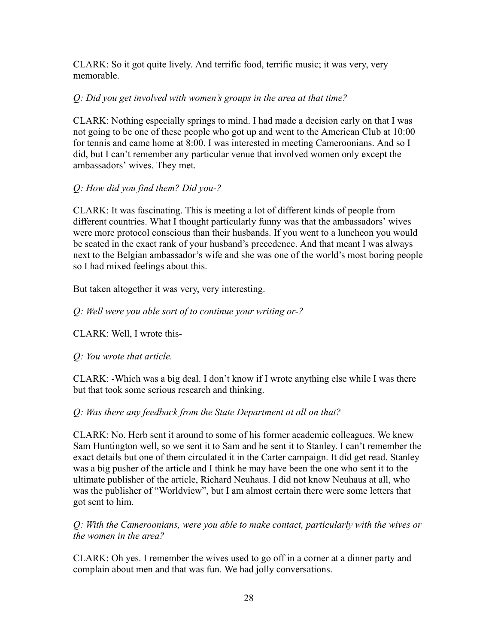CLARK: So it got quite lively. And terrific food, terrific music; it was very, very memorable.

## *Q: Did you get involved with women's groups in the area at that time?*

CLARK: Nothing especially springs to mind. I had made a decision early on that I was not going to be one of these people who got up and went to the American Club at 10:00 for tennis and came home at 8:00. I was interested in meeting Cameroonians. And so I did, but I can't remember any particular venue that involved women only except the ambassadors' wives. They met.

# *Q: How did you find them? Did you-?*

CLARK: It was fascinating. This is meeting a lot of different kinds of people from different countries. What I thought particularly funny was that the ambassadors' wives were more protocol conscious than their husbands. If you went to a luncheon you would be seated in the exact rank of your husband's precedence. And that meant I was always next to the Belgian ambassador's wife and she was one of the world's most boring people so I had mixed feelings about this.

But taken altogether it was very, very interesting.

*Q: Well were you able sort of to continue your writing or-?*

CLARK: Well, I wrote this-

# *Q: You wrote that article.*

CLARK: -Which was a big deal. I don't know if I wrote anything else while I was there but that took some serious research and thinking.

# *Q: Was there any feedback from the State Department at all on that?*

CLARK: No. Herb sent it around to some of his former academic colleagues. We knew Sam Huntington well, so we sent it to Sam and he sent it to Stanley. I can't remember the exact details but one of them circulated it in the Carter campaign. It did get read. Stanley was a big pusher of the article and I think he may have been the one who sent it to the ultimate publisher of the article, Richard Neuhaus. I did not know Neuhaus at all, who was the publisher of "Worldview", but I am almost certain there were some letters that got sent to him.

*Q: With the Cameroonians, were you able to make contact, particularly with the wives or the women in the area?*

CLARK: Oh yes. I remember the wives used to go off in a corner at a dinner party and complain about men and that was fun. We had jolly conversations.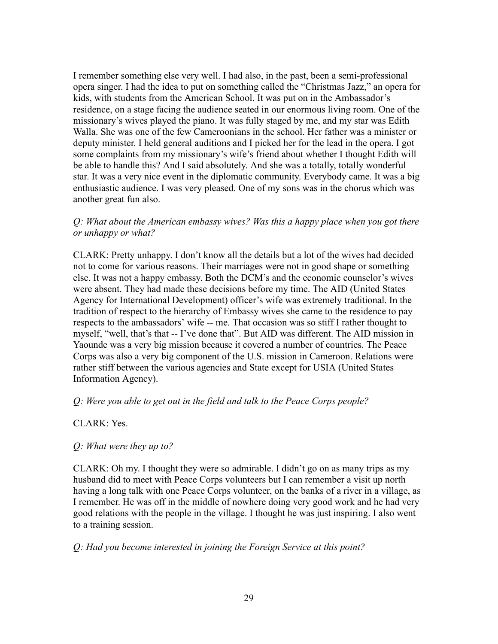I remember something else very well. I had also, in the past, been a semi-professional opera singer. I had the idea to put on something called the "Christmas Jazz," an opera for kids, with students from the American School. It was put on in the Ambassador's residence, on a stage facing the audience seated in our enormous living room. One of the missionary's wives played the piano. It was fully staged by me, and my star was Edith Walla. She was one of the few Cameroonians in the school. Her father was a minister or deputy minister. I held general auditions and I picked her for the lead in the opera. I got some complaints from my missionary's wife's friend about whether I thought Edith will be able to handle this? And I said absolutely. And she was a totally, totally wonderful star. It was a very nice event in the diplomatic community. Everybody came. It was a big enthusiastic audience. I was very pleased. One of my sons was in the chorus which was another great fun also.

### *Q: What about the American embassy wives? Was this a happy place when you got there or unhappy or what?*

CLARK: Pretty unhappy. I don't know all the details but a lot of the wives had decided not to come for various reasons. Their marriages were not in good shape or something else. It was not a happy embassy. Both the DCM's and the economic counselor's wives were absent. They had made these decisions before my time. The AID (United States Agency for International Development) officer's wife was extremely traditional. In the tradition of respect to the hierarchy of Embassy wives she came to the residence to pay respects to the ambassadors' wife -- me. That occasion was so stiff I rather thought to myself, "well, that's that -- I've done that". But AID was different. The AID mission in Yaounde was a very big mission because it covered a number of countries. The Peace Corps was also a very big component of the U.S. mission in Cameroon. Relations were rather stiff between the various agencies and State except for USIA (United States Information Agency).

#### *Q: Were you able to get out in the field and talk to the Peace Corps people?*

#### CLARK: Yes.

#### *Q: What were they up to?*

CLARK: Oh my. I thought they were so admirable. I didn't go on as many trips as my husband did to meet with Peace Corps volunteers but I can remember a visit up north having a long talk with one Peace Corps volunteer, on the banks of a river in a village, as I remember. He was off in the middle of nowhere doing very good work and he had very good relations with the people in the village. I thought he was just inspiring. I also went to a training session.

#### *Q: Had you become interested in joining the Foreign Service at this point?*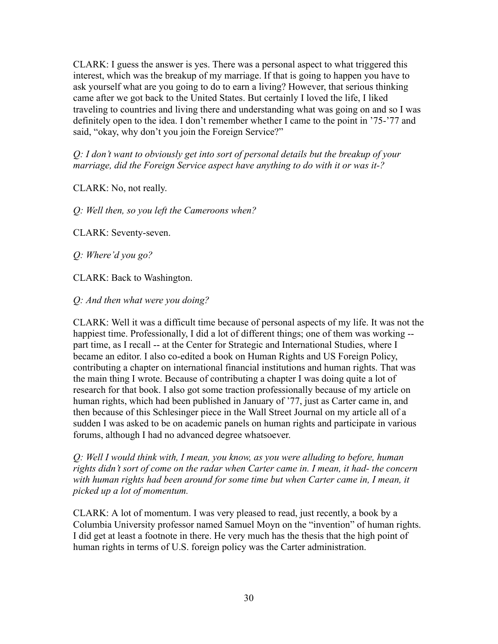CLARK: I guess the answer is yes. There was a personal aspect to what triggered this interest, which was the breakup of my marriage. If that is going to happen you have to ask yourself what are you going to do to earn a living? However, that serious thinking came after we got back to the United States. But certainly I loved the life, I liked traveling to countries and living there and understanding what was going on and so I was definitely open to the idea. I don't remember whether I came to the point in '75-'77 and said, "okay, why don't you join the Foreign Service?"

*Q: I don't want to obviously get into sort of personal details but the breakup of your marriage, did the Foreign Service aspect have anything to do with it or was it-?*

CLARK: No, not really.

*Q: Well then, so you left the Cameroons when?*

CLARK: Seventy-seven.

*Q: Where'd you go?*

CLARK: Back to Washington.

*Q: And then what were you doing?*

CLARK: Well it was a difficult time because of personal aspects of my life. It was not the happiest time. Professionally, I did a lot of different things; one of them was working - part time, as I recall -- at the Center for Strategic and International Studies, where I became an editor. I also co-edited a book on Human Rights and US Foreign Policy, contributing a chapter on international financial institutions and human rights. That was the main thing I wrote. Because of contributing a chapter I was doing quite a lot of research for that book. I also got some traction professionally because of my article on human rights, which had been published in January of '77, just as Carter came in, and then because of this Schlesinger piece in the Wall Street Journal on my article all of a sudden I was asked to be on academic panels on human rights and participate in various forums, although I had no advanced degree whatsoever.

*Q: Well I would think with, I mean, you know, as you were alluding to before, human rights didn't sort of come on the radar when Carter came in. I mean, it had- the concern with human rights had been around for some time but when Carter came in, I mean, it picked up a lot of momentum.*

CLARK: A lot of momentum. I was very pleased to read, just recently, a book by a Columbia University professor named Samuel Moyn on the "invention" of human rights. I did get at least a footnote in there. He very much has the thesis that the high point of human rights in terms of U.S. foreign policy was the Carter administration.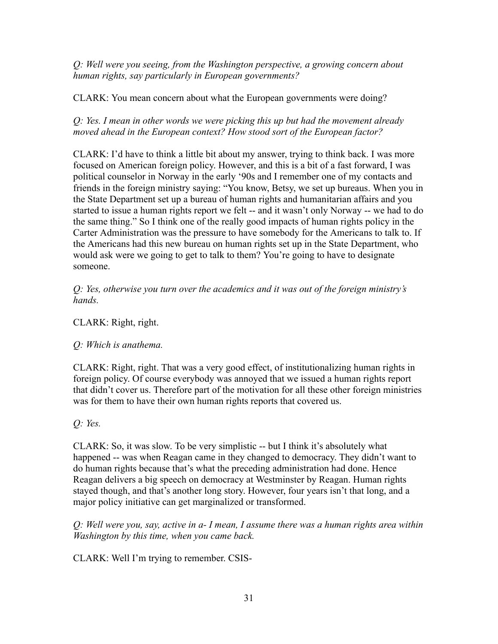*Q: Well were you seeing, from the Washington perspective, a growing concern about human rights, say particularly in European governments?*

CLARK: You mean concern about what the European governments were doing?

*Q: Yes. I mean in other words we were picking this up but had the movement already moved ahead in the European context? How stood sort of the European factor?*

CLARK: I'd have to think a little bit about my answer, trying to think back. I was more focused on American foreign policy. However, and this is a bit of a fast forward, I was political counselor in Norway in the early '90s and I remember one of my contacts and friends in the foreign ministry saying: "You know, Betsy, we set up bureaus. When you in the State Department set up a bureau of human rights and humanitarian affairs and you started to issue a human rights report we felt -- and it wasn't only Norway -- we had to do the same thing." So I think one of the really good impacts of human rights policy in the Carter Administration was the pressure to have somebody for the Americans to talk to. If the Americans had this new bureau on human rights set up in the State Department, who would ask were we going to get to talk to them? You're going to have to designate someone.

*Q: Yes, otherwise you turn over the academics and it was out of the foreign ministry's hands.*

CLARK: Right, right.

*Q: Which is anathema.*

CLARK: Right, right. That was a very good effect, of institutionalizing human rights in foreign policy. Of course everybody was annoyed that we issued a human rights report that didn't cover us. Therefore part of the motivation for all these other foreign ministries was for them to have their own human rights reports that covered us.

*Q: Yes.*

CLARK: So, it was slow. To be very simplistic -- but I think it's absolutely what happened -- was when Reagan came in they changed to democracy. They didn't want to do human rights because that's what the preceding administration had done. Hence Reagan delivers a big speech on democracy at Westminster by Reagan. Human rights stayed though, and that's another long story. However, four years isn't that long, and a major policy initiative can get marginalized or transformed.

*Q: Well were you, say, active in a- I mean, I assume there was a human rights area within Washington by this time, when you came back.*

CLARK: Well I'm trying to remember. CSIS-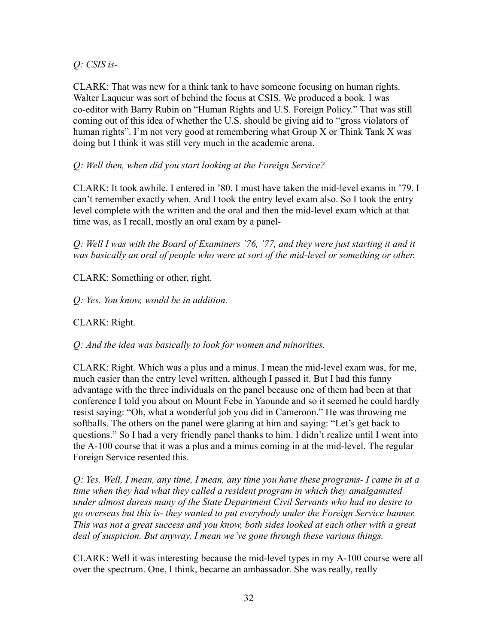*Q: CSIS is-*

CLARK: That was new for a think tank to have someone focusing on human rights. Walter Laqueur was sort of behind the focus at CSIS. We produced a book. I was co-editor with Barry Rubin on "Human Rights and U.S. Foreign Policy." That was still coming out of this idea of whether the U.S. should be giving aid to "gross violators of human rights". I'm not very good at remembering what Group X or Think Tank X was doing but I think it was still very much in the academic arena.

# *Q: Well then, when did you start looking at the Foreign Service?*

CLARK: It took awhile. I entered in '80. I must have taken the mid-level exams in '79. I can't remember exactly when. And I took the entry level exam also. So I took the entry level complete with the written and the oral and then the mid-level exam which at that time was, as I recall, mostly an oral exam by a panel-

*Q: Well I was with the Board of Examiners '76, '77, and they were just starting it and it was basically an oral of people who were at sort of the mid-level or something or other.*

CLARK: Something or other, right.

*Q: Yes. You know, would be in addition.*

# CLARK: Right.

*Q: And the idea was basically to look for women and minorities.*

CLARK: Right. Which was a plus and a minus. I mean the mid-level exam was, for me, much easier than the entry level written, although I passed it. But I had this funny advantage with the three individuals on the panel because one of them had been at that conference I told you about on Mount Febe in Yaounde and so it seemed he could hardly resist saying: "Oh, what a wonderful job you did in Cameroon." He was throwing me softballs. The others on the panel were glaring at him and saying: "Let's get back to questions." So I had a very friendly panel thanks to him. I didn't realize until I went into the A-100 course that it was a plus and a minus coming in at the mid-level. The regular Foreign Service resented this.

*Q: Yes. Well, I mean, any time, I mean, any time you have these programs- I came in at a time when they had what they called a resident program in which they amalgamated under almost duress many of the State Department Civil Servants who had no desire to go overseas but this is- they wanted to put everybody under the Foreign Service banner. This was not a great success and you know, both sides looked at each other with a great deal of suspicion. But anyway, I mean we've gone through these various things.*

CLARK: Well it was interesting because the mid-level types in my A-100 course were all over the spectrum. One, I think, became an ambassador. She was really, really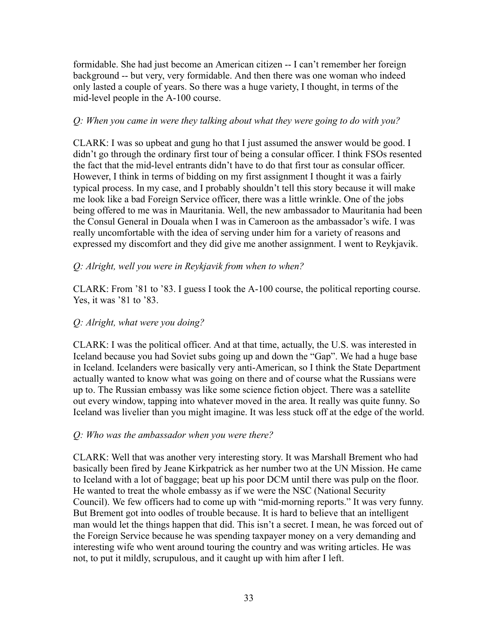formidable. She had just become an American citizen -- I can't remember her foreign background -- but very, very formidable. And then there was one woman who indeed only lasted a couple of years. So there was a huge variety, I thought, in terms of the mid-level people in the A-100 course.

## *Q: When you came in were they talking about what they were going to do with you?*

CLARK: I was so upbeat and gung ho that I just assumed the answer would be good. I didn't go through the ordinary first tour of being a consular officer. I think FSOs resented the fact that the mid-level entrants didn't have to do that first tour as consular officer. However, I think in terms of bidding on my first assignment I thought it was a fairly typical process. In my case, and I probably shouldn't tell this story because it will make me look like a bad Foreign Service officer, there was a little wrinkle. One of the jobs being offered to me was in Mauritania. Well, the new ambassador to Mauritania had been the Consul General in Douala when I was in Cameroon as the ambassador's wife. I was really uncomfortable with the idea of serving under him for a variety of reasons and expressed my discomfort and they did give me another assignment. I went to Reykjavik.

## *Q: Alright, well you were in Reykjavik from when to when?*

CLARK: From '81 to '83. I guess I took the A-100 course, the political reporting course. Yes, it was '81 to '83.

## *Q: Alright, what were you doing?*

CLARK: I was the political officer. And at that time, actually, the U.S. was interested in Iceland because you had Soviet subs going up and down the "Gap". We had a huge base in Iceland. Icelanders were basically very anti-American, so I think the State Department actually wanted to know what was going on there and of course what the Russians were up to. The Russian embassy was like some science fiction object. There was a satellite out every window, tapping into whatever moved in the area. It really was quite funny. So Iceland was livelier than you might imagine. It was less stuck off at the edge of the world.

#### *Q: Who was the ambassador when you were there?*

CLARK: Well that was another very interesting story. It was Marshall Brement who had basically been fired by Jeane Kirkpatrick as her number two at the UN Mission. He came to Iceland with a lot of baggage; beat up his poor DCM until there was pulp on the floor. He wanted to treat the whole embassy as if we were the NSC (National Security Council). We few officers had to come up with "mid-morning reports." It was very funny. But Brement got into oodles of trouble because. It is hard to believe that an intelligent man would let the things happen that did. This isn't a secret. I mean, he was forced out of the Foreign Service because he was spending taxpayer money on a very demanding and interesting wife who went around touring the country and was writing articles. He was not, to put it mildly, scrupulous, and it caught up with him after I left.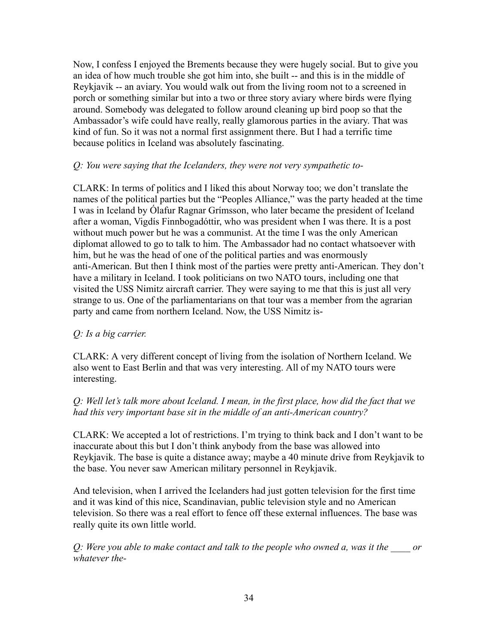Now, I confess I enjoyed the Brements because they were hugely social. But to give you an idea of how much trouble she got him into, she built -- and this is in the middle of Reykjavik -- an aviary. You would walk out from the living room not to a screened in porch or something similar but into a two or three story aviary where birds were flying around. Somebody was delegated to follow around cleaning up bird poop so that the Ambassador's wife could have really, really glamorous parties in the aviary. That was kind of fun. So it was not a normal first assignment there. But I had a terrific time because politics in Iceland was absolutely fascinating.

## *Q: You were saying that the Icelanders, they were not very sympathetic to-*

CLARK: In terms of politics and I liked this about Norway too; we don't translate the names of the political parties but the "Peoples Alliance," was the party headed at the time I was in Iceland by [Ólafur Ragnar Grímsson,](http://en.wikipedia.org/wiki/%C3%93lafur_Ragnar_Gr%C3%ADmsson) who later became the president of Iceland after a woman, Vigdís Finnbogadóttir, who was president when I was there. It is a post without much power but he was a communist. At the time I was the only American diplomat allowed to go to talk to him. The Ambassador had no contact whatsoever with him, but he was the head of one of the political parties and was enormously anti-American. But then I think most of the parties were pretty anti-American. They don't have a military in Iceland. I took politicians on two NATO tours, including one that visited the USS Nimitz aircraft carrier. They were saying to me that this is just all very strange to us. One of the parliamentarians on that tour was a member from the agrarian party and came from northern Iceland. Now, the USS Nimitz is-

## *Q: Is a big carrier.*

CLARK: A very different concept of living from the isolation of Northern Iceland. We also went to East Berlin and that was very interesting. All of my NATO tours were interesting.

## *Q: Well let's talk more about Iceland. I mean, in the first place, how did the fact that we had this very important base sit in the middle of an anti-American country?*

CLARK: We accepted a lot of restrictions. I'm trying to think back and I don't want to be inaccurate about this but I don't think anybody from the base was allowed into Reykjavik. The base is quite a distance away; maybe a 40 minute drive from Reykjavik to the base. You never saw American military personnel in Reykjavik.

And television, when I arrived the Icelanders had just gotten television for the first time and it was kind of this nice, Scandinavian, public television style and no American television. So there was a real effort to fence off these external influences. The base was really quite its own little world.

*Q: Were you able to make contact and talk to the people who owned a, was it the \_\_\_\_ or whatever the-*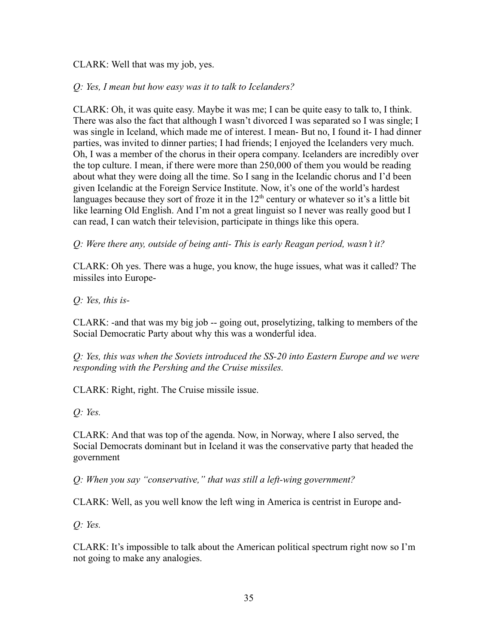CLARK: Well that was my job, yes.

## *Q: Yes, I mean but how easy was it to talk to Icelanders?*

CLARK: Oh, it was quite easy. Maybe it was me; I can be quite easy to talk to, I think. There was also the fact that although I wasn't divorced I was separated so I was single; I was single in Iceland, which made me of interest. I mean- But no, I found it- I had dinner parties, was invited to dinner parties; I had friends; I enjoyed the Icelanders very much. Oh, I was a member of the chorus in their opera company. Icelanders are incredibly over the top culture. I mean, if there were more than 250,000 of them you would be reading about what they were doing all the time. So I sang in the Icelandic chorus and I'd been given Icelandic at the Foreign Service Institute. Now, it's one of the world's hardest languages because they sort of froze it in the  $12<sup>th</sup>$  century or whatever so it's a little bit like learning Old English. And I'm not a great linguist so I never was really good but I can read, I can watch their television, participate in things like this opera.

*Q: Were there any, outside of being anti- This is early Reagan period, wasn't it?*

CLARK: Oh yes. There was a huge, you know, the huge issues, what was it called? The missiles into Europe-

*Q: Yes, this is-*

CLARK: -and that was my big job -- going out, proselytizing, talking to members of the Social Democratic Party about why this was a wonderful idea.

*Q: Yes, this was when the Soviets introduced the SS-20 into Eastern Europe and we were responding with the Pershing and the Cruise missiles.*

CLARK: Right, right. The Cruise missile issue.

*Q: Yes.*

CLARK: And that was top of the agenda. Now, in Norway, where I also served, the Social Democrats dominant but in Iceland it was the conservative party that headed the government

*Q: When you say "conservative," that was still a left-wing government?*

CLARK: Well, as you well know the left wing in America is centrist in Europe and-

*Q: Yes.*

CLARK: It's impossible to talk about the American political spectrum right now so I'm not going to make any analogies.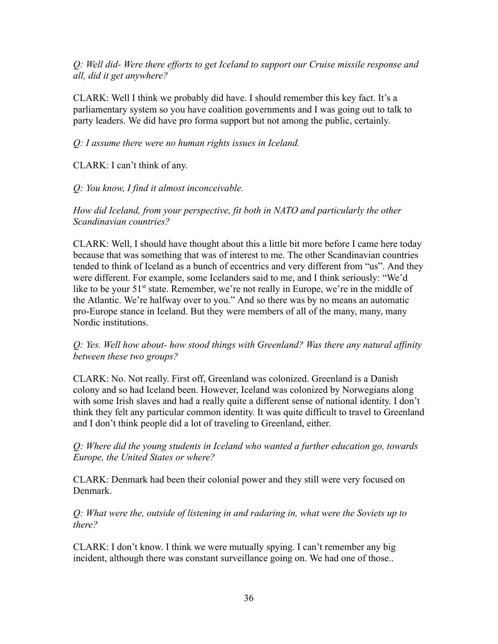*Q: Well did- Were there efforts to get Iceland to support our Cruise missile response and all, did it get anywhere?*

CLARK: Well I think we probably did have. I should remember this key fact. It's a parliamentary system so you have coalition governments and I was going out to talk to party leaders. We did have pro forma support but not among the public, certainly.

## *Q: I assume there were no human rights issues in Iceland.*

CLARK: I can't think of any.

## *Q: You know, I find it almost inconceivable.*

*How did Iceland, from your perspective, fit both in NATO and particularly the other Scandinavian countries?*

CLARK: Well, I should have thought about this a little bit more before I came here today because that was something that was of interest to me. The other Scandinavian countries tended to think of Iceland as a bunch of eccentrics and very different from "us". And they were different. For example, some Icelanders said to me, and I think seriously: "We'd like to be your  $51<sup>st</sup>$  state. Remember, we're not really in Europe, we're in the middle of the Atlantic. We're halfway over to you." And so there was by no means an automatic pro-Europe stance in Iceland. But they were members of all of the many, many, many Nordic institutions.

## *Q: Yes. Well how about- how stood things with Greenland? Was there any natural affinity between these two groups?*

CLARK: No. Not really. First off, Greenland was colonized. Greenland is a Danish colony and so had Iceland been. However, Iceland was colonized by Norwegians along with some Irish slaves and had a really quite a different sense of national identity. I don't think they felt any particular common identity. It was quite difficult to travel to Greenland and I don't think people did a lot of traveling to Greenland, either.

*Q: Where did the young students in Iceland who wanted a further education go, towards Europe, the United States or where?*

CLARK: Denmark had been their colonial power and they still were very focused on Denmark.

*Q: What were the, outside of listening in and radaring in, what were the Soviets up to there?*

CLARK: I don't know. I think we were mutually spying. I can't remember any big incident, although there was constant surveillance going on. We had one of those..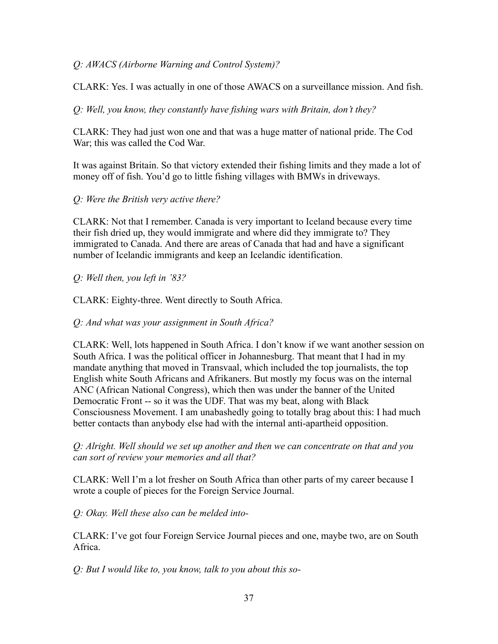# *Q: AWACS (Airborne Warning and Control System)?*

CLARK: Yes. I was actually in one of those AWACS on a surveillance mission. And fish.

*Q: Well, you know, they constantly have fishing wars with Britain, don't they?*

CLARK: They had just won one and that was a huge matter of national pride. The Cod War; this was called the Cod War.

It was against Britain. So that victory extended their fishing limits and they made a lot of money off of fish. You'd go to little fishing villages with BMWs in driveways.

# *Q: Were the British very active there?*

CLARK: Not that I remember. Canada is very important to Iceland because every time their fish dried up, they would immigrate and where did they immigrate to? They immigrated to Canada. And there are areas of Canada that had and have a significant number of Icelandic immigrants and keep an Icelandic identification.

# *Q: Well then, you left in '83?*

CLARK: Eighty-three. Went directly to South Africa.

*Q: And what was your assignment in South Africa?*

CLARK: Well, lots happened in South Africa. I don't know if we want another session on South Africa. I was the political officer in Johannesburg. That meant that I had in my mandate anything that moved in Transvaal, which included the top journalists, the top English white South Africans and Afrikaners. But mostly my focus was on the internal ANC (African National Congress), which then was under the banner of the United Democratic Front -- so it was the UDF. That was my beat, along with Black Consciousness Movement. I am unabashedly going to totally brag about this: I had much better contacts than anybody else had with the internal anti-apartheid opposition.

*Q: Alright. Well should we set up another and then we can concentrate on that and you can sort of review your memories and all that?*

CLARK: Well I'm a lot fresher on South Africa than other parts of my career because I wrote a couple of pieces for the Foreign Service Journal.

*Q: Okay. Well these also can be melded into-*

CLARK: I've got four Foreign Service Journal pieces and one, maybe two, are on South Africa.

*Q: But I would like to, you know, talk to you about this so-*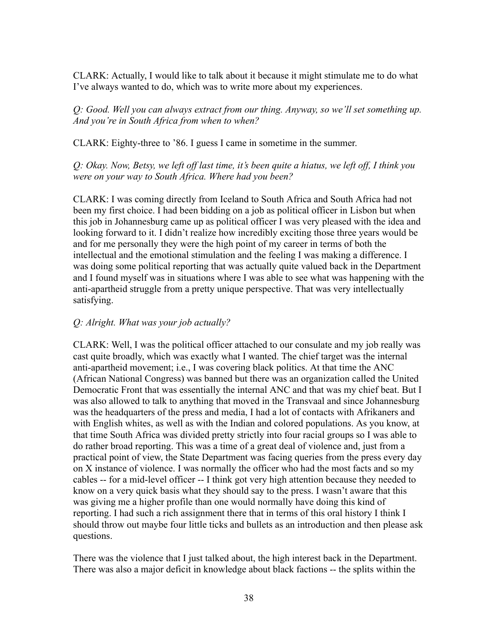CLARK: Actually, I would like to talk about it because it might stimulate me to do what I've always wanted to do, which was to write more about my experiences.

*Q: Good. Well you can always extract from our thing. Anyway, so we'll set something up. And you're in South Africa from when to when?*

CLARK: Eighty-three to '86. I guess I came in sometime in the summer.

*Q: Okay. Now, Betsy, we left off last time, it's been quite a hiatus, we left off, I think you were on your way to South Africa. Where had you been?*

CLARK: I was coming directly from Iceland to South Africa and South Africa had not been my first choice. I had been bidding on a job as political officer in Lisbon but when this job in Johannesburg came up as political officer I was very pleased with the idea and looking forward to it. I didn't realize how incredibly exciting those three years would be and for me personally they were the high point of my career in terms of both the intellectual and the emotional stimulation and the feeling I was making a difference. I was doing some political reporting that was actually quite valued back in the Department and I found myself was in situations where I was able to see what was happening with the anti-apartheid struggle from a pretty unique perspective. That was very intellectually satisfying.

# *Q: Alright. What was your job actually?*

CLARK: Well, I was the political officer attached to our consulate and my job really was cast quite broadly, which was exactly what I wanted. The chief target was the internal anti-apartheid movement; i.e., I was covering black politics. At that time the ANC (African National Congress) was banned but there was an organization called the United Democratic Front that was essentially the internal ANC and that was my chief beat. But I was also allowed to talk to anything that moved in the Transvaal and since Johannesburg was the headquarters of the press and media, I had a lot of contacts with Afrikaners and with English whites, as well as with the Indian and colored populations. As you know, at that time South Africa was divided pretty strictly into four racial groups so I was able to do rather broad reporting. This was a time of a great deal of violence and, just from a practical point of view, the State Department was facing queries from the press every day on X instance of violence. I was normally the officer who had the most facts and so my cables -- for a mid-level officer -- I think got very high attention because they needed to know on a very quick basis what they should say to the press. I wasn't aware that this was giving me a higher profile than one would normally have doing this kind of reporting. I had such a rich assignment there that in terms of this oral history I think I should throw out maybe four little ticks and bullets as an introduction and then please ask questions.

There was the violence that I just talked about, the high interest back in the Department. There was also a major deficit in knowledge about black factions -- the splits within the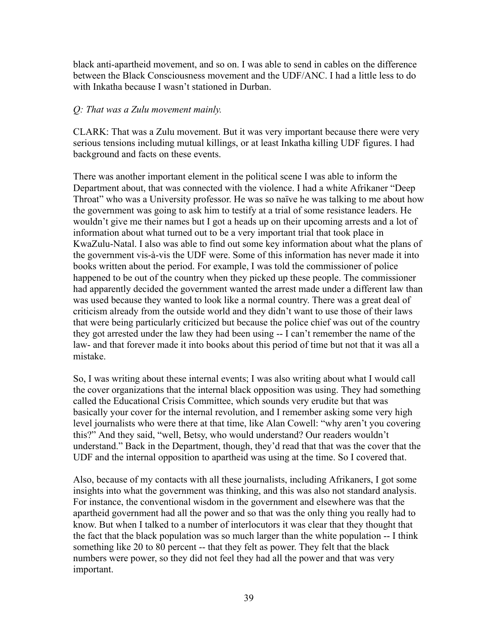black anti-apartheid movement, and so on. I was able to send in cables on the difference between the Black Consciousness movement and the UDF/ANC. I had a little less to do with Inkatha because I wasn't stationed in Durban.

### *Q: That was a Zulu movement mainly.*

CLARK: That was a Zulu movement. But it was very important because there were very serious tensions including mutual killings, or at least Inkatha killing UDF figures. I had background and facts on these events.

There was another important element in the political scene I was able to inform the Department about, that was connected with the violence. I had a white Afrikaner "Deep Throat" who was a University professor. He was so naïve he was talking to me about how the government was going to ask him to testify at a trial of some resistance leaders. He wouldn't give me their names but I got a heads up on their upcoming arrests and a lot of information about what turned out to be a very important trial that took place in KwaZulu-Natal. I also was able to find out some key information about what the plans of the government vis-à-vis the UDF were. Some of this information has never made it into books written about the period. For example, I was told the commissioner of police happened to be out of the country when they picked up these people. The commissioner had apparently decided the government wanted the arrest made under a different law than was used because they wanted to look like a normal country. There was a great deal of criticism already from the outside world and they didn't want to use those of their laws that were being particularly criticized but because the police chief was out of the country they got arrested under the law they had been using -- I can't remember the name of the law- and that forever made it into books about this period of time but not that it was all a mistake.

So, I was writing about these internal events; I was also writing about what I would call the cover organizations that the internal black opposition was using. They had something called the Educational Crisis Committee, which sounds very erudite but that was basically your cover for the internal revolution, and I remember asking some very high level journalists who were there at that time, like Alan Cowell: "why aren't you covering this?" And they said, "well, Betsy, who would understand? Our readers wouldn't understand." Back in the Department, though, they'd read that that was the cover that the UDF and the internal opposition to apartheid was using at the time. So I covered that.

Also, because of my contacts with all these journalists, including Afrikaners, I got some insights into what the government was thinking, and this was also not standard analysis. For instance, the conventional wisdom in the government and elsewhere was that the apartheid government had all the power and so that was the only thing you really had to know. But when I talked to a number of interlocutors it was clear that they thought that the fact that the black population was so much larger than the white population -- I think something like 20 to 80 percent -- that they felt as power. They felt that the black numbers were power, so they did not feel they had all the power and that was very important.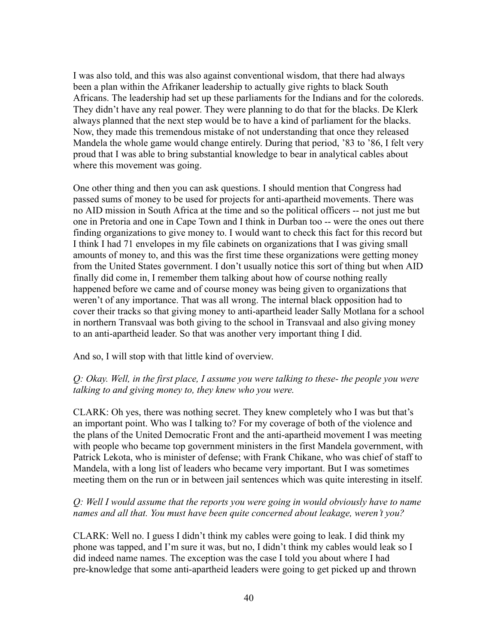I was also told, and this was also against conventional wisdom, that there had always been a plan within the Afrikaner leadership to actually give rights to black South Africans. The leadership had set up these parliaments for the Indians and for the coloreds. They didn't have any real power. They were planning to do that for the blacks. De Klerk always planned that the next step would be to have a kind of parliament for the blacks. Now, they made this tremendous mistake of not understanding that once they released Mandela the whole game would change entirely. During that period, '83 to '86, I felt very proud that I was able to bring substantial knowledge to bear in analytical cables about where this movement was going.

One other thing and then you can ask questions. I should mention that Congress had passed sums of money to be used for projects for anti-apartheid movements. There was no AID mission in South Africa at the time and so the political officers -- not just me but one in Pretoria and one in Cape Town and I think in Durban too -- were the ones out there finding organizations to give money to. I would want to check this fact for this record but I think I had 71 envelopes in my file cabinets on organizations that I was giving small amounts of money to, and this was the first time these organizations were getting money from the United States government. I don't usually notice this sort of thing but when AID finally did come in, I remember them talking about how of course nothing really happened before we came and of course money was being given to organizations that weren't of any importance. That was all wrong. The internal black opposition had to cover their tracks so that giving money to anti-apartheid leader Sally Motlana for a school in northern Transvaal was both giving to the school in Transvaal and also giving money to an anti-apartheid leader. So that was another very important thing I did.

And so, I will stop with that little kind of overview.

### *Q: Okay. Well, in the first place, I assume you were talking to these- the people you were talking to and giving money to, they knew who you were.*

CLARK: Oh yes, there was nothing secret. They knew completely who I was but that's an important point. Who was I talking to? For my coverage of both of the violence and the plans of the United Democratic Front and the anti-apartheid movement I was meeting with people who became top government ministers in the first Mandela government, with Patrick Lekota, who is minister of defense; with Frank Chikane, who was chief of staff to Mandela, with a long list of leaders who became very important. But I was sometimes meeting them on the run or in between jail sentences which was quite interesting in itself.

# *Q: Well I would assume that the reports you were going in would obviously have to name names and all that. You must have been quite concerned about leakage, weren't you?*

CLARK: Well no. I guess I didn't think my cables were going to leak. I did think my phone was tapped, and I'm sure it was, but no, I didn't think my cables would leak so I did indeed name names. The exception was the case I told you about where I had pre-knowledge that some anti-apartheid leaders were going to get picked up and thrown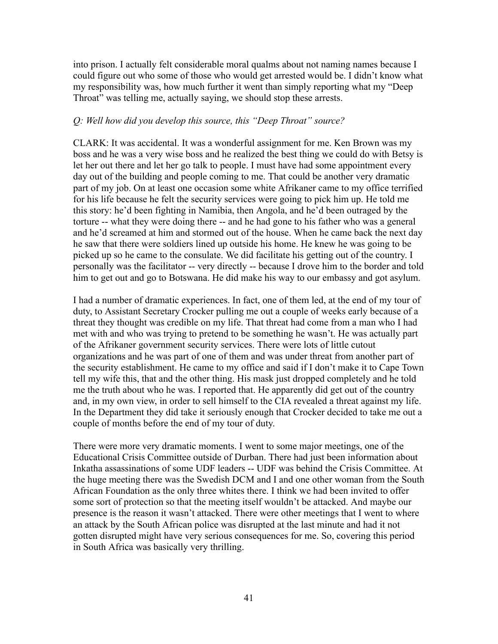into prison. I actually felt considerable moral qualms about not naming names because I could figure out who some of those who would get arrested would be. I didn't know what my responsibility was, how much further it went than simply reporting what my "Deep Throat" was telling me, actually saying, we should stop these arrests.

#### *Q: Well how did you develop this source, this "Deep Throat" source?*

CLARK: It was accidental. It was a wonderful assignment for me. Ken Brown was my boss and he was a very wise boss and he realized the best thing we could do with Betsy is let her out there and let her go talk to people. I must have had some appointment every day out of the building and people coming to me. That could be another very dramatic part of my job. On at least one occasion some white Afrikaner came to my office terrified for his life because he felt the security services were going to pick him up. He told me this story: he'd been fighting in Namibia, then Angola, and he'd been outraged by the torture -- what they were doing there -- and he had gone to his father who was a general and he'd screamed at him and stormed out of the house. When he came back the next day he saw that there were soldiers lined up outside his home. He knew he was going to be picked up so he came to the consulate. We did facilitate his getting out of the country. I personally was the facilitator -- very directly -- because I drove him to the border and told him to get out and go to Botswana. He did make his way to our embassy and got asylum.

I had a number of dramatic experiences. In fact, one of them led, at the end of my tour of duty, to Assistant Secretary Crocker pulling me out a couple of weeks early because of a threat they thought was credible on my life. That threat had come from a man who I had met with and who was trying to pretend to be something he wasn't. He was actually part of the Afrikaner government security services. There were lots of little cutout organizations and he was part of one of them and was under threat from another part of the security establishment. He came to my office and said if I don't make it to Cape Town tell my wife this, that and the other thing. His mask just dropped completely and he told me the truth about who he was. I reported that. He apparently did get out of the country and, in my own view, in order to sell himself to the CIA revealed a threat against my life. In the Department they did take it seriously enough that Crocker decided to take me out a couple of months before the end of my tour of duty.

There were more very dramatic moments. I went to some major meetings, one of the Educational Crisis Committee outside of Durban. There had just been information about Inkatha assassinations of some UDF leaders -- UDF was behind the Crisis Committee. At the huge meeting there was the Swedish DCM and I and one other woman from the South African Foundation as the only three whites there. I think we had been invited to offer some sort of protection so that the meeting itself wouldn't be attacked. And maybe our presence is the reason it wasn't attacked. There were other meetings that I went to where an attack by the South African police was disrupted at the last minute and had it not gotten disrupted might have very serious consequences for me. So, covering this period in South Africa was basically very thrilling.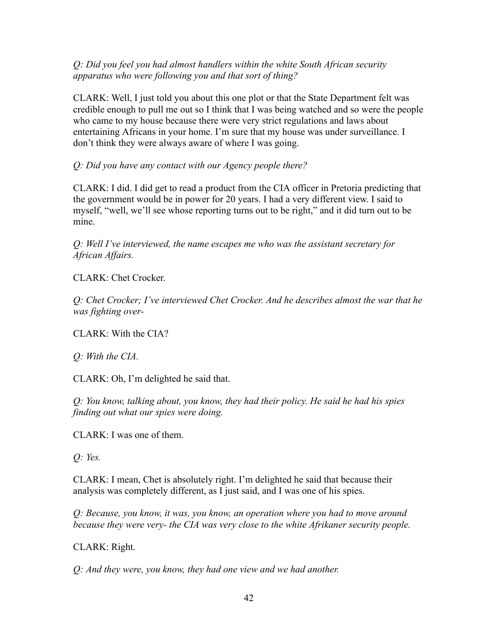*Q: Did you feel you had almost handlers within the white South African security apparatus who were following you and that sort of thing?*

CLARK: Well, I just told you about this one plot or that the State Department felt was credible enough to pull me out so I think that I was being watched and so were the people who came to my house because there were very strict regulations and laws about entertaining Africans in your home. I'm sure that my house was under surveillance. I don't think they were always aware of where I was going.

*Q: Did you have any contact with our Agency people there?*

CLARK: I did. I did get to read a product from the CIA officer in Pretoria predicting that the government would be in power for 20 years. I had a very different view. I said to myself, "well, we'll see whose reporting turns out to be right," and it did turn out to be mine.

*Q: Well I've interviewed, the name escapes me who was the assistant secretary for African Affairs.*

CLARK: Chet Crocker.

*Q: Chet Crocker; I've interviewed Chet Crocker. And he describes almost the war that he was fighting over-*

CLARK: With the CIA?

*Q: With the CIA.*

CLARK: Oh, I'm delighted he said that.

*Q: You know, talking about, you know, they had their policy. He said he had his spies finding out what our spies were doing.*

CLARK: I was one of them.

*Q: Yes.*

CLARK: I mean, Chet is absolutely right. I'm delighted he said that because their analysis was completely different, as I just said, and I was one of his spies.

*Q: Because, you know, it was, you know, an operation where you had to move around because they were very- the CIA was very close to the white Afrikaner security people.*

CLARK: Right.

*Q: And they were, you know, they had one view and we had another.*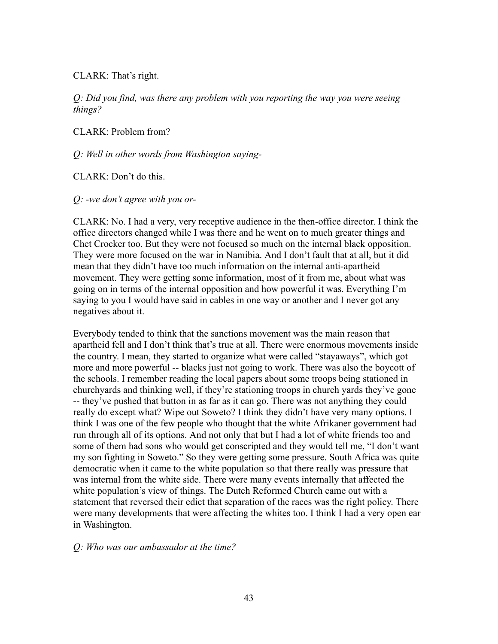CLARK: That's right.

*Q: Did you find, was there any problem with you reporting the way you were seeing things?*

CLARK: Problem from?

*Q: Well in other words from Washington saying-*

CLARK: Don't do this.

*Q: -we don't agree with you or-*

CLARK: No. I had a very, very receptive audience in the then-office director. I think the office directors changed while I was there and he went on to much greater things and Chet Crocker too. But they were not focused so much on the internal black opposition. They were more focused on the war in Namibia. And I don't fault that at all, but it did mean that they didn't have too much information on the internal anti-apartheid movement. They were getting some information, most of it from me, about what was going on in terms of the internal opposition and how powerful it was. Everything I'm saying to you I would have said in cables in one way or another and I never got any negatives about it.

Everybody tended to think that the sanctions movement was the main reason that apartheid fell and I don't think that's true at all. There were enormous movements inside the country. I mean, they started to organize what were called "stayaways", which got more and more powerful -- blacks just not going to work. There was also the boycott of the schools. I remember reading the local papers about some troops being stationed in churchyards and thinking well, if they're stationing troops in church yards they've gone -- they've pushed that button in as far as it can go. There was not anything they could really do except what? Wipe out Soweto? I think they didn't have very many options. I think I was one of the few people who thought that the white Afrikaner government had run through all of its options. And not only that but I had a lot of white friends too and some of them had sons who would get conscripted and they would tell me, "I don't want my son fighting in Soweto." So they were getting some pressure. South Africa was quite democratic when it came to the white population so that there really was pressure that was internal from the white side. There were many events internally that affected the white population's view of things. The Dutch Reformed Church came out with a statement that reversed their edict that separation of the races was the right policy. There were many developments that were affecting the whites too. I think I had a very open ear in Washington.

#### *Q: Who was our ambassador at the time?*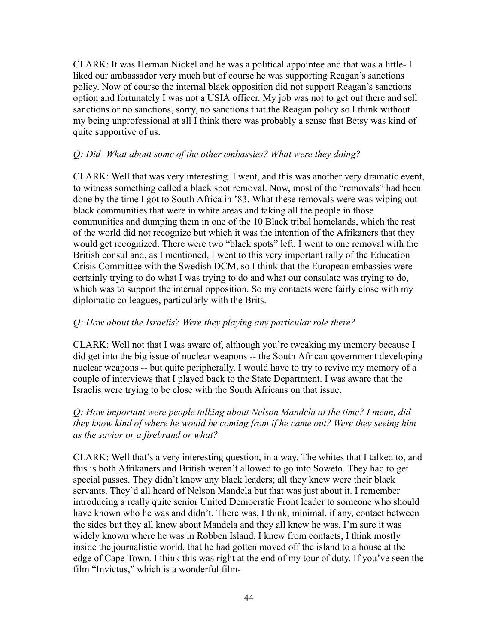CLARK: It was Herman Nickel and he was a political appointee and that was a little- I liked our ambassador very much but of course he was supporting Reagan's sanctions policy. Now of course the internal black opposition did not support Reagan's sanctions option and fortunately I was not a USIA officer. My job was not to get out there and sell sanctions or no sanctions, sorry, no sanctions that the Reagan policy so I think without my being unprofessional at all I think there was probably a sense that Betsy was kind of quite supportive of us.

### *Q: Did- What about some of the other embassies? What were they doing?*

CLARK: Well that was very interesting. I went, and this was another very dramatic event, to witness something called a black spot removal. Now, most of the "removals" had been done by the time I got to South Africa in '83. What these removals were was wiping out black communities that were in white areas and taking all the people in those communities and dumping them in one of the 10 Black tribal homelands, which the rest of the world did not recognize but which it was the intention of the Afrikaners that they would get recognized. There were two "black spots" left. I went to one removal with the British consul and, as I mentioned, I went to this very important rally of the Education Crisis Committee with the Swedish DCM, so I think that the European embassies were certainly trying to do what I was trying to do and what our consulate was trying to do, which was to support the internal opposition. So my contacts were fairly close with my diplomatic colleagues, particularly with the Brits.

### *Q: How about the Israelis? Were they playing any particular role there?*

CLARK: Well not that I was aware of, although you're tweaking my memory because I did get into the big issue of nuclear weapons -- the South African government developing nuclear weapons -- but quite peripherally. I would have to try to revive my memory of a couple of interviews that I played back to the State Department. I was aware that the Israelis were trying to be close with the South Africans on that issue.

### *Q: How important were people talking about Nelson Mandela at the time? I mean, did they know kind of where he would be coming from if he came out? Were they seeing him as the savior or a firebrand or what?*

CLARK: Well that's a very interesting question, in a way. The whites that I talked to, and this is both Afrikaners and British weren't allowed to go into Soweto. They had to get special passes. They didn't know any black leaders; all they knew were their black servants. They'd all heard of Nelson Mandela but that was just about it. I remember introducing a really quite senior United Democratic Front leader to someone who should have known who he was and didn't. There was, I think, minimal, if any, contact between the sides but they all knew about Mandela and they all knew he was. I'm sure it was widely known where he was in Robben Island. I knew from contacts, I think mostly inside the journalistic world, that he had gotten moved off the island to a house at the edge of Cape Town. I think this was right at the end of my tour of duty. If you've seen the film "Invictus," which is a wonderful film-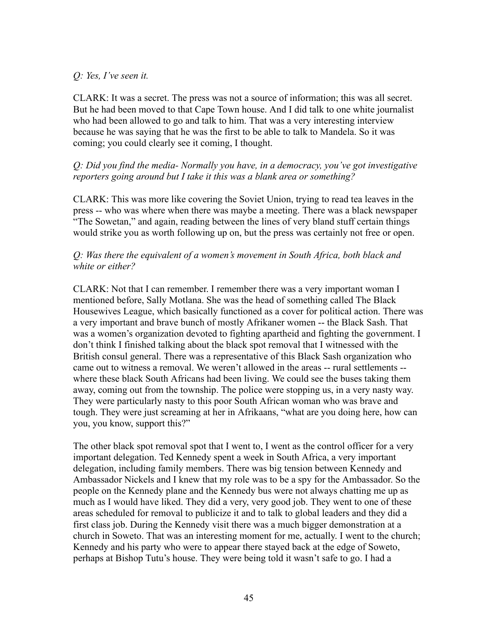#### *Q: Yes, I've seen it.*

CLARK: It was a secret. The press was not a source of information; this was all secret. But he had been moved to that Cape Town house. And I did talk to one white journalist who had been allowed to go and talk to him. That was a very interesting interview because he was saying that he was the first to be able to talk to Mandela. So it was coming; you could clearly see it coming, I thought.

### *Q: Did you find the media- Normally you have, in a democracy, you've got investigative reporters going around but I take it this was a blank area or something?*

CLARK: This was more like covering the Soviet Union, trying to read tea leaves in the press -- who was where when there was maybe a meeting. There was a black newspaper "The Sowetan," and again, reading between the lines of very bland stuff certain things would strike you as worth following up on, but the press was certainly not free or open.

### *Q: Was there the equivalent of a women's movement in South Africa, both black and white or either?*

CLARK: Not that I can remember. I remember there was a very important woman I mentioned before, Sally Motlana. She was the head of something called The Black Housewives League, which basically functioned as a cover for political action. There was a very important and brave bunch of mostly Afrikaner women -- the Black Sash. That was a women's organization devoted to fighting apartheid and fighting the government. I don't think I finished talking about the black spot removal that I witnessed with the British consul general. There was a representative of this Black Sash organization who came out to witness a removal. We weren't allowed in the areas -- rural settlements - where these black South Africans had been living. We could see the buses taking them away, coming out from the township. The police were stopping us, in a very nasty way. They were particularly nasty to this poor South African woman who was brave and tough. They were just screaming at her in Afrikaans, "what are you doing here, how can you, you know, support this?"

The other black spot removal spot that I went to, I went as the control officer for a very important delegation. Ted Kennedy spent a week in South Africa, a very important delegation, including family members. There was big tension between Kennedy and Ambassador Nickels and I knew that my role was to be a spy for the Ambassador. So the people on the Kennedy plane and the Kennedy bus were not always chatting me up as much as I would have liked. They did a very, very good job. They went to one of these areas scheduled for removal to publicize it and to talk to global leaders and they did a first class job. During the Kennedy visit there was a much bigger demonstration at a church in Soweto. That was an interesting moment for me, actually. I went to the church; Kennedy and his party who were to appear there stayed back at the edge of Soweto, perhaps at Bishop Tutu's house. They were being told it wasn't safe to go. I had a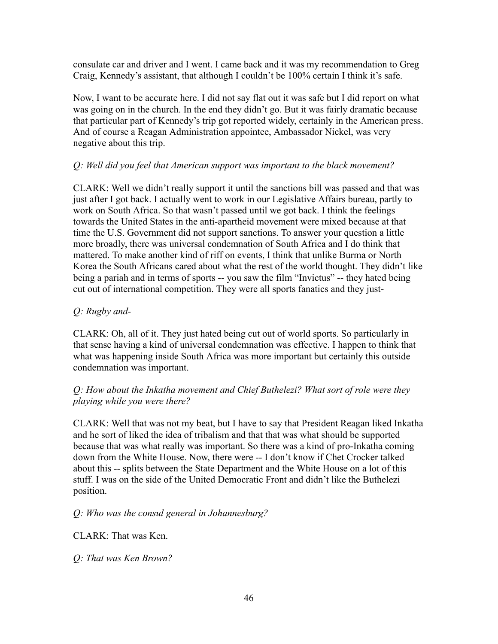consulate car and driver and I went. I came back and it was my recommendation to Greg Craig, Kennedy's assistant, that although I couldn't be 100% certain I think it's safe.

Now, I want to be accurate here. I did not say flat out it was safe but I did report on what was going on in the church. In the end they didn't go. But it was fairly dramatic because that particular part of Kennedy's trip got reported widely, certainly in the American press. And of course a Reagan Administration appointee, Ambassador Nickel, was very negative about this trip.

# *Q: Well did you feel that American support was important to the black movement?*

CLARK: Well we didn't really support it until the sanctions bill was passed and that was just after I got back. I actually went to work in our Legislative Affairs bureau, partly to work on South Africa. So that wasn't passed until we got back. I think the feelings towards the United States in the anti-apartheid movement were mixed because at that time the U.S. Government did not support sanctions. To answer your question a little more broadly, there was universal condemnation of South Africa and I do think that mattered. To make another kind of riff on events, I think that unlike Burma or North Korea the South Africans cared about what the rest of the world thought. They didn't like being a pariah and in terms of sports -- you saw the film "Invictus" -- they hated being cut out of international competition. They were all sports fanatics and they just-

# *Q: Rugby and-*

CLARK: Oh, all of it. They just hated being cut out of world sports. So particularly in that sense having a kind of universal condemnation was effective. I happen to think that what was happening inside South Africa was more important but certainly this outside condemnation was important.

# *Q: How about the Inkatha movement and Chief Buthelezi? What sort of role were they playing while you were there?*

CLARK: Well that was not my beat, but I have to say that President Reagan liked Inkatha and he sort of liked the idea of tribalism and that that was what should be supported because that was what really was important. So there was a kind of pro-Inkatha coming down from the White House. Now, there were -- I don't know if Chet Crocker talked about this -- splits between the State Department and the White House on a lot of this stuff. I was on the side of the United Democratic Front and didn't like the Buthelezi position.

# *Q: Who was the consul general in Johannesburg?*

CLARK: That was Ken.

*Q: That was Ken Brown?*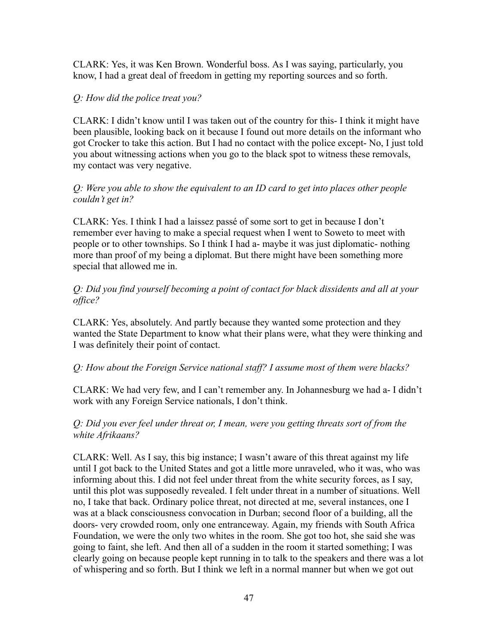CLARK: Yes, it was Ken Brown. Wonderful boss. As I was saying, particularly, you know, I had a great deal of freedom in getting my reporting sources and so forth.

## *Q: How did the police treat you?*

CLARK: I didn't know until I was taken out of the country for this- I think it might have been plausible, looking back on it because I found out more details on the informant who got Crocker to take this action. But I had no contact with the police except- No, I just told you about witnessing actions when you go to the black spot to witness these removals, my contact was very negative.

## *Q: Were you able to show the equivalent to an ID card to get into places other people couldn't get in?*

CLARK: Yes. I think I had a laissez passé of some sort to get in because I don't remember ever having to make a special request when I went to Soweto to meet with people or to other townships. So I think I had a- maybe it was just diplomatic- nothing more than proof of my being a diplomat. But there might have been something more special that allowed me in.

## *Q: Did you find yourself becoming a point of contact for black dissidents and all at your office?*

CLARK: Yes, absolutely. And partly because they wanted some protection and they wanted the State Department to know what their plans were, what they were thinking and I was definitely their point of contact.

# *Q: How about the Foreign Service national staff? I assume most of them were blacks?*

CLARK: We had very few, and I can't remember any. In Johannesburg we had a- I didn't work with any Foreign Service nationals, I don't think.

### *Q: Did you ever feel under threat or, I mean, were you getting threats sort of from the white Afrikaans?*

CLARK: Well. As I say, this big instance; I wasn't aware of this threat against my life until I got back to the United States and got a little more unraveled, who it was, who was informing about this. I did not feel under threat from the white security forces, as I say, until this plot was supposedly revealed. I felt under threat in a number of situations. Well no, I take that back. Ordinary police threat, not directed at me, several instances, one I was at a black consciousness convocation in Durban; second floor of a building, all the doors- very crowded room, only one entranceway. Again, my friends with South Africa Foundation, we were the only two whites in the room. She got too hot, she said she was going to faint, she left. And then all of a sudden in the room it started something; I was clearly going on because people kept running in to talk to the speakers and there was a lot of whispering and so forth. But I think we left in a normal manner but when we got out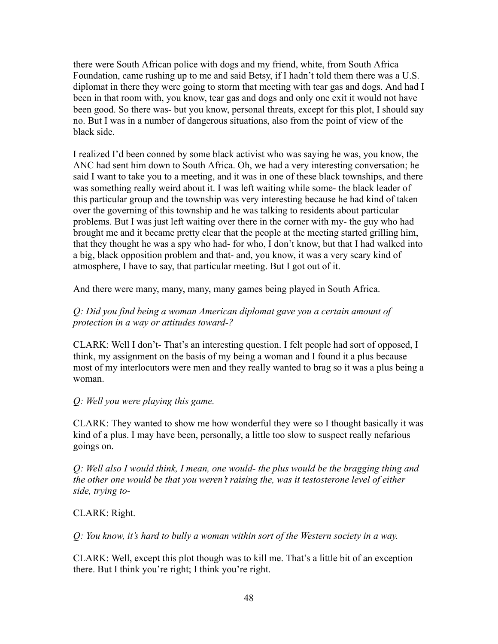there were South African police with dogs and my friend, white, from South Africa Foundation, came rushing up to me and said Betsy, if I hadn't told them there was a U.S. diplomat in there they were going to storm that meeting with tear gas and dogs. And had I been in that room with, you know, tear gas and dogs and only one exit it would not have been good. So there was- but you know, personal threats, except for this plot, I should say no. But I was in a number of dangerous situations, also from the point of view of the black side.

I realized I'd been conned by some black activist who was saying he was, you know, the ANC had sent him down to South Africa. Oh, we had a very interesting conversation; he said I want to take you to a meeting, and it was in one of these black townships, and there was something really weird about it. I was left waiting while some- the black leader of this particular group and the township was very interesting because he had kind of taken over the governing of this township and he was talking to residents about particular problems. But I was just left waiting over there in the corner with my- the guy who had brought me and it became pretty clear that the people at the meeting started grilling him, that they thought he was a spy who had- for who, I don't know, but that I had walked into a big, black opposition problem and that- and, you know, it was a very scary kind of atmosphere, I have to say, that particular meeting. But I got out of it.

And there were many, many, many, many games being played in South Africa.

# *Q: Did you find being a woman American diplomat gave you a certain amount of protection in a way or attitudes toward-?*

CLARK: Well I don't- That's an interesting question. I felt people had sort of opposed, I think, my assignment on the basis of my being a woman and I found it a plus because most of my interlocutors were men and they really wanted to brag so it was a plus being a woman.

*Q: Well you were playing this game.*

CLARK: They wanted to show me how wonderful they were so I thought basically it was kind of a plus. I may have been, personally, a little too slow to suspect really nefarious goings on.

*Q: Well also I would think, I mean, one would- the plus would be the bragging thing and the other one would be that you weren't raising the, was it testosterone level of either side, trying to-*

# CLARK: Right.

*Q: You know, it's hard to bully a woman within sort of the Western society in a way.*

CLARK: Well, except this plot though was to kill me. That's a little bit of an exception there. But I think you're right; I think you're right.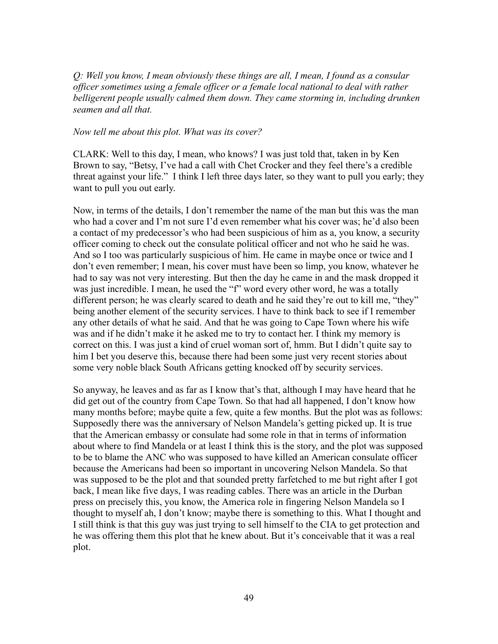*Q: Well you know, I mean obviously these things are all, I mean, I found as a consular officer sometimes using a female officer or a female local national to deal with rather belligerent people usually calmed them down. They came storming in, including drunken seamen and all that.*

#### *Now tell me about this plot. What was its cover?*

CLARK: Well to this day, I mean, who knows? I was just told that, taken in by Ken Brown to say, "Betsy, I've had a call with Chet Crocker and they feel there's a credible threat against your life." I think I left three days later, so they want to pull you early; they want to pull you out early.

Now, in terms of the details, I don't remember the name of the man but this was the man who had a cover and I'm not sure I'd even remember what his cover was; he'd also been a contact of my predecessor's who had been suspicious of him as a, you know, a security officer coming to check out the consulate political officer and not who he said he was. And so I too was particularly suspicious of him. He came in maybe once or twice and I don't even remember; I mean, his cover must have been so limp, you know, whatever he had to say was not very interesting. But then the day he came in and the mask dropped it was just incredible. I mean, he used the "f" word every other word, he was a totally different person; he was clearly scared to death and he said they're out to kill me, "they" being another element of the security services. I have to think back to see if I remember any other details of what he said. And that he was going to Cape Town where his wife was and if he didn't make it he asked me to try to contact her. I think my memory is correct on this. I was just a kind of cruel woman sort of, hmm. But I didn't quite say to him I bet you deserve this, because there had been some just very recent stories about some very noble black South Africans getting knocked off by security services.

So anyway, he leaves and as far as I know that's that, although I may have heard that he did get out of the country from Cape Town. So that had all happened, I don't know how many months before; maybe quite a few, quite a few months. But the plot was as follows: Supposedly there was the anniversary of Nelson Mandela's getting picked up. It is true that the American embassy or consulate had some role in that in terms of information about where to find Mandela or at least I think this is the story, and the plot was supposed to be to blame the ANC who was supposed to have killed an American consulate officer because the Americans had been so important in uncovering Nelson Mandela. So that was supposed to be the plot and that sounded pretty farfetched to me but right after I got back, I mean like five days, I was reading cables. There was an article in the Durban press on precisely this, you know, the America role in fingering Nelson Mandela so I thought to myself ah, I don't know; maybe there is something to this. What I thought and I still think is that this guy was just trying to sell himself to the CIA to get protection and he was offering them this plot that he knew about. But it's conceivable that it was a real plot.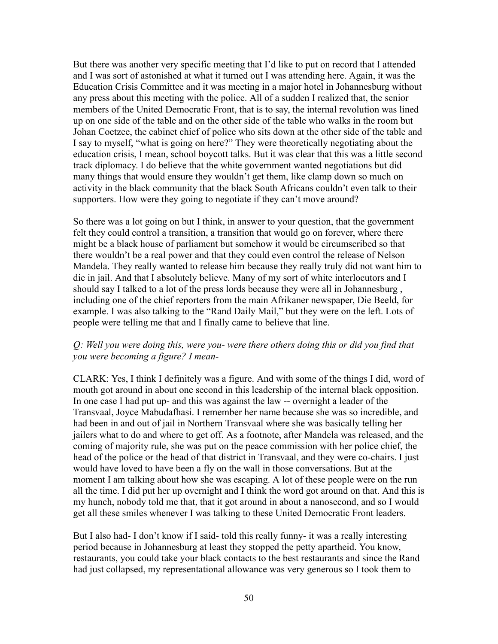But there was another very specific meeting that I'd like to put on record that I attended and I was sort of astonished at what it turned out I was attending here. Again, it was the Education Crisis Committee and it was meeting in a major hotel in Johannesburg without any press about this meeting with the police. All of a sudden I realized that, the senior members of the United Democratic Front, that is to say, the internal revolution was lined up on one side of the table and on the other side of the table who walks in the room but Johan Coetzee, the cabinet chief of police who sits down at the other side of the table and I say to myself, "what is going on here?" They were theoretically negotiating about the education crisis, I mean, school boycott talks. But it was clear that this was a little second track diplomacy. I do believe that the white government wanted negotiations but did many things that would ensure they wouldn't get them, like clamp down so much on activity in the black community that the black South Africans couldn't even talk to their supporters. How were they going to negotiate if they can't move around?

So there was a lot going on but I think, in answer to your question, that the government felt they could control a transition, a transition that would go on forever, where there might be a black house of parliament but somehow it would be circumscribed so that there wouldn't be a real power and that they could even control the release of Nelson Mandela. They really wanted to release him because they really truly did not want him to die in jail. And that I absolutely believe. Many of my sort of white interlocutors and I should say I talked to a lot of the press lords because they were all in Johannesburg , including one of the chief reporters from the main Afrikaner newspaper, Die Beeld, for example. I was also talking to the "Rand Daily Mail," but they were on the left. Lots of people were telling me that and I finally came to believe that line.

### *Q: Well you were doing this, were you- were there others doing this or did you find that you were becoming a figure? I mean-*

CLARK: Yes, I think I definitely was a figure. And with some of the things I did, word of mouth got around in about one second in this leadership of the internal black opposition. In one case I had put up- and this was against the law -- overnight a leader of the Transvaal, Joyce Mabudafhasi. I remember her name because she was so incredible, and had been in and out of jail in Northern Transvaal where she was basically telling her jailers what to do and where to get off. As a footnote, after Mandela was released, and the coming of majority rule, she was put on the peace commission with her police chief, the head of the police or the head of that district in Transvaal, and they were co-chairs. I just would have loved to have been a fly on the wall in those conversations. But at the moment I am talking about how she was escaping. A lot of these people were on the run all the time. I did put her up overnight and I think the word got around on that. And this is my hunch, nobody told me that, that it got around in about a nanosecond, and so I would get all these smiles whenever I was talking to these United Democratic Front leaders.

But I also had-I don't know if I said- told this really funny- it was a really interesting period because in Johannesburg at least they stopped the petty apartheid. You know, restaurants, you could take your black contacts to the best restaurants and since the Rand had just collapsed, my representational allowance was very generous so I took them to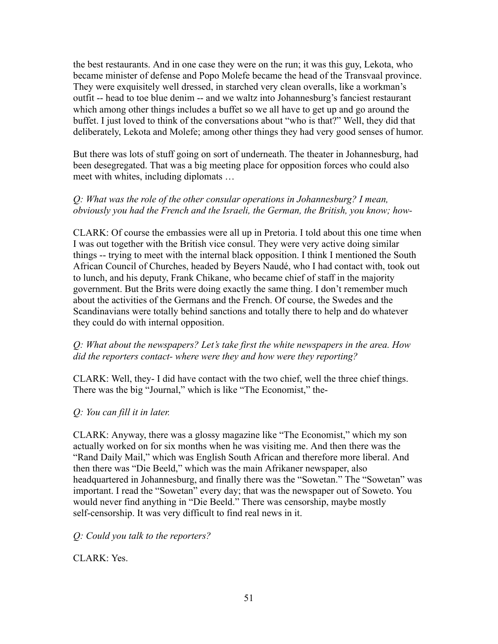the best restaurants. And in one case they were on the run; it was this guy, Lekota, who became minister of defense and Popo Molefe became the head of the Transvaal province. They were exquisitely well dressed, in starched very clean overalls, like a workman's outfit -- head to toe blue denim -- and we waltz into Johannesburg's fanciest restaurant which among other things includes a buffet so we all have to get up and go around the buffet. I just loved to think of the conversations about "who is that?" Well, they did that deliberately, Lekota and Molefe; among other things they had very good senses of humor.

But there was lots of stuff going on sort of underneath. The theater in Johannesburg, had been desegregated. That was a big meeting place for opposition forces who could also meet with whites, including diplomats …

## *Q: What was the role of the other consular operations in Johannesburg? I mean, obviously you had the French and the Israeli, the German, the British, you know; how-*

CLARK: Of course the embassies were all up in Pretoria. I told about this one time when I was out together with the British vice consul. They were very active doing similar things -- trying to meet with the internal black opposition. I think I mentioned the South African Council of Churches, headed by Beyers Naudé, who I had contact with, took out to lunch, and his deputy, Frank Chikane, who became chief of staff in the majority government. But the Brits were doing exactly the same thing. I don't remember much about the activities of the Germans and the French. Of course, the Swedes and the Scandinavians were totally behind sanctions and totally there to help and do whatever they could do with internal opposition.

### *Q: What about the newspapers? Let's take first the white newspapers in the area. How did the reporters contact- where were they and how were they reporting?*

CLARK: Well, they- I did have contact with the two chief, well the three chief things. There was the big "Journal," which is like "The Economist," the-

### *Q: You can fill it in later.*

CLARK: Anyway, there was a glossy magazine like "The Economist," which my son actually worked on for six months when he was visiting me. And then there was the "Rand Daily Mail," which was English South African and therefore more liberal. And then there was "Die Beeld," which was the main Afrikaner newspaper, also headquartered in Johannesburg, and finally there was the "Sowetan." The "Sowetan" was important. I read the "Sowetan" every day; that was the newspaper out of Soweto. You would never find anything in "Die Beeld." There was censorship, maybe mostly self-censorship. It was very difficult to find real news in it.

*Q: Could you talk to the reporters?*

CLARK: Yes.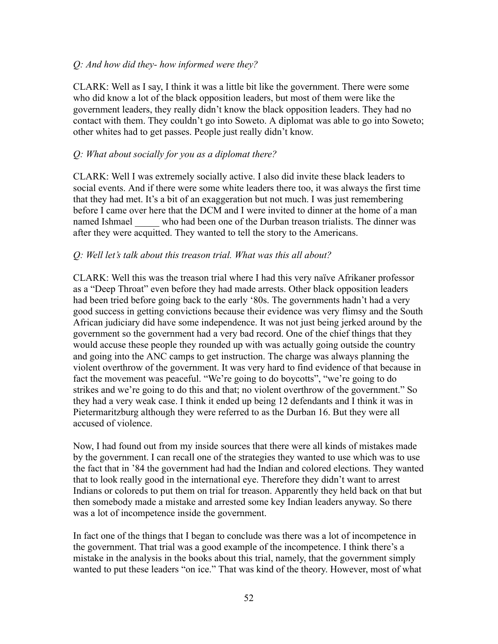### *Q: And how did they- how informed were they?*

CLARK: Well as I say, I think it was a little bit like the government. There were some who did know a lot of the black opposition leaders, but most of them were like the government leaders, they really didn't know the black opposition leaders. They had no contact with them. They couldn't go into Soweto. A diplomat was able to go into Soweto; other whites had to get passes. People just really didn't know.

### *Q: What about socially for you as a diplomat there?*

CLARK: Well I was extremely socially active. I also did invite these black leaders to social events. And if there were some white leaders there too, it was always the first time that they had met. It's a bit of an exaggeration but not much. I was just remembering before I came over here that the DCM and I were invited to dinner at the home of a man named Ishmael who had been one of the Durban treason trialists. The dinner was after they were acquitted. They wanted to tell the story to the Americans.

### *Q: Well let's talk about this treason trial. What was this all about?*

CLARK: Well this was the treason trial where I had this very naïve Afrikaner professor as a "Deep Throat" even before they had made arrests. Other black opposition leaders had been tried before going back to the early '80s. The governments hadn't had a very good success in getting convictions because their evidence was very flimsy and the South African judiciary did have some independence. It was not just being jerked around by the government so the government had a very bad record. One of the chief things that they would accuse these people they rounded up with was actually going outside the country and going into the ANC camps to get instruction. The charge was always planning the violent overthrow of the government. It was very hard to find evidence of that because in fact the movement was peaceful. "We're going to do boycotts", "we're going to do strikes and we're going to do this and that; no violent overthrow of the government." So they had a very weak case. I think it ended up being 12 defendants and I think it was in Pietermaritzburg although they were referred to as the Durban 16. But they were all accused of violence.

Now, I had found out from my inside sources that there were all kinds of mistakes made by the government. I can recall one of the strategies they wanted to use which was to use the fact that in '84 the government had had the Indian and colored elections. They wanted that to look really good in the international eye. Therefore they didn't want to arrest Indians or coloreds to put them on trial for treason. Apparently they held back on that but then somebody made a mistake and arrested some key Indian leaders anyway. So there was a lot of incompetence inside the government.

In fact one of the things that I began to conclude was there was a lot of incompetence in the government. That trial was a good example of the incompetence. I think there's a mistake in the analysis in the books about this trial, namely, that the government simply wanted to put these leaders "on ice." That was kind of the theory. However, most of what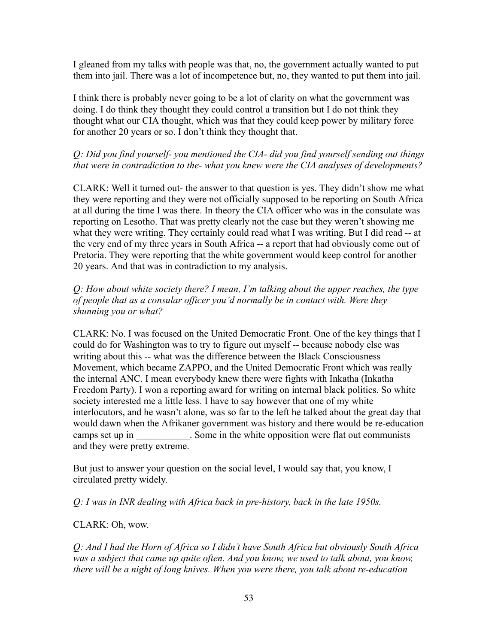I gleaned from my talks with people was that, no, the government actually wanted to put them into jail. There was a lot of incompetence but, no, they wanted to put them into jail.

I think there is probably never going to be a lot of clarity on what the government was doing. I do think they thought they could control a transition but I do not think they thought what our CIA thought, which was that they could keep power by military force for another 20 years or so. I don't think they thought that.

# *Q: Did you find yourself- you mentioned the CIA- did you find yourself sending out things that were in contradiction to the- what you knew were the CIA analyses of developments?*

CLARK: Well it turned out- the answer to that question is yes. They didn't show me what they were reporting and they were not officially supposed to be reporting on South Africa at all during the time I was there. In theory the CIA officer who was in the consulate was reporting on Lesotho. That was pretty clearly not the case but they weren't showing me what they were writing. They certainly could read what I was writing. But I did read -- at the very end of my three years in South Africa -- a report that had obviously come out of Pretoria. They were reporting that the white government would keep control for another 20 years. And that was in contradiction to my analysis.

*Q: How about white society there? I mean, I'm talking about the upper reaches, the type of people that as a consular officer you'd normally be in contact with. Were they shunning you or what?*

CLARK: No. I was focused on the United Democratic Front. One of the key things that I could do for Washington was to try to figure out myself -- because nobody else was writing about this -- what was the difference between the Black Consciousness Movement, which became ZAPPO, and the United Democratic Front which was really the internal ANC. I mean everybody knew there were fights with Inkatha (Inkatha Freedom Party). I won a reporting award for writing on internal black politics. So white society interested me a little less. I have to say however that one of my white interlocutors, and he wasn't alone, was so far to the left he talked about the great day that would dawn when the Afrikaner government was history and there would be re-education camps set up in . Some in the white opposition were flat out communists and they were pretty extreme.

But just to answer your question on the social level, I would say that, you know, I circulated pretty widely.

*Q: I was in INR dealing with Africa back in pre-history, back in the late 1950s.*

# CLARK: Oh, wow.

*Q: And I had the Horn of Africa so I didn't have South Africa but obviously South Africa was a subject that came up quite often. And you know, we used to talk about, you know, there will be a night of long knives. When you were there, you talk about re-education*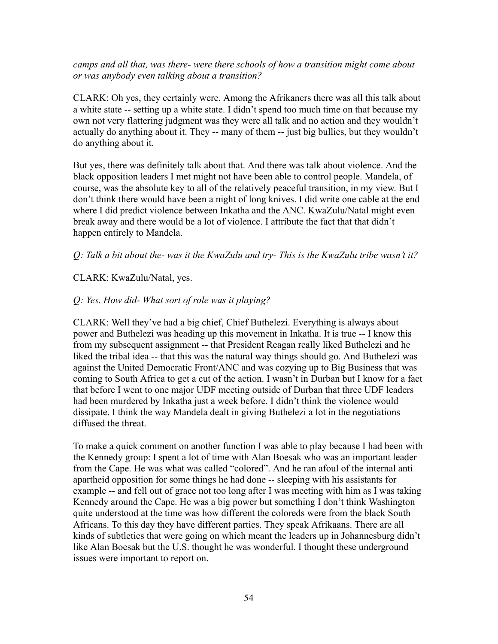*camps and all that, was there- were there schools of how a transition might come about or was anybody even talking about a transition?*

CLARK: Oh yes, they certainly were. Among the Afrikaners there was all this talk about a white state -- setting up a white state. I didn't spend too much time on that because my own not very flattering judgment was they were all talk and no action and they wouldn't actually do anything about it. They -- many of them -- just big bullies, but they wouldn't do anything about it.

But yes, there was definitely talk about that. And there was talk about violence. And the black opposition leaders I met might not have been able to control people. Mandela, of course, was the absolute key to all of the relatively peaceful transition, in my view. But I don't think there would have been a night of long knives. I did write one cable at the end where I did predict violence between Inkatha and the ANC. KwaZulu/Natal might even break away and there would be a lot of violence. I attribute the fact that that didn't happen entirely to Mandela.

*Q: Talk a bit about the- was it the KwaZulu and try- This is the KwaZulu tribe wasn't it?*

CLARK: KwaZulu/Natal, yes.

### *Q: Yes. How did- What sort of role was it playing?*

CLARK: Well they've had a big chief, Chief Buthelezi. Everything is always about power and Buthelezi was heading up this movement in Inkatha. It is true -- I know this from my subsequent assignment -- that President Reagan really liked Buthelezi and he liked the tribal idea -- that this was the natural way things should go. And Buthelezi was against the United Democratic Front/ANC and was cozying up to Big Business that was coming to South Africa to get a cut of the action. I wasn't in Durban but I know for a fact that before I went to one major UDF meeting outside of Durban that three UDF leaders had been murdered by Inkatha just a week before. I didn't think the violence would dissipate. I think the way Mandela dealt in giving Buthelezi a lot in the negotiations diffused the threat.

To make a quick comment on another function I was able to play because I had been with the Kennedy group: I spent a lot of time with Alan Boesak who was an important leader from the Cape. He was what was called "colored". And he ran afoul of the internal anti apartheid opposition for some things he had done -- sleeping with his assistants for example -- and fell out of grace not too long after I was meeting with him as I was taking Kennedy around the Cape. He was a big power but something I don't think Washington quite understood at the time was how different the coloreds were from the black South Africans. To this day they have different parties. They speak Afrikaans. There are all kinds of subtleties that were going on which meant the leaders up in Johannesburg didn't like Alan Boesak but the U.S. thought he was wonderful. I thought these underground issues were important to report on.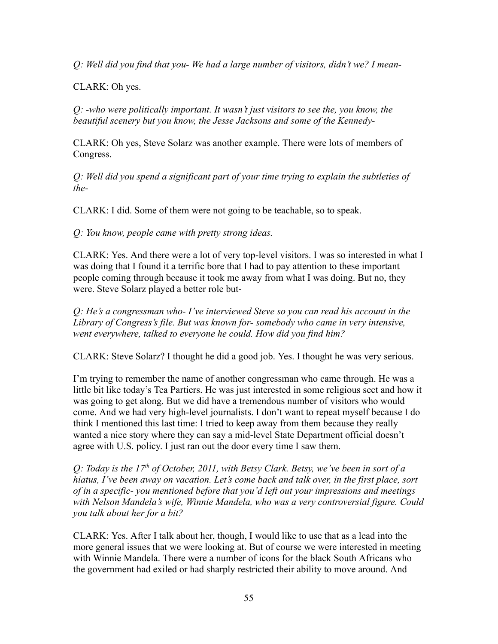*Q: Well did you find that you- We had a large number of visitors, didn't we? I mean-*

CLARK: Oh yes.

*Q: -who were politically important. It wasn't just visitors to see the, you know, the beautiful scenery but you know, the Jesse Jacksons and some of the Kennedy-*

CLARK: Oh yes, Steve Solarz was another example. There were lots of members of Congress.

*Q: Well did you spend a significant part of your time trying to explain the subtleties of the-*

CLARK: I did. Some of them were not going to be teachable, so to speak.

*Q: You know, people came with pretty strong ideas.*

CLARK: Yes. And there were a lot of very top-level visitors. I was so interested in what I was doing that I found it a terrific bore that I had to pay attention to these important people coming through because it took me away from what I was doing. But no, they were. Steve Solarz played a better role but-

*Q: He's a congressman who- I've interviewed Steve so you can read his account in the Library of Congress's file. But was known for- somebody who came in very intensive, went everywhere, talked to everyone he could. How did you find him?*

CLARK: Steve Solarz? I thought he did a good job. Yes. I thought he was very serious.

I'm trying to remember the name of another congressman who came through. He was a little bit like today's Tea Partiers. He was just interested in some religious sect and how it was going to get along. But we did have a tremendous number of visitors who would come. And we had very high-level journalists. I don't want to repeat myself because I do think I mentioned this last time: I tried to keep away from them because they really wanted a nice story where they can say a mid-level State Department official doesn't agree with U.S. policy. I just ran out the door every time I saw them.

*Q: Today is the 17th of October, 2011, with Betsy Clark. Betsy, we've been in sort of a hiatus, I've been away on vacation. Let's come back and talk over, in the first place, sort of in a specific- you mentioned before that you'd left out your impressions and meetings with Nelson Mandela's wife, Winnie Mandela, who was a very controversial figure. Could you talk about her for a bit?*

CLARK: Yes. After I talk about her, though, I would like to use that as a lead into the more general issues that we were looking at. But of course we were interested in meeting with Winnie Mandela. There were a number of icons for the black South Africans who the government had exiled or had sharply restricted their ability to move around. And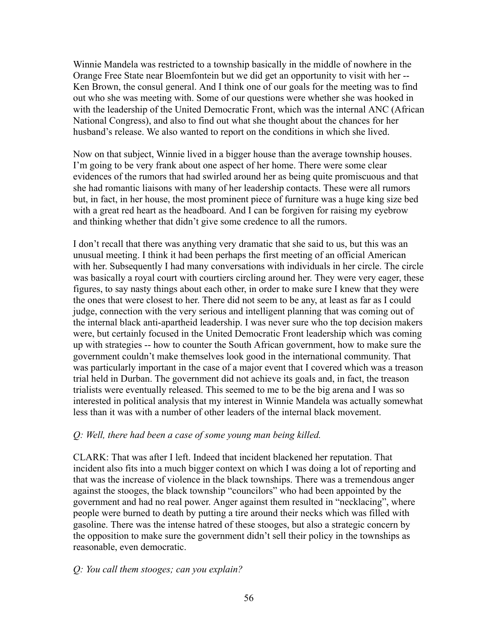Winnie Mandela was restricted to a township basically in the middle of nowhere in the Orange Free State near Bloemfontein but we did get an opportunity to visit with her -- Ken Brown, the consul general. And I think one of our goals for the meeting was to find out who she was meeting with. Some of our questions were whether she was hooked in with the leadership of the United Democratic Front, which was the internal ANC (African National Congress), and also to find out what she thought about the chances for her husband's release. We also wanted to report on the conditions in which she lived.

Now on that subject, Winnie lived in a bigger house than the average township houses. I'm going to be very frank about one aspect of her home. There were some clear evidences of the rumors that had swirled around her as being quite promiscuous and that she had romantic liaisons with many of her leadership contacts. These were all rumors but, in fact, in her house, the most prominent piece of furniture was a huge king size bed with a great red heart as the headboard. And I can be forgiven for raising my eyebrow and thinking whether that didn't give some credence to all the rumors.

I don't recall that there was anything very dramatic that she said to us, but this was an unusual meeting. I think it had been perhaps the first meeting of an official American with her. Subsequently I had many conversations with individuals in her circle. The circle was basically a royal court with courtiers circling around her. They were very eager, these figures, to say nasty things about each other, in order to make sure I knew that they were the ones that were closest to her. There did not seem to be any, at least as far as I could judge, connection with the very serious and intelligent planning that was coming out of the internal black anti-apartheid leadership. I was never sure who the top decision makers were, but certainly focused in the United Democratic Front leadership which was coming up with strategies -- how to counter the South African government, how to make sure the government couldn't make themselves look good in the international community. That was particularly important in the case of a major event that I covered which was a treason trial held in Durban. The government did not achieve its goals and, in fact, the treason trialists were eventually released. This seemed to me to be the big arena and I was so interested in political analysis that my interest in Winnie Mandela was actually somewhat less than it was with a number of other leaders of the internal black movement.

#### *Q: Well, there had been a case of some young man being killed.*

CLARK: That was after I left. Indeed that incident blackened her reputation. That incident also fits into a much bigger context on which I was doing a lot of reporting and that was the increase of violence in the black townships. There was a tremendous anger against the stooges, the black township "councilors" who had been appointed by the government and had no real power. Anger against them resulted in "necklacing", where people were burned to death by putting a tire around their necks which was filled with gasoline. There was the intense hatred of these stooges, but also a strategic concern by the opposition to make sure the government didn't sell their policy in the townships as reasonable, even democratic.

### *Q: You call them stooges; can you explain?*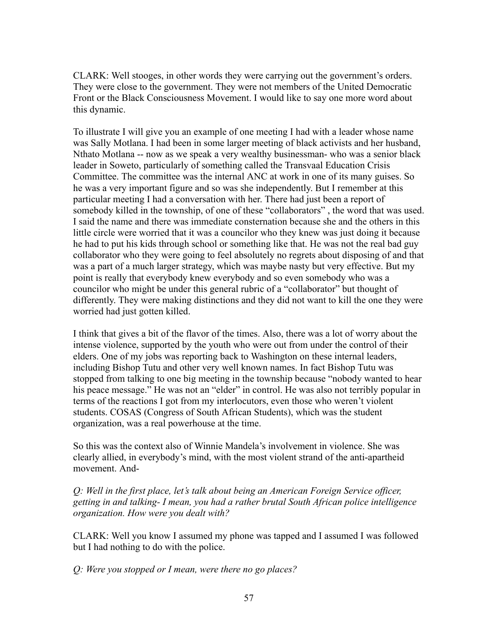CLARK: Well stooges, in other words they were carrying out the government's orders. They were close to the government. They were not members of the United Democratic Front or the Black Consciousness Movement. I would like to say one more word about this dynamic.

To illustrate I will give you an example of one meeting I had with a leader whose name was Sally Motlana. I had been in some larger meeting of black activists and her husband, Nthato Motlana -- now as we speak a very wealthy businessman- who was a senior black leader in Soweto, particularly of something called the Transvaal Education Crisis Committee. The committee was the internal ANC at work in one of its many guises. So he was a very important figure and so was she independently. But I remember at this particular meeting I had a conversation with her. There had just been a report of somebody killed in the township, of one of these "collaborators" , the word that was used. I said the name and there was immediate consternation because she and the others in this little circle were worried that it was a councilor who they knew was just doing it because he had to put his kids through school or something like that. He was not the real bad guy collaborator who they were going to feel absolutely no regrets about disposing of and that was a part of a much larger strategy, which was maybe nasty but very effective. But my point is really that everybody knew everybody and so even somebody who was a councilor who might be under this general rubric of a "collaborator" but thought of differently. They were making distinctions and they did not want to kill the one they were worried had just gotten killed.

I think that gives a bit of the flavor of the times. Also, there was a lot of worry about the intense violence, supported by the youth who were out from under the control of their elders. One of my jobs was reporting back to Washington on these internal leaders, including Bishop Tutu and other very well known names. In fact Bishop Tutu was stopped from talking to one big meeting in the township because "nobody wanted to hear his peace message." He was not an "elder" in control. He was also not terribly popular in terms of the reactions I got from my interlocutors, even those who weren't violent students. COSAS (Congress of South African Students), which was the student organization, was a real powerhouse at the time.

So this was the context also of Winnie Mandela's involvement in violence. She was clearly allied, in everybody's mind, with the most violent strand of the anti-apartheid movement. And-

*Q: Well in the first place, let's talk about being an American Foreign Service officer, getting in and talking- I mean, you had a rather brutal South African police intelligence organization. How were you dealt with?*

CLARK: Well you know I assumed my phone was tapped and I assumed I was followed but I had nothing to do with the police.

*Q: Were you stopped or I mean, were there no go places?*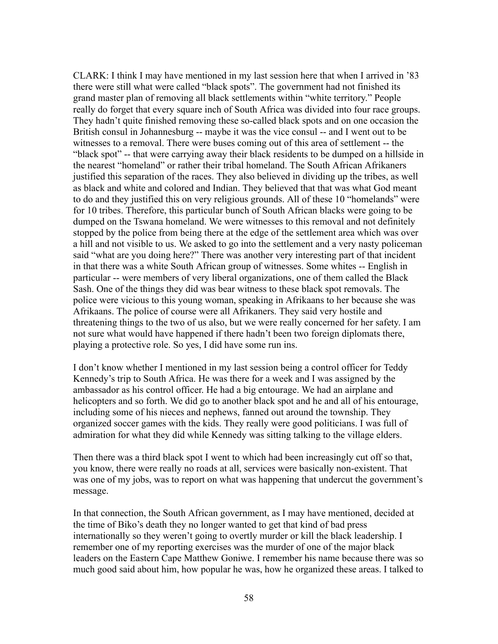CLARK: I think I may have mentioned in my last session here that when I arrived in '83 there were still what were called "black spots". The government had not finished its grand master plan of removing all black settlements within "white territory." People really do forget that every square inch of South Africa was divided into four race groups. They hadn't quite finished removing these so-called black spots and on one occasion the British consul in Johannesburg -- maybe it was the vice consul -- and I went out to be witnesses to a removal. There were buses coming out of this area of settlement -- the "black spot" -- that were carrying away their black residents to be dumped on a hillside in the nearest "homeland" or rather their tribal homeland. The South African Afrikaners justified this separation of the races. They also believed in dividing up the tribes, as well as black and white and colored and Indian. They believed that that was what God meant to do and they justified this on very religious grounds. All of these 10 "homelands" were for 10 tribes. Therefore, this particular bunch of South African blacks were going to be dumped on the Tswana homeland. We were witnesses to this removal and not definitely stopped by the police from being there at the edge of the settlement area which was over a hill and not visible to us. We asked to go into the settlement and a very nasty policeman said "what are you doing here?" There was another very interesting part of that incident in that there was a white South African group of witnesses. Some whites -- English in particular -- were members of very liberal organizations, one of them called the Black Sash. One of the things they did was bear witness to these black spot removals. The police were vicious to this young woman, speaking in Afrikaans to her because she was Afrikaans. The police of course were all Afrikaners. They said very hostile and threatening things to the two of us also, but we were really concerned for her safety. I am not sure what would have happened if there hadn't been two foreign diplomats there, playing a protective role. So yes, I did have some run ins.

I don't know whether I mentioned in my last session being a control officer for Teddy Kennedy's trip to South Africa. He was there for a week and I was assigned by the ambassador as his control officer. He had a big entourage. We had an airplane and helicopters and so forth. We did go to another black spot and he and all of his entourage, including some of his nieces and nephews, fanned out around the township. They organized soccer games with the kids. They really were good politicians. I was full of admiration for what they did while Kennedy was sitting talking to the village elders.

Then there was a third black spot I went to which had been increasingly cut off so that, you know, there were really no roads at all, services were basically non-existent. That was one of my jobs, was to report on what was happening that undercut the government's message.

In that connection, the South African government, as I may have mentioned, decided at the time of Biko's death they no longer wanted to get that kind of bad press internationally so they weren't going to overtly murder or kill the black leadership. I remember one of my reporting exercises was the murder of one of the major black leaders on the Eastern Cape Matthew Goniwe. I remember his name because there was so much good said about him, how popular he was, how he organized these areas. I talked to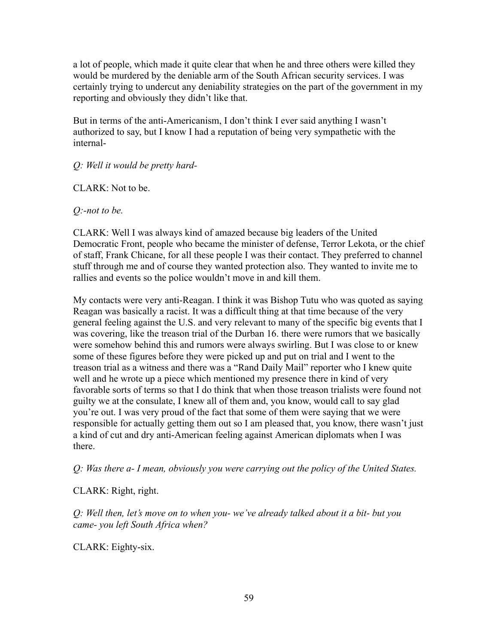a lot of people, which made it quite clear that when he and three others were killed they would be murdered by the deniable arm of the South African security services. I was certainly trying to undercut any deniability strategies on the part of the government in my reporting and obviously they didn't like that.

But in terms of the anti-Americanism, I don't think I ever said anything I wasn't authorized to say, but I know I had a reputation of being very sympathetic with the internal-

# *Q: Well it would be pretty hard-*

CLARK: Not to be.

*Q:-not to be.*

CLARK: Well I was always kind of amazed because big leaders of the United Democratic Front, people who became the minister of defense, Terror Lekota, or the chief of staff, Frank Chicane, for all these people I was their contact. They preferred to channel stuff through me and of course they wanted protection also. They wanted to invite me to rallies and events so the police wouldn't move in and kill them.

My contacts were very anti-Reagan. I think it was Bishop Tutu who was quoted as saying Reagan was basically a racist. It was a difficult thing at that time because of the very general feeling against the U.S. and very relevant to many of the specific big events that I was covering, like the treason trial of the Durban 16. there were rumors that we basically were somehow behind this and rumors were always swirling. But I was close to or knew some of these figures before they were picked up and put on trial and I went to the treason trial as a witness and there was a "Rand Daily Mail" reporter who I knew quite well and he wrote up a piece which mentioned my presence there in kind of very favorable sorts of terms so that I do think that when those treason trialists were found not guilty we at the consulate, I knew all of them and, you know, would call to say glad you're out. I was very proud of the fact that some of them were saying that we were responsible for actually getting them out so I am pleased that, you know, there wasn't just a kind of cut and dry anti-American feeling against American diplomats when I was there.

*Q: Was there a- I mean, obviously you were carrying out the policy of the United States.*

# CLARK: Right, right.

*Q: Well then, let's move on to when you- we've already talked about it a bit- but you came- you left South Africa when?*

CLARK: Eighty-six.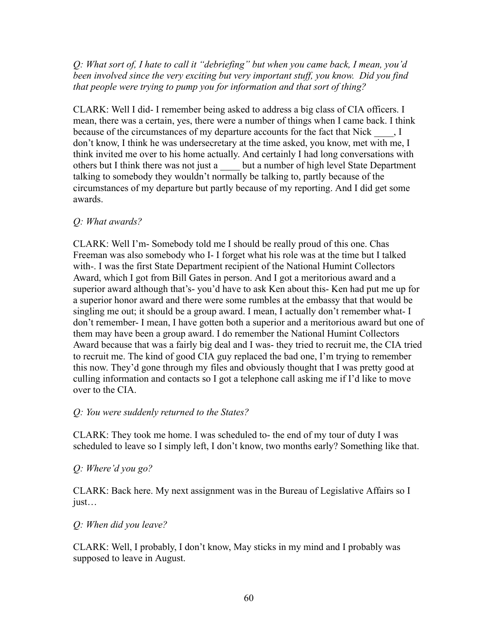# *Q: What sort of, I hate to call it "debriefing" but when you came back, I mean, you'd been involved since the very exciting but very important stuff, you know. Did you find that people were trying to pump you for information and that sort of thing?*

CLARK: Well I did- I remember being asked to address a big class of CIA officers. I mean, there was a certain, yes, there were a number of things when I came back. I think because of the circumstances of my departure accounts for the fact that Nick  $\qquad, I$ don't know, I think he was undersecretary at the time asked, you know, met with me, I think invited me over to his home actually. And certainly I had long conversations with others but I think there was not just a \_\_\_\_ but a number of high level State Department talking to somebody they wouldn't normally be talking to, partly because of the circumstances of my departure but partly because of my reporting. And I did get some awards.

### *Q: What awards?*

CLARK: Well I'm- Somebody told me I should be really proud of this one. Chas Freeman was also somebody who I- I forget what his role was at the time but I talked with-. I was the first State Department recipient of the National Humint Collectors Award, which I got from Bill Gates in person. And I got a meritorious award and a superior award although that's- you'd have to ask Ken about this- Ken had put me up for a superior honor award and there were some rumbles at the embassy that that would be singling me out; it should be a group award. I mean, I actually don't remember what- I don't remember- I mean, I have gotten both a superior and a meritorious award but one of them may have been a group award. I do remember the National Humint Collectors Award because that was a fairly big deal and I was- they tried to recruit me, the CIA tried to recruit me. The kind of good CIA guy replaced the bad one, I'm trying to remember this now. They'd gone through my files and obviously thought that I was pretty good at culling information and contacts so I got a telephone call asking me if I'd like to move over to the CIA.

# *Q: You were suddenly returned to the States?*

CLARK: They took me home. I was scheduled to- the end of my tour of duty I was scheduled to leave so I simply left, I don't know, two months early? Something like that.

# *Q: Where'd you go?*

CLARK: Back here. My next assignment was in the Bureau of Legislative Affairs so I just…

### *Q: When did you leave?*

CLARK: Well, I probably, I don't know, May sticks in my mind and I probably was supposed to leave in August.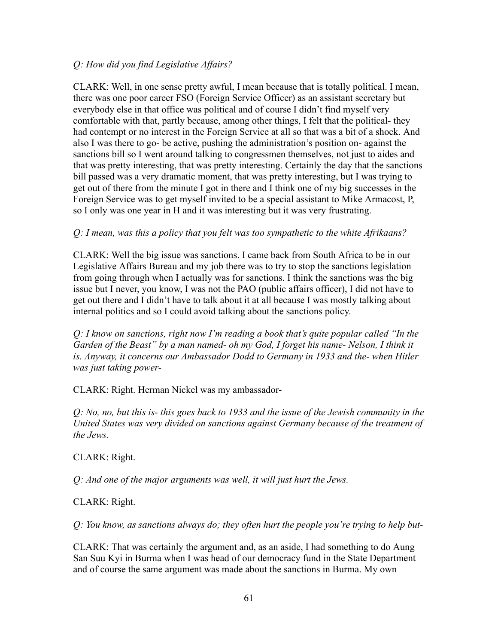### *Q: How did you find Legislative Affairs?*

CLARK: Well, in one sense pretty awful, I mean because that is totally political. I mean, there was one poor career FSO (Foreign Service Officer) as an assistant secretary but everybody else in that office was political and of course I didn't find myself very comfortable with that, partly because, among other things, I felt that the political- they had contempt or no interest in the Foreign Service at all so that was a bit of a shock. And also I was there to go- be active, pushing the administration's position on- against the sanctions bill so I went around talking to congressmen themselves, not just to aides and that was pretty interesting, that was pretty interesting. Certainly the day that the sanctions bill passed was a very dramatic moment, that was pretty interesting, but I was trying to get out of there from the minute I got in there and I think one of my big successes in the Foreign Service was to get myself invited to be a special assistant to Mike Armacost, P, so I only was one year in H and it was interesting but it was very frustrating.

### *Q: I mean, was this a policy that you felt was too sympathetic to the white Afrikaans?*

CLARK: Well the big issue was sanctions. I came back from South Africa to be in our Legislative Affairs Bureau and my job there was to try to stop the sanctions legislation from going through when I actually was for sanctions. I think the sanctions was the big issue but I never, you know, I was not the PAO (public affairs officer), I did not have to get out there and I didn't have to talk about it at all because I was mostly talking about internal politics and so I could avoid talking about the sanctions policy.

*Q: I know on sanctions, right now I'm reading a book that's quite popular called "In the Garden of the Beast" by a man named- oh my God, I forget his name- Nelson, I think it is. Anyway, it concerns our Ambassador Dodd to Germany in 1933 and the- when Hitler was just taking power-*

CLARK: Right. Herman Nickel was my ambassador-

*Q: No, no, but this is- this goes back to 1933 and the issue of the Jewish community in the United States was very divided on sanctions against Germany because of the treatment of the Jews.*

CLARK: Right.

*Q: And one of the major arguments was well, it will just hurt the Jews.*

### CLARK: Right.

*Q: You know, as sanctions always do; they often hurt the people you're trying to help but-*

CLARK: That was certainly the argument and, as an aside, I had something to do Aung San Suu Kyi in Burma when I was head of our democracy fund in the State Department and of course the same argument was made about the sanctions in Burma. My own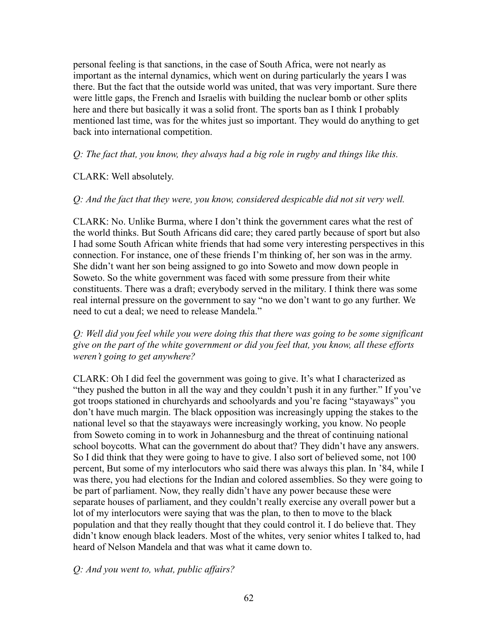personal feeling is that sanctions, in the case of South Africa, were not nearly as important as the internal dynamics, which went on during particularly the years I was there. But the fact that the outside world was united, that was very important. Sure there were little gaps, the French and Israelis with building the nuclear bomb or other splits here and there but basically it was a solid front. The sports ban as I think I probably mentioned last time, was for the whites just so important. They would do anything to get back into international competition.

*Q: The fact that, you know, they always had a big role in rugby and things like this.*

#### CLARK: Well absolutely.

#### *Q: And the fact that they were, you know, considered despicable did not sit very well.*

CLARK: No. Unlike Burma, where I don't think the government cares what the rest of the world thinks. But South Africans did care; they cared partly because of sport but also I had some South African white friends that had some very interesting perspectives in this connection. For instance, one of these friends I'm thinking of, her son was in the army. She didn't want her son being assigned to go into Soweto and mow down people in Soweto. So the white government was faced with some pressure from their white constituents. There was a draft; everybody served in the military. I think there was some real internal pressure on the government to say "no we don't want to go any further. We need to cut a deal; we need to release Mandela."

### *Q: Well did you feel while you were doing this that there was going to be some significant give on the part of the white government or did you feel that, you know, all these efforts weren't going to get anywhere?*

CLARK: Oh I did feel the government was going to give. It's what I characterized as "they pushed the button in all the way and they couldn't push it in any further." If you've got troops stationed in churchyards and schoolyards and you're facing "stayaways" you don't have much margin. The black opposition was increasingly upping the stakes to the national level so that the stayaways were increasingly working, you know. No people from Soweto coming in to work in Johannesburg and the threat of continuing national school boycotts. What can the government do about that? They didn't have any answers. So I did think that they were going to have to give. I also sort of believed some, not 100 percent, But some of my interlocutors who said there was always this plan. In '84, while I was there, you had elections for the Indian and colored assemblies. So they were going to be part of parliament. Now, they really didn't have any power because these were separate houses of parliament, and they couldn't really exercise any overall power but a lot of my interlocutors were saying that was the plan, to then to move to the black population and that they really thought that they could control it. I do believe that. They didn't know enough black leaders. Most of the whites, very senior whites I talked to, had heard of Nelson Mandela and that was what it came down to.

#### *Q: And you went to, what, public affairs?*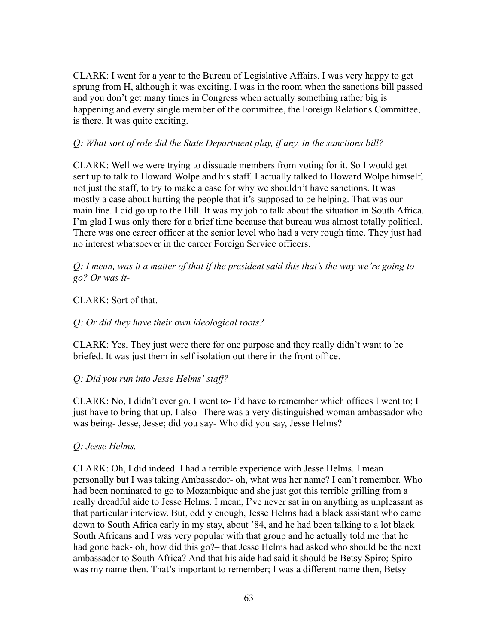CLARK: I went for a year to the Bureau of Legislative Affairs. I was very happy to get sprung from H, although it was exciting. I was in the room when the sanctions bill passed and you don't get many times in Congress when actually something rather big is happening and every single member of the committee, the Foreign Relations Committee, is there. It was quite exciting.

### *Q: What sort of role did the State Department play, if any, in the sanctions bill?*

CLARK: Well we were trying to dissuade members from voting for it. So I would get sent up to talk to Howard Wolpe and his staff. I actually talked to Howard Wolpe himself, not just the staff, to try to make a case for why we shouldn't have sanctions. It was mostly a case about hurting the people that it's supposed to be helping. That was our main line. I did go up to the Hill. It was my job to talk about the situation in South Africa. I'm glad I was only there for a brief time because that bureau was almost totally political. There was one career officer at the senior level who had a very rough time. They just had no interest whatsoever in the career Foreign Service officers.

*Q: I mean, was it a matter of that if the president said this that's the way we're going to go? Or was it-*

### CLARK: Sort of that.

### *Q: Or did they have their own ideological roots?*

CLARK: Yes. They just were there for one purpose and they really didn't want to be briefed. It was just them in self isolation out there in the front office.

### *Q: Did you run into Jesse Helms' staff?*

CLARK: No, I didn't ever go. I went to- I'd have to remember which offices I went to; I just have to bring that up. I also- There was a very distinguished woman ambassador who was being- Jesse, Jesse; did you say- Who did you say, Jesse Helms?

### *Q: Jesse Helms.*

CLARK: Oh, I did indeed. I had a terrible experience with Jesse Helms. I mean personally but I was taking Ambassador- oh, what was her name? I can't remember. Who had been nominated to go to Mozambique and she just got this terrible grilling from a really dreadful aide to Jesse Helms. I mean, I've never sat in on anything as unpleasant as that particular interview. But, oddly enough, Jesse Helms had a black assistant who came down to South Africa early in my stay, about '84, and he had been talking to a lot black South Africans and I was very popular with that group and he actually told me that he had gone back- oh, how did this go?– that Jesse Helms had asked who should be the next ambassador to South Africa? And that his aide had said it should be Betsy Spiro; Spiro was my name then. That's important to remember; I was a different name then, Betsy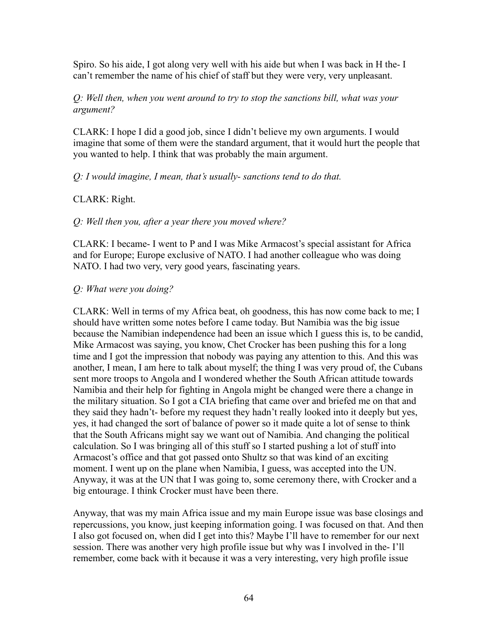Spiro. So his aide, I got along very well with his aide but when I was back in H the- I can't remember the name of his chief of staff but they were very, very unpleasant.

### *Q: Well then, when you went around to try to stop the sanctions bill, what was your argument?*

CLARK: I hope I did a good job, since I didn't believe my own arguments. I would imagine that some of them were the standard argument, that it would hurt the people that you wanted to help. I think that was probably the main argument.

#### *Q: I would imagine, I mean, that's usually- sanctions tend to do that.*

#### CLARK: Right.

#### *Q: Well then you, after a year there you moved where?*

CLARK: I became- I went to P and I was Mike Armacost's special assistant for Africa and for Europe; Europe exclusive of NATO. I had another colleague who was doing NATO. I had two very, very good years, fascinating years.

#### *Q: What were you doing?*

CLARK: Well in terms of my Africa beat, oh goodness, this has now come back to me; I should have written some notes before I came today. But Namibia was the big issue because the Namibian independence had been an issue which I guess this is, to be candid, Mike Armacost was saying, you know, Chet Crocker has been pushing this for a long time and I got the impression that nobody was paying any attention to this. And this was another, I mean, I am here to talk about myself; the thing I was very proud of, the Cubans sent more troops to Angola and I wondered whether the South African attitude towards Namibia and their help for fighting in Angola might be changed were there a change in the military situation. So I got a CIA briefing that came over and briefed me on that and they said they hadn't- before my request they hadn't really looked into it deeply but yes, yes, it had changed the sort of balance of power so it made quite a lot of sense to think that the South Africans might say we want out of Namibia. And changing the political calculation. So I was bringing all of this stuff so I started pushing a lot of stuff into Armacost's office and that got passed onto Shultz so that was kind of an exciting moment. I went up on the plane when Namibia, I guess, was accepted into the UN. Anyway, it was at the UN that I was going to, some ceremony there, with Crocker and a big entourage. I think Crocker must have been there.

Anyway, that was my main Africa issue and my main Europe issue was base closings and repercussions, you know, just keeping information going. I was focused on that. And then I also got focused on, when did I get into this? Maybe I'll have to remember for our next session. There was another very high profile issue but why was I involved in the- I'll remember, come back with it because it was a very interesting, very high profile issue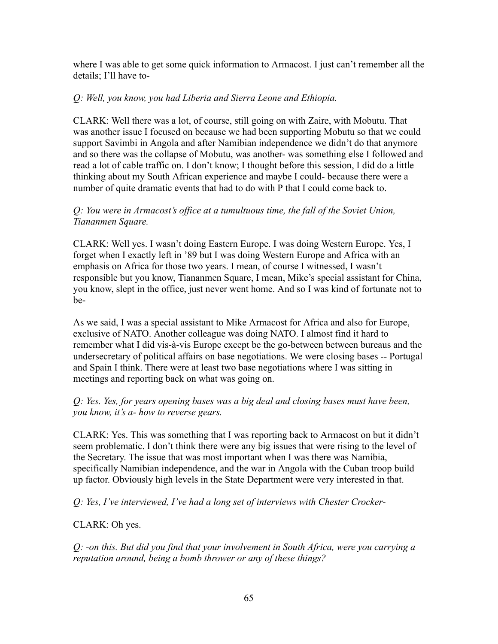where I was able to get some quick information to Armacost. I just can't remember all the details; I'll have to-

### *Q: Well, you know, you had Liberia and Sierra Leone and Ethiopia.*

CLARK: Well there was a lot, of course, still going on with Zaire, with Mobutu. That was another issue I focused on because we had been supporting Mobutu so that we could support Savimbi in Angola and after Namibian independence we didn't do that anymore and so there was the collapse of Mobutu, was another- was something else I followed and read a lot of cable traffic on. I don't know; I thought before this session, I did do a little thinking about my South African experience and maybe I could- because there were a number of quite dramatic events that had to do with P that I could come back to.

## *Q: You were in Armacost's office at a tumultuous time, the fall of the Soviet Union, Tiananmen Square.*

CLARK: Well yes. I wasn't doing Eastern Europe. I was doing Western Europe. Yes, I forget when I exactly left in '89 but I was doing Western Europe and Africa with an emphasis on Africa for those two years. I mean, of course I witnessed, I wasn't responsible but you know, Tiananmen Square, I mean, Mike's special assistant for China, you know, slept in the office, just never went home. And so I was kind of fortunate not to be-

As we said, I was a special assistant to Mike Armacost for Africa and also for Europe, exclusive of NATO. Another colleague was doing NATO. I almost find it hard to remember what I did vis-à-vis Europe except be the go-between between bureaus and the undersecretary of political affairs on base negotiations. We were closing bases -- Portugal and Spain I think. There were at least two base negotiations where I was sitting in meetings and reporting back on what was going on.

# *Q: Yes. Yes, for years opening bases was a big deal and closing bases must have been, you know, it's a- how to reverse gears.*

CLARK: Yes. This was something that I was reporting back to Armacost on but it didn't seem problematic. I don't think there were any big issues that were rising to the level of the Secretary. The issue that was most important when I was there was Namibia, specifically Namibian independence, and the war in Angola with the Cuban troop build up factor. Obviously high levels in the State Department were very interested in that.

*Q: Yes, I've interviewed, I've had a long set of interviews with Chester Crocker-*

CLARK: Oh yes.

*Q: -on this. But did you find that your involvement in South Africa, were you carrying a reputation around, being a bomb thrower or any of these things?*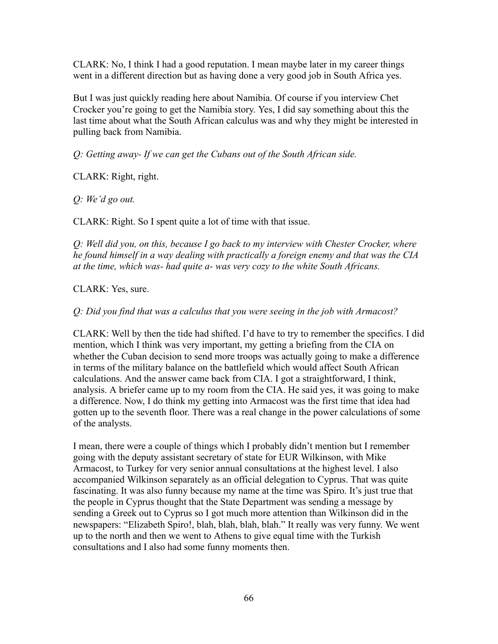CLARK: No, I think I had a good reputation. I mean maybe later in my career things went in a different direction but as having done a very good job in South Africa yes.

But I was just quickly reading here about Namibia. Of course if you interview Chet Crocker you're going to get the Namibia story. Yes, I did say something about this the last time about what the South African calculus was and why they might be interested in pulling back from Namibia.

*Q: Getting away- If we can get the Cubans out of the South African side.*

CLARK: Right, right.

*Q: We'd go out.*

CLARK: Right. So I spent quite a lot of time with that issue.

*Q: Well did you, on this, because I go back to my interview with Chester Crocker, where he found himself in a way dealing with practically a foreign enemy and that was the CIA at the time, which was- had quite a- was very cozy to the white South Africans.*

CLARK: Yes, sure.

*Q: Did you find that was a calculus that you were seeing in the job with Armacost?*

CLARK: Well by then the tide had shifted. I'd have to try to remember the specifics. I did mention, which I think was very important, my getting a briefing from the CIA on whether the Cuban decision to send more troops was actually going to make a difference in terms of the military balance on the battlefield which would affect South African calculations. And the answer came back from CIA. I got a straightforward, I think, analysis. A briefer came up to my room from the CIA. He said yes, it was going to make a difference. Now, I do think my getting into Armacost was the first time that idea had gotten up to the seventh floor. There was a real change in the power calculations of some of the analysts.

I mean, there were a couple of things which I probably didn't mention but I remember going with the deputy assistant secretary of state for EUR Wilkinson, with Mike Armacost, to Turkey for very senior annual consultations at the highest level. I also accompanied Wilkinson separately as an official delegation to Cyprus. That was quite fascinating. It was also funny because my name at the time was Spiro. It's just true that the people in Cyprus thought that the State Department was sending a message by sending a Greek out to Cyprus so I got much more attention than Wilkinson did in the newspapers: "Elizabeth Spiro!, blah, blah, blah, blah." It really was very funny. We went up to the north and then we went to Athens to give equal time with the Turkish consultations and I also had some funny moments then.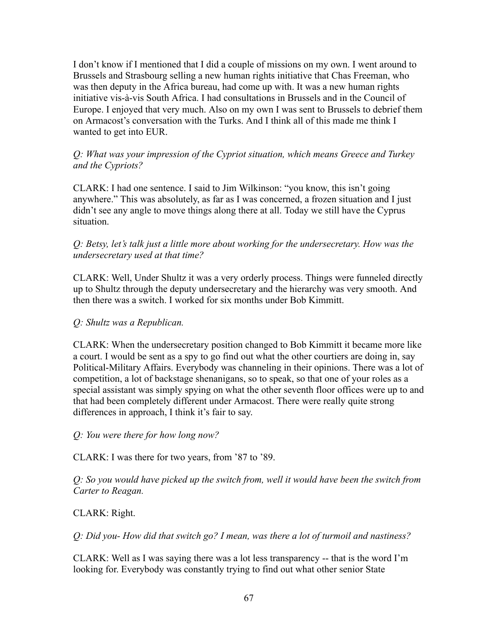I don't know if I mentioned that I did a couple of missions on my own. I went around to Brussels and Strasbourg selling a new human rights initiative that Chas Freeman, who was then deputy in the Africa bureau, had come up with. It was a new human rights initiative vis-à-vis South Africa. I had consultations in Brussels and in the Council of Europe. I enjoyed that very much. Also on my own I was sent to Brussels to debrief them on Armacost's conversation with the Turks. And I think all of this made me think I wanted to get into EUR.

## *Q: What was your impression of the Cypriot situation, which means Greece and Turkey and the Cypriots?*

CLARK: I had one sentence. I said to Jim Wilkinson: "you know, this isn't going anywhere." This was absolutely, as far as I was concerned, a frozen situation and I just didn't see any angle to move things along there at all. Today we still have the Cyprus situation.

# *Q: Betsy, let's talk just a little more about working for the undersecretary. How was the undersecretary used at that time?*

CLARK: Well, Under Shultz it was a very orderly process. Things were funneled directly up to Shultz through the deputy undersecretary and the hierarchy was very smooth. And then there was a switch. I worked for six months under Bob Kimmitt.

# *Q: Shultz was a Republican.*

CLARK: When the undersecretary position changed to Bob Kimmitt it became more like a court. I would be sent as a spy to go find out what the other courtiers are doing in, say Political-Military Affairs. Everybody was channeling in their opinions. There was a lot of competition, a lot of backstage shenanigans, so to speak, so that one of your roles as a special assistant was simply spying on what the other seventh floor offices were up to and that had been completely different under Armacost. There were really quite strong differences in approach, I think it's fair to say.

*Q: You were there for how long now?*

CLARK: I was there for two years, from '87 to '89.

*Q: So you would have picked up the switch from, well it would have been the switch from Carter to Reagan.*

# CLARK: Right.

*Q: Did you- How did that switch go? I mean, was there a lot of turmoil and nastiness?*

CLARK: Well as I was saying there was a lot less transparency -- that is the word I'm looking for. Everybody was constantly trying to find out what other senior State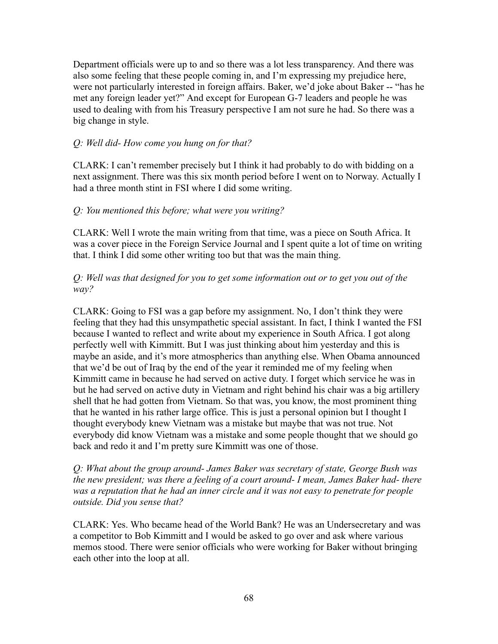Department officials were up to and so there was a lot less transparency. And there was also some feeling that these people coming in, and I'm expressing my prejudice here, were not particularly interested in foreign affairs. Baker, we'd joke about Baker -- "has he met any foreign leader yet?" And except for European G-7 leaders and people he was used to dealing with from his Treasury perspective I am not sure he had. So there was a big change in style.

### *Q: Well did- How come you hung on for that?*

CLARK: I can't remember precisely but I think it had probably to do with bidding on a next assignment. There was this six month period before I went on to Norway. Actually I had a three month stint in FSI where I did some writing.

#### *Q: You mentioned this before; what were you writing?*

CLARK: Well I wrote the main writing from that time, was a piece on South Africa. It was a cover piece in the Foreign Service Journal and I spent quite a lot of time on writing that. I think I did some other writing too but that was the main thing.

### *Q: Well was that designed for you to get some information out or to get you out of the way?*

CLARK: Going to FSI was a gap before my assignment. No, I don't think they were feeling that they had this unsympathetic special assistant. In fact, I think I wanted the FSI because I wanted to reflect and write about my experience in South Africa. I got along perfectly well with Kimmitt. But I was just thinking about him yesterday and this is maybe an aside, and it's more atmospherics than anything else. When Obama announced that we'd be out of Iraq by the end of the year it reminded me of my feeling when Kimmitt came in because he had served on active duty. I forget which service he was in but he had served on active duty in Vietnam and right behind his chair was a big artillery shell that he had gotten from Vietnam. So that was, you know, the most prominent thing that he wanted in his rather large office. This is just a personal opinion but I thought I thought everybody knew Vietnam was a mistake but maybe that was not true. Not everybody did know Vietnam was a mistake and some people thought that we should go back and redo it and I'm pretty sure Kimmitt was one of those.

*Q: What about the group around- James Baker was secretary of state, George Bush was the new president; was there a feeling of a court around- I mean, James Baker had- there was a reputation that he had an inner circle and it was not easy to penetrate for people outside. Did you sense that?*

CLARK: Yes. Who became head of the World Bank? He was an Undersecretary and was a competitor to Bob Kimmitt and I would be asked to go over and ask where various memos stood. There were senior officials who were working for Baker without bringing each other into the loop at all.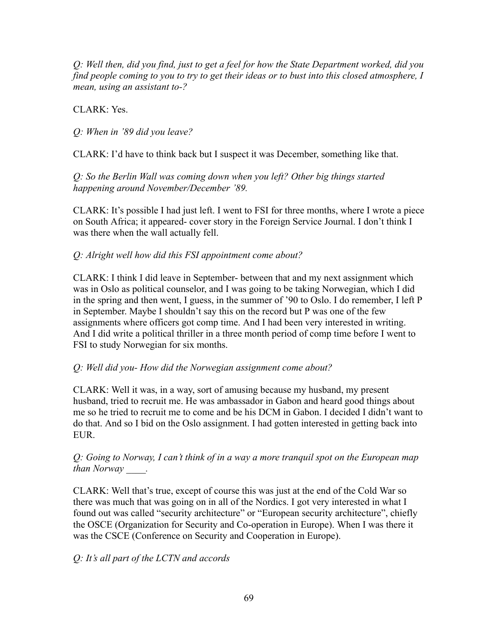*Q: Well then, did you find, just to get a feel for how the State Department worked, did you find people coming to you to try to get their ideas or to bust into this closed atmosphere, I mean, using an assistant to-?*

CLARK: Yes.

*Q: When in '89 did you leave?*

CLARK: I'd have to think back but I suspect it was December, something like that.

*Q: So the Berlin Wall was coming down when you left? Other big things started happening around November/December '89.*

CLARK: It's possible I had just left. I went to FSI for three months, where I wrote a piece on South Africa; it appeared- cover story in the Foreign Service Journal. I don't think I was there when the wall actually fell.

# *Q: Alright well how did this FSI appointment come about?*

CLARK: I think I did leave in September- between that and my next assignment which was in Oslo as political counselor, and I was going to be taking Norwegian, which I did in the spring and then went, I guess, in the summer of '90 to Oslo. I do remember, I left P in September. Maybe I shouldn't say this on the record but P was one of the few assignments where officers got comp time. And I had been very interested in writing. And I did write a political thriller in a three month period of comp time before I went to FSI to study Norwegian for six months.

# *Q: Well did you- How did the Norwegian assignment come about?*

CLARK: Well it was, in a way, sort of amusing because my husband, my present husband, tried to recruit me. He was ambassador in Gabon and heard good things about me so he tried to recruit me to come and be his DCM in Gabon. I decided I didn't want to do that. And so I bid on the Oslo assignment. I had gotten interested in getting back into EUR.

*Q: Going to Norway, I can't think of in a way a more tranquil spot on the European map than Norway \_\_\_\_.*

CLARK: Well that's true, except of course this was just at the end of the Cold War so there was much that was going on in all of the Nordics. I got very interested in what I found out was called "security architecture" or "European security architecture", chiefly the OSCE (Organization for Security and Co-operation in Europe). When I was there it was the CSCE (Conference on Security and Cooperation in Europe).

*Q: It's all part of the LCTN and accords*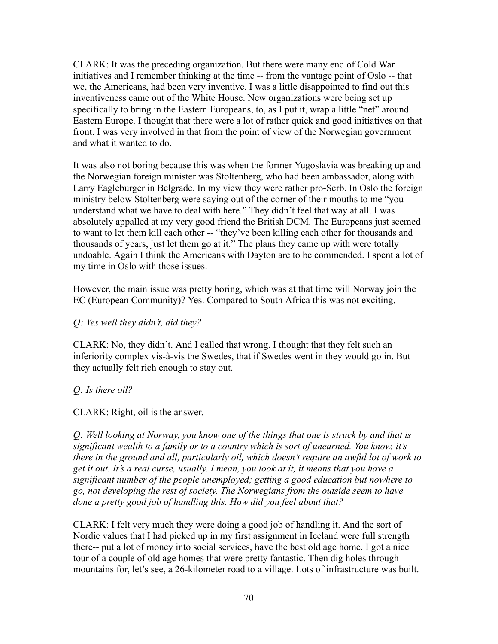CLARK: It was the preceding organization. But there were many end of Cold War initiatives and I remember thinking at the time -- from the vantage point of Oslo -- that we, the Americans, had been very inventive. I was a little disappointed to find out this inventiveness came out of the White House. New organizations were being set up specifically to bring in the Eastern Europeans, to, as I put it, wrap a little "net" around Eastern Europe. I thought that there were a lot of rather quick and good initiatives on that front. I was very involved in that from the point of view of the Norwegian government and what it wanted to do.

It was also not boring because this was when the former Yugoslavia was breaking up and the Norwegian foreign minister was Stoltenberg, who had been ambassador, along with Larry Eagleburger in Belgrade. In my view they were rather pro-Serb. In Oslo the foreign ministry below Stoltenberg were saying out of the corner of their mouths to me "you understand what we have to deal with here." They didn't feel that way at all. I was absolutely appalled at my very good friend the British DCM. The Europeans just seemed to want to let them kill each other -- "they've been killing each other for thousands and thousands of years, just let them go at it." The plans they came up with were totally undoable. Again I think the Americans with Dayton are to be commended. I spent a lot of my time in Oslo with those issues.

However, the main issue was pretty boring, which was at that time will Norway join the EC (European Community)? Yes. Compared to South Africa this was not exciting.

## *Q: Yes well they didn't, did they?*

CLARK: No, they didn't. And I called that wrong. I thought that they felt such an inferiority complex vis-à-vis the Swedes, that if Swedes went in they would go in. But they actually felt rich enough to stay out.

### *Q: Is there oil?*

CLARK: Right, oil is the answer.

*Q: Well looking at Norway, you know one of the things that one is struck by and that is significant wealth to a family or to a country which is sort of unearned. You know, it's there in the ground and all, particularly oil, which doesn't require an awful lot of work to get it out. It's a real curse, usually. I mean, you look at it, it means that you have a significant number of the people unemployed; getting a good education but nowhere to go, not developing the rest of society. The Norwegians from the outside seem to have done a pretty good job of handling this. How did you feel about that?*

CLARK: I felt very much they were doing a good job of handling it. And the sort of Nordic values that I had picked up in my first assignment in Iceland were full strength there-- put a lot of money into social services, have the best old age home. I got a nice tour of a couple of old age homes that were pretty fantastic. Then dig holes through mountains for, let's see, a 26-kilometer road to a village. Lots of infrastructure was built.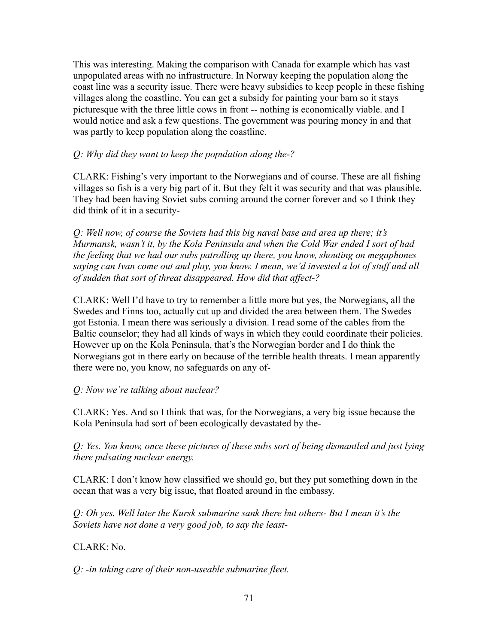This was interesting. Making the comparison with Canada for example which has vast unpopulated areas with no infrastructure. In Norway keeping the population along the coast line was a security issue. There were heavy subsidies to keep people in these fishing villages along the coastline. You can get a subsidy for painting your barn so it stays picturesque with the three little cows in front -- nothing is economically viable. and I would notice and ask a few questions. The government was pouring money in and that was partly to keep population along the coastline.

## *Q: Why did they want to keep the population along the-?*

CLARK: Fishing's very important to the Norwegians and of course. These are all fishing villages so fish is a very big part of it. But they felt it was security and that was plausible. They had been having Soviet subs coming around the corner forever and so I think they did think of it in a security-

*Q: Well now, of course the Soviets had this big naval base and area up there; it's Murmansk, wasn't it, by the Kola Peninsula and when the Cold War ended I sort of had the feeling that we had our subs patrolling up there, you know, shouting on megaphones saying can Ivan come out and play, you know. I mean, we'd invested a lot of stuff and all of sudden that sort of threat disappeared. How did that affect-?*

CLARK: Well I'd have to try to remember a little more but yes, the Norwegians, all the Swedes and Finns too, actually cut up and divided the area between them. The Swedes got Estonia. I mean there was seriously a division. I read some of the cables from the Baltic counselor; they had all kinds of ways in which they could coordinate their policies. However up on the Kola Peninsula, that's the Norwegian border and I do think the Norwegians got in there early on because of the terrible health threats. I mean apparently there were no, you know, no safeguards on any of-

# *Q: Now we're talking about nuclear?*

CLARK: Yes. And so I think that was, for the Norwegians, a very big issue because the Kola Peninsula had sort of been ecologically devastated by the-

*Q: Yes. You know, once these pictures of these subs sort of being dismantled and just lying there pulsating nuclear energy.*

CLARK: I don't know how classified we should go, but they put something down in the ocean that was a very big issue, that floated around in the embassy.

*Q: Oh yes. Well later the Kursk submarine sank there but others- But I mean it's the Soviets have not done a very good job, to say the least-*

CLARK: No.

*Q: -in taking care of their non-useable submarine fleet.*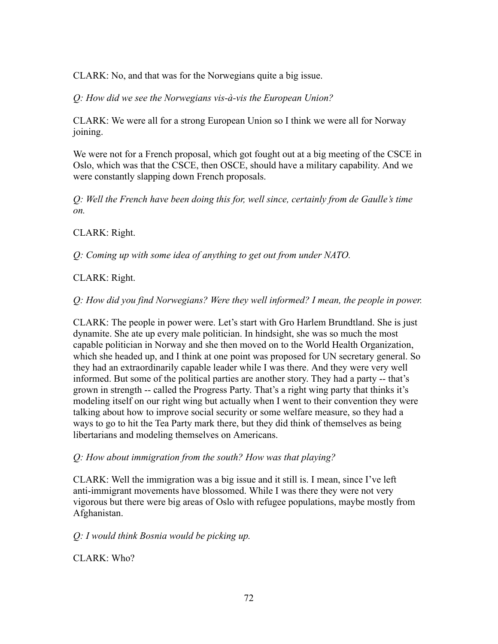CLARK: No, and that was for the Norwegians quite a big issue.

*Q: How did we see the Norwegians vis-à-vis the European Union?*

CLARK: We were all for a strong European Union so I think we were all for Norway joining.

We were not for a French proposal, which got fought out at a big meeting of the CSCE in Oslo, which was that the CSCE, then OSCE, should have a military capability. And we were constantly slapping down French proposals.

*Q: Well the French have been doing this for, well since, certainly from de Gaulle's time on.*

CLARK: Right.

*Q: Coming up with some idea of anything to get out from under NATO.*

# CLARK: Right.

*Q: How did you find Norwegians? Were they well informed? I mean, the people in power.*

CLARK: The people in power were. Let's start with Gro Harlem Brundtland. She is just dynamite. She ate up every male politician. In hindsight, she was so much the most capable politician in Norway and she then moved on to the World Health Organization, which she headed up, and I think at one point was proposed for UN secretary general. So they had an extraordinarily capable leader while I was there. And they were very well informed. But some of the political parties are another story. They had a party -- that's grown in strength -- called the Progress Party. That's a right wing party that thinks it's modeling itself on our right wing but actually when I went to their convention they were talking about how to improve social security or some welfare measure, so they had a ways to go to hit the Tea Party mark there, but they did think of themselves as being libertarians and modeling themselves on Americans.

# *Q: How about immigration from the south? How was that playing?*

CLARK: Well the immigration was a big issue and it still is. I mean, since I've left anti-immigrant movements have blossomed. While I was there they were not very vigorous but there were big areas of Oslo with refugee populations, maybe mostly from Afghanistan.

# *Q: I would think Bosnia would be picking up.*

CLARK: Who?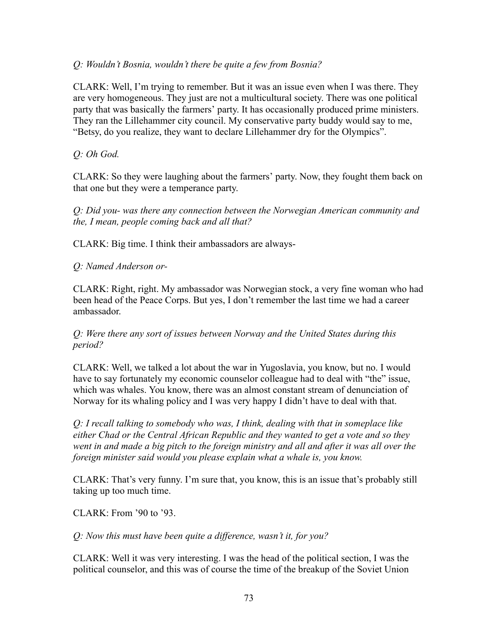### *Q: Wouldn't Bosnia, wouldn't there be quite a few from Bosnia?*

CLARK: Well, I'm trying to remember. But it was an issue even when I was there. They are very homogeneous. They just are not a multicultural society. There was one political party that was basically the farmers' party. It has occasionally produced prime ministers. They ran the Lillehammer city council. My conservative party buddy would say to me, "Betsy, do you realize, they want to declare Lillehammer dry for the Olympics".

### *Q: Oh God.*

CLARK: So they were laughing about the farmers' party. Now, they fought them back on that one but they were a temperance party.

*Q: Did you- was there any connection between the Norwegian American community and the, I mean, people coming back and all that?*

CLARK: Big time. I think their ambassadors are always-

### *Q: Named Anderson or-*

CLARK: Right, right. My ambassador was Norwegian stock, a very fine woman who had been head of the Peace Corps. But yes, I don't remember the last time we had a career ambassador.

### *Q: Were there any sort of issues between Norway and the United States during this period?*

CLARK: Well, we talked a lot about the war in Yugoslavia, you know, but no. I would have to say fortunately my economic counselor colleague had to deal with "the" issue, which was whales. You know, there was an almost constant stream of denunciation of Norway for its whaling policy and I was very happy I didn't have to deal with that.

*Q: I recall talking to somebody who was, I think, dealing with that in someplace like either Chad or the Central African Republic and they wanted to get a vote and so they went in and made a big pitch to the foreign ministry and all and after it was all over the foreign minister said would you please explain what a whale is, you know.*

CLARK: That's very funny. I'm sure that, you know, this is an issue that's probably still taking up too much time.

CLARK: From '90 to '93.

*Q: Now this must have been quite a difference, wasn't it, for you?*

CLARK: Well it was very interesting. I was the head of the political section, I was the political counselor, and this was of course the time of the breakup of the Soviet Union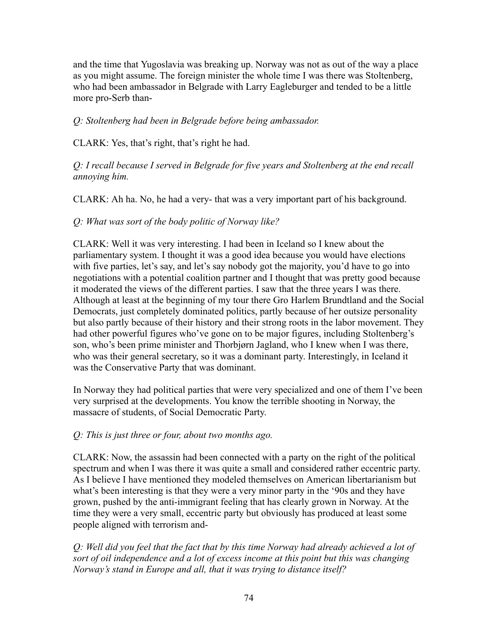and the time that Yugoslavia was breaking up. Norway was not as out of the way a place as you might assume. The foreign minister the whole time I was there was Stoltenberg, who had been ambassador in Belgrade with Larry Eagleburger and tended to be a little more pro-Serb than-

## *Q: Stoltenberg had been in Belgrade before being ambassador.*

CLARK: Yes, that's right, that's right he had.

*Q: I recall because I served in Belgrade for five years and Stoltenberg at the end recall annoying him.*

CLARK: Ah ha. No, he had a very- that was a very important part of his background.

### *Q: What was sort of the body politic of Norway like?*

CLARK: Well it was very interesting. I had been in Iceland so I knew about the parliamentary system. I thought it was a good idea because you would have elections with five parties, let's say, and let's say nobody got the majority, you'd have to go into negotiations with a potential coalition partner and I thought that was pretty good because it moderated the views of the different parties. I saw that the three years I was there. Although at least at the beginning of my tour there Gro Harlem Brundtland and the Social Democrats, just completely dominated politics, partly because of her outsize personality but also partly because of their history and their strong roots in the labor movement. They had other powerful figures who've gone on to be major figures, including Stoltenberg's son, who's been prime minister and Thorbjørn Jagland, who I knew when I was there, who was their general secretary, so it was a dominant party. Interestingly, in Iceland it was the Conservative Party that was dominant.

In Norway they had political parties that were very specialized and one of them I've been very surprised at the developments. You know the terrible shooting in Norway, the massacre of students, of Social Democratic Party.

#### *Q: This is just three or four, about two months ago.*

CLARK: Now, the assassin had been connected with a party on the right of the political spectrum and when I was there it was quite a small and considered rather eccentric party. As I believe I have mentioned they modeled themselves on American libertarianism but what's been interesting is that they were a very minor party in the '90s and they have grown, pushed by the anti-immigrant feeling that has clearly grown in Norway. At the time they were a very small, eccentric party but obviously has produced at least some people aligned with terrorism and-

*Q: Well did you feel that the fact that by this time Norway had already achieved a lot of sort of oil independence and a lot of excess income at this point but this was changing Norway's stand in Europe and all, that it was trying to distance itself?*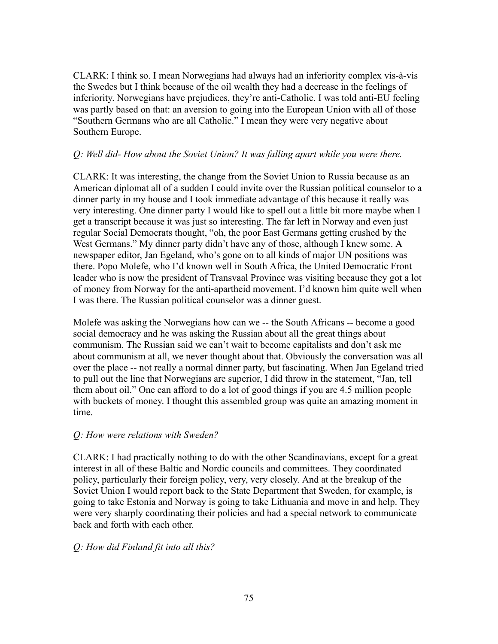CLARK: I think so. I mean Norwegians had always had an inferiority complex vis-à-vis the Swedes but I think because of the oil wealth they had a decrease in the feelings of inferiority. Norwegians have prejudices, they're anti-Catholic. I was told anti-EU feeling was partly based on that: an aversion to going into the European Union with all of those "Southern Germans who are all Catholic." I mean they were very negative about Southern Europe.

### *Q: Well did- How about the Soviet Union? It was falling apart while you were there.*

CLARK: It was interesting, the change from the Soviet Union to Russia because as an American diplomat all of a sudden I could invite over the Russian political counselor to a dinner party in my house and I took immediate advantage of this because it really was very interesting. One dinner party I would like to spell out a little bit more maybe when I get a transcript because it was just so interesting. The far left in Norway and even just regular Social Democrats thought, "oh, the poor East Germans getting crushed by the West Germans." My dinner party didn't have any of those, although I knew some. A newspaper editor, Jan Egeland, who's gone on to all kinds of major UN positions was there. Popo Molefe, who I'd known well in South Africa, the United Democratic Front leader who is now the president of Transvaal Province was visiting because they got a lot of money from Norway for the anti-apartheid movement. I'd known him quite well when I was there. The Russian political counselor was a dinner guest.

Molefe was asking the Norwegians how can we -- the South Africans -- become a good social democracy and he was asking the Russian about all the great things about communism. The Russian said we can't wait to become capitalists and don't ask me about communism at all, we never thought about that. Obviously the conversation was all over the place -- not really a normal dinner party, but fascinating. When Jan Egeland tried to pull out the line that Norwegians are superior, I did throw in the statement, "Jan, tell them about oil." One can afford to do a lot of good things if you are 4.5 million people with buckets of money. I thought this assembled group was quite an amazing moment in time.

#### *Q: How were relations with Sweden?*

CLARK: I had practically nothing to do with the other Scandinavians, except for a great interest in all of these Baltic and Nordic councils and committees. They coordinated policy, particularly their foreign policy, very, very closely. And at the breakup of the Soviet Union I would report back to the State Department that Sweden, for example, is going to take Estonia and Norway is going to take Lithuania and move in and help. They were very sharply coordinating their policies and had a special network to communicate back and forth with each other.

## *Q: How did Finland fit into all this?*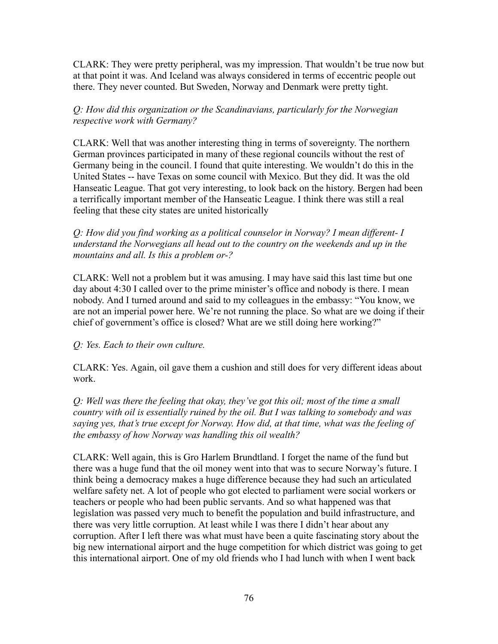CLARK: They were pretty peripheral, was my impression. That wouldn't be true now but at that point it was. And Iceland was always considered in terms of eccentric people out there. They never counted. But Sweden, Norway and Denmark were pretty tight.

*Q: How did this organization or the Scandinavians, particularly for the Norwegian respective work with Germany?*

CLARK: Well that was another interesting thing in terms of sovereignty. The northern German provinces participated in many of these regional councils without the rest of Germany being in the council. I found that quite interesting. We wouldn't do this in the United States -- have Texas on some council with Mexico. But they did. It was the old Hanseatic League. That got very interesting, to look back on the history. Bergen had been a terrifically important member of the Hanseatic League. I think there was still a real feeling that these city states are united historically

*Q: How did you find working as a political counselor in Norway? I mean different- I understand the Norwegians all head out to the country on the weekends and up in the mountains and all. Is this a problem or-?*

CLARK: Well not a problem but it was amusing. I may have said this last time but one day about 4:30 I called over to the prime minister's office and nobody is there. I mean nobody. And I turned around and said to my colleagues in the embassy: "You know, we are not an imperial power here. We're not running the place. So what are we doing if their chief of government's office is closed? What are we still doing here working?"

## *Q: Yes. Each to their own culture.*

CLARK: Yes. Again, oil gave them a cushion and still does for very different ideas about work.

*Q: Well was there the feeling that okay, they've got this oil; most of the time a small country with oil is essentially ruined by the oil. But I was talking to somebody and was saying yes, that's true except for Norway. How did, at that time, what was the feeling of the embassy of how Norway was handling this oil wealth?*

CLARK: Well again, this is Gro Harlem Brundtland. I forget the name of the fund but there was a huge fund that the oil money went into that was to secure Norway's future. I think being a democracy makes a huge difference because they had such an articulated welfare safety net. A lot of people who got elected to parliament were social workers or teachers or people who had been public servants. And so what happened was that legislation was passed very much to benefit the population and build infrastructure, and there was very little corruption. At least while I was there I didn't hear about any corruption. After I left there was what must have been a quite fascinating story about the big new international airport and the huge competition for which district was going to get this international airport. One of my old friends who I had lunch with when I went back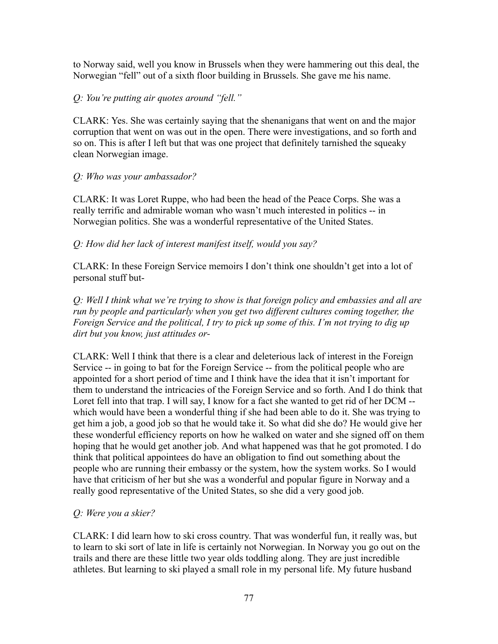to Norway said, well you know in Brussels when they were hammering out this deal, the Norwegian "fell" out of a sixth floor building in Brussels. She gave me his name.

## *Q: You're putting air quotes around "fell."*

CLARK: Yes. She was certainly saying that the shenanigans that went on and the major corruption that went on was out in the open. There were investigations, and so forth and so on. This is after I left but that was one project that definitely tarnished the squeaky clean Norwegian image.

### *Q: Who was your ambassador?*

CLARK: It was Loret Ruppe, who had been the head of the Peace Corps. She was a really terrific and admirable woman who wasn't much interested in politics -- in Norwegian politics. She was a wonderful representative of the United States.

### *Q: How did her lack of interest manifest itself, would you say?*

CLARK: In these Foreign Service memoirs I don't think one shouldn't get into a lot of personal stuff but-

*Q: Well I think what we're trying to show is that foreign policy and embassies and all are run by people and particularly when you get two different cultures coming together, the Foreign Service and the political, I try to pick up some of this. I'm not trying to dig up dirt but you know, just attitudes or-*

CLARK: Well I think that there is a clear and deleterious lack of interest in the Foreign Service -- in going to bat for the Foreign Service -- from the political people who are appointed for a short period of time and I think have the idea that it isn't important for them to understand the intricacies of the Foreign Service and so forth. And I do think that Loret fell into that trap. I will say, I know for a fact she wanted to get rid of her DCM -which would have been a wonderful thing if she had been able to do it. She was trying to get him a job, a good job so that he would take it. So what did she do? He would give her these wonderful efficiency reports on how he walked on water and she signed off on them hoping that he would get another job. And what happened was that he got promoted. I do think that political appointees do have an obligation to find out something about the people who are running their embassy or the system, how the system works. So I would have that criticism of her but she was a wonderful and popular figure in Norway and a really good representative of the United States, so she did a very good job.

#### *Q: Were you a skier?*

CLARK: I did learn how to ski cross country. That was wonderful fun, it really was, but to learn to ski sort of late in life is certainly not Norwegian. In Norway you go out on the trails and there are these little two year olds toddling along. They are just incredible athletes. But learning to ski played a small role in my personal life. My future husband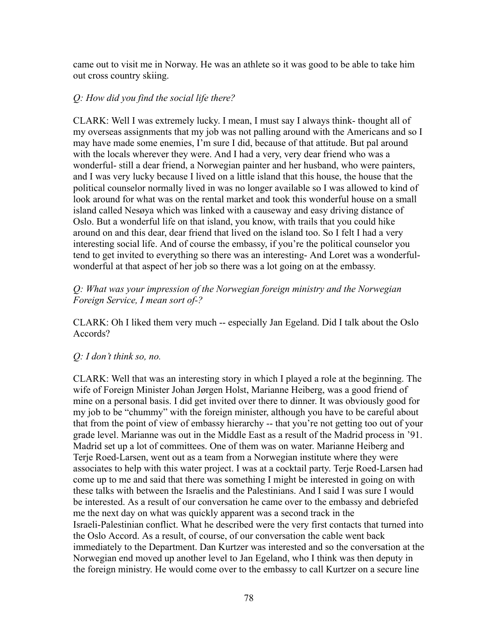came out to visit me in Norway. He was an athlete so it was good to be able to take him out cross country skiing.

#### *Q: How did you find the social life there?*

CLARK: Well I was extremely lucky. I mean, I must say I always think- thought all of my overseas assignments that my job was not palling around with the Americans and so I may have made some enemies, I'm sure I did, because of that attitude. But pal around with the locals wherever they were. And I had a very, very dear friend who was a wonderful- still a dear friend, a Norwegian painter and her husband, who were painters, and I was very lucky because I lived on a little island that this house, the house that the political counselor normally lived in was no longer available so I was allowed to kind of look around for what was on the rental market and took this wonderful house on a small island called Nesøya which was linked with a causeway and easy driving distance of Oslo. But a wonderful life on that island, you know, with trails that you could hike around on and this dear, dear friend that lived on the island too. So I felt I had a very interesting social life. And of course the embassy, if you're the political counselor you tend to get invited to everything so there was an interesting- And Loret was a wonderfulwonderful at that aspect of her job so there was a lot going on at the embassy.

#### *Q: What was your impression of the Norwegian foreign ministry and the Norwegian Foreign Service, I mean sort of-?*

CLARK: Oh I liked them very much -- especially Jan Egeland. Did I talk about the Oslo Accords?

#### *Q: I don't think so, no.*

CLARK: Well that was an interesting story in which I played a role at the beginning. The wife of Foreign Minister Johan Jørgen Holst, Marianne Heiberg, was a good friend of mine on a personal basis. I did get invited over there to dinner. It was obviously good for my job to be "chummy" with the foreign minister, although you have to be careful about that from the point of view of embassy hierarchy -- that you're not getting too out of your grade level. Marianne was out in the Middle East as a result of the Madrid process in '91. Madrid set up a lot of committees. One of them was on water. Marianne Heiberg and Terje Roed-Larsen, went out as a team from a Norwegian institute where they were associates to help with this water project. I was at a cocktail party. Terje Roed-Larsen had come up to me and said that there was something I might be interested in going on with these talks with between the Israelis and the Palestinians. And I said I was sure I would be interested. As a result of our conversation he came over to the embassy and debriefed me the next day on what was quickly apparent was a second track in the Israeli-Palestinian conflict. What he described were the very first contacts that turned into the Oslo Accord. As a result, of course, of our conversation the cable went back immediately to the Department. Dan Kurtzer was interested and so the conversation at the Norwegian end moved up another level to Jan Egeland, who I think was then deputy in the foreign ministry. He would come over to the embassy to call Kurtzer on a secure line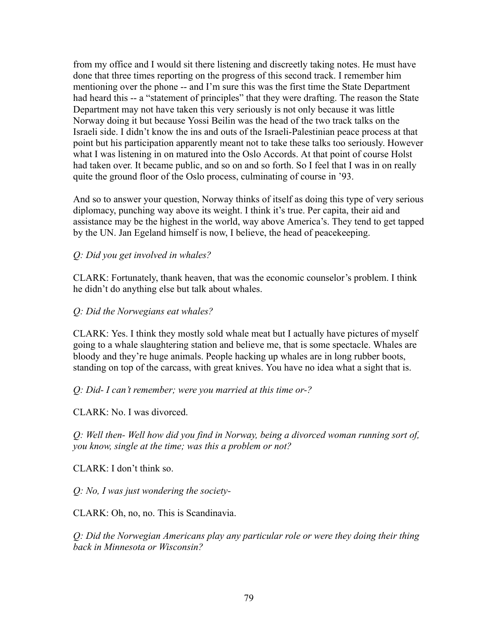from my office and I would sit there listening and discreetly taking notes. He must have done that three times reporting on the progress of this second track. I remember him mentioning over the phone -- and I'm sure this was the first time the State Department had heard this -- a "statement of principles" that they were drafting. The reason the State Department may not have taken this very seriously is not only because it was little Norway doing it but because Yossi Beilin was the head of the two track talks on the Israeli side. I didn't know the ins and outs of the Israeli-Palestinian peace process at that point but his participation apparently meant not to take these talks too seriously. However what I was listening in on matured into the Oslo Accords. At that point of course Holst had taken over. It became public, and so on and so forth. So I feel that I was in on really quite the ground floor of the Oslo process, culminating of course in '93.

And so to answer your question, Norway thinks of itself as doing this type of very serious diplomacy, punching way above its weight. I think it's true. Per capita, their aid and assistance may be the highest in the world, way above America's. They tend to get tapped by the UN. Jan Egeland himself is now, I believe, the head of peacekeeping.

#### *Q: Did you get involved in whales?*

CLARK: Fortunately, thank heaven, that was the economic counselor's problem. I think he didn't do anything else but talk about whales.

#### *Q: Did the Norwegians eat whales?*

CLARK: Yes. I think they mostly sold whale meat but I actually have pictures of myself going to a whale slaughtering station and believe me, that is some spectacle. Whales are bloody and they're huge animals. People hacking up whales are in long rubber boots, standing on top of the carcass, with great knives. You have no idea what a sight that is.

#### *Q: Did- I can't remember; were you married at this time or-?*

CLARK: No. I was divorced.

*Q: Well then- Well how did you find in Norway, being a divorced woman running sort of, you know, single at the time; was this a problem or not?*

CLARK: I don't think so.

*Q: No, I was just wondering the society-*

CLARK: Oh, no, no. This is Scandinavia.

*Q: Did the Norwegian Americans play any particular role or were they doing their thing back in Minnesota or Wisconsin?*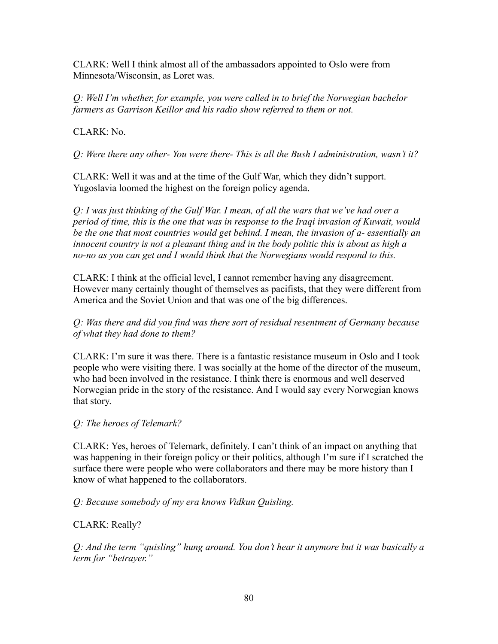CLARK: Well I think almost all of the ambassadors appointed to Oslo were from Minnesota/Wisconsin, as Loret was.

*Q: Well I'm whether, for example, you were called in to brief the Norwegian bachelor farmers as Garrison Keillor and his radio show referred to them or not.*

 $CLARK: No.$ 

*Q: Were there any other- You were there- This is all the Bush I administration, wasn't it?*

CLARK: Well it was and at the time of the Gulf War, which they didn't support. Yugoslavia loomed the highest on the foreign policy agenda.

*Q: I was just thinking of the Gulf War. I mean, of all the wars that we've had over a period of time, this is the one that was in response to the Iraqi invasion of Kuwait, would be the one that most countries would get behind. I mean, the invasion of a- essentially an innocent country is not a pleasant thing and in the body politic this is about as high a no-no as you can get and I would think that the Norwegians would respond to this.*

CLARK: I think at the official level, I cannot remember having any disagreement. However many certainly thought of themselves as pacifists, that they were different from America and the Soviet Union and that was one of the big differences.

*Q: Was there and did you find was there sort of residual resentment of Germany because of what they had done to them?*

CLARK: I'm sure it was there. There is a fantastic resistance museum in Oslo and I took people who were visiting there. I was socially at the home of the director of the museum, who had been involved in the resistance. I think there is enormous and well deserved Norwegian pride in the story of the resistance. And I would say every Norwegian knows that story.

# *Q: The heroes of Telemark?*

CLARK: Yes, heroes of Telemark, definitely. I can't think of an impact on anything that was happening in their foreign policy or their politics, although I'm sure if I scratched the surface there were people who were collaborators and there may be more history than I know of what happened to the collaborators.

*Q: Because somebody of my era knows Vidkun Quisling.*

CLARK: Really?

*Q: And the term "quisling" hung around. You don't hear it anymore but it was basically a term for "betrayer."*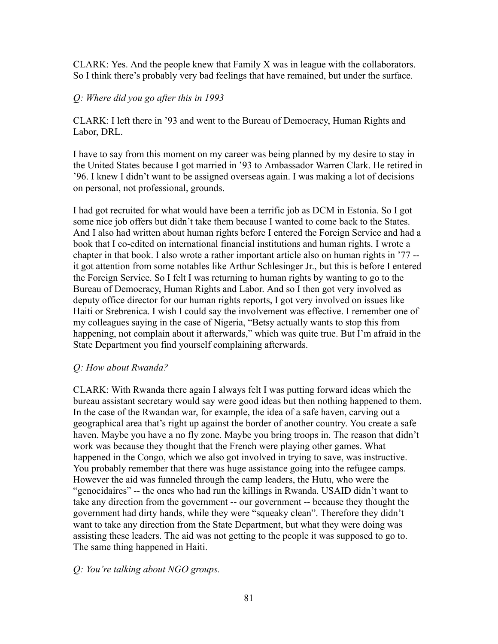CLARK: Yes. And the people knew that Family X was in league with the collaborators. So I think there's probably very bad feelings that have remained, but under the surface.

#### *Q: Where did you go after this in 1993*

CLARK: I left there in '93 and went to the Bureau of Democracy, Human Rights and Labor, DRL.

I have to say from this moment on my career was being planned by my desire to stay in the United States because I got married in '93 to Ambassador Warren Clark. He retired in '96. I knew I didn't want to be assigned overseas again. I was making a lot of decisions on personal, not professional, grounds.

I had got recruited for what would have been a terrific job as DCM in Estonia. So I got some nice job offers but didn't take them because I wanted to come back to the States. And I also had written about human rights before I entered the Foreign Service and had a book that I co-edited on international financial institutions and human rights. I wrote a chapter in that book. I also wrote a rather important article also on human rights in '77 - it got attention from some notables like Arthur Schlesinger Jr., but this is before I entered the Foreign Service. So I felt I was returning to human rights by wanting to go to the Bureau of Democracy, Human Rights and Labor. And so I then got very involved as deputy office director for our human rights reports, I got very involved on issues like Haiti or Srebrenica. I wish I could say the involvement was effective. I remember one of my colleagues saying in the case of Nigeria, "Betsy actually wants to stop this from happening, not complain about it afterwards," which was quite true. But I'm afraid in the State Department you find yourself complaining afterwards.

#### *Q: How about Rwanda?*

CLARK: With Rwanda there again I always felt I was putting forward ideas which the bureau assistant secretary would say were good ideas but then nothing happened to them. In the case of the Rwandan war, for example, the idea of a safe haven, carving out a geographical area that's right up against the border of another country. You create a safe haven. Maybe you have a no fly zone. Maybe you bring troops in. The reason that didn't work was because they thought that the French were playing other games. What happened in the Congo, which we also got involved in trying to save, was instructive. You probably remember that there was huge assistance going into the refugee camps. However the aid was funneled through the camp leaders, the Hutu, who were the "genocidaires" -- the ones who had run the killings in Rwanda. USAID didn't want to take any direction from the government -- our government -- because they thought the government had dirty hands, while they were "squeaky clean". Therefore they didn't want to take any direction from the State Department, but what they were doing was assisting these leaders. The aid was not getting to the people it was supposed to go to. The same thing happened in Haiti.

#### *Q: You're talking about NGO groups.*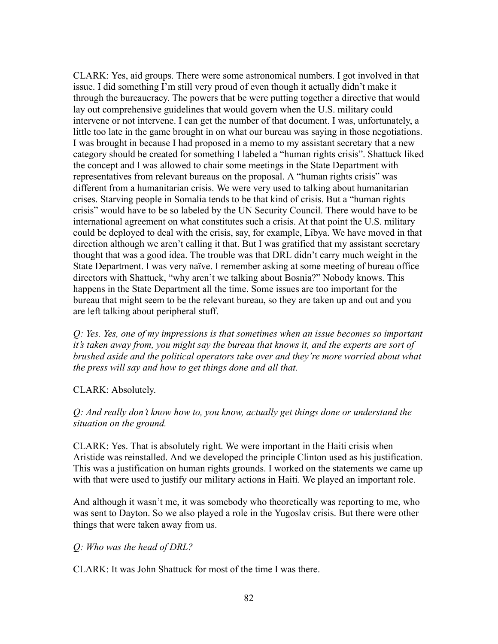CLARK: Yes, aid groups. There were some astronomical numbers. I got involved in that issue. I did something I'm still very proud of even though it actually didn't make it through the bureaucracy. The powers that be were putting together a directive that would lay out comprehensive guidelines that would govern when the U.S. military could intervene or not intervene. I can get the number of that document. I was, unfortunately, a little too late in the game brought in on what our bureau was saying in those negotiations. I was brought in because I had proposed in a memo to my assistant secretary that a new category should be created for something I labeled a "human rights crisis". Shattuck liked the concept and I was allowed to chair some meetings in the State Department with representatives from relevant bureaus on the proposal. A "human rights crisis" was different from a humanitarian crisis. We were very used to talking about humanitarian crises. Starving people in Somalia tends to be that kind of crisis. But a "human rights crisis" would have to be so labeled by the UN Security Council. There would have to be international agreement on what constitutes such a crisis. At that point the U.S. military could be deployed to deal with the crisis, say, for example, Libya. We have moved in that direction although we aren't calling it that. But I was gratified that my assistant secretary thought that was a good idea. The trouble was that DRL didn't carry much weight in the State Department. I was very naïve. I remember asking at some meeting of bureau office directors with Shattuck, "why aren't we talking about Bosnia?" Nobody knows. This happens in the State Department all the time. Some issues are too important for the bureau that might seem to be the relevant bureau, so they are taken up and out and you are left talking about peripheral stuff.

*Q: Yes. Yes, one of my impressions is that sometimes when an issue becomes so important it's taken away from, you might say the bureau that knows it, and the experts are sort of brushed aside and the political operators take over and they're more worried about what the press will say and how to get things done and all that.*

#### CLARK: Absolutely.

### *Q: And really don't know how to, you know, actually get things done or understand the situation on the ground.*

CLARK: Yes. That is absolutely right. We were important in the Haiti crisis when Aristide was reinstalled. And we developed the principle Clinton used as his justification. This was a justification on human rights grounds. I worked on the statements we came up with that were used to justify our military actions in Haiti. We played an important role.

And although it wasn't me, it was somebody who theoretically was reporting to me, who was sent to Dayton. So we also played a role in the Yugoslav crisis. But there were other things that were taken away from us.

#### *Q: Who was the head of DRL?*

CLARK: It was John Shattuck for most of the time I was there.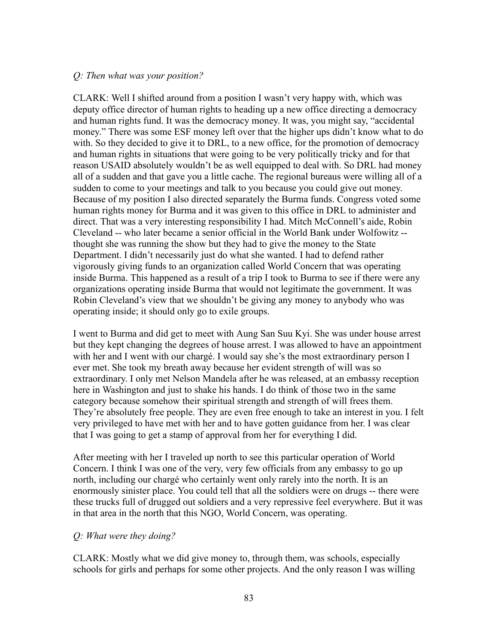#### *Q: Then what was your position?*

CLARK: Well I shifted around from a position I wasn't very happy with, which was deputy office director of human rights to heading up a new office directing a democracy and human rights fund. It was the democracy money. It was, you might say, "accidental money." There was some ESF money left over that the higher ups didn't know what to do with. So they decided to give it to DRL, to a new office, for the promotion of democracy and human rights in situations that were going to be very politically tricky and for that reason USAID absolutely wouldn't be as well equipped to deal with. So DRL had money all of a sudden and that gave you a little cache. The regional bureaus were willing all of a sudden to come to your meetings and talk to you because you could give out money. Because of my position I also directed separately the Burma funds. Congress voted some human rights money for Burma and it was given to this office in DRL to administer and direct. That was a very interesting responsibility I had. Mitch McConnell's aide, Robin Cleveland -- who later became a senior official in the World Bank under Wolfowitz - thought she was running the show but they had to give the money to the State Department. I didn't necessarily just do what she wanted. I had to defend rather vigorously giving funds to an organization called World Concern that was operating inside Burma. This happened as a result of a trip I took to Burma to see if there were any organizations operating inside Burma that would not legitimate the government. It was Robin Cleveland's view that we shouldn't be giving any money to anybody who was operating inside; it should only go to exile groups.

I went to Burma and did get to meet with Aung San Suu Kyi. She was under house arrest but they kept changing the degrees of house arrest. I was allowed to have an appointment with her and I went with our chargé. I would say she's the most extraordinary person I ever met. She took my breath away because her evident strength of will was so extraordinary. I only met Nelson Mandela after he was released, at an embassy reception here in Washington and just to shake his hands. I do think of those two in the same category because somehow their spiritual strength and strength of will frees them. They're absolutely free people. They are even free enough to take an interest in you. I felt very privileged to have met with her and to have gotten guidance from her. I was clear that I was going to get a stamp of approval from her for everything I did.

After meeting with her I traveled up north to see this particular operation of World Concern. I think I was one of the very, very few officials from any embassy to go up north, including our chargé who certainly went only rarely into the north. It is an enormously sinister place. You could tell that all the soldiers were on drugs -- there were these trucks full of drugged out soldiers and a very repressive feel everywhere. But it was in that area in the north that this NGO, World Concern, was operating.

#### *Q: What were they doing?*

CLARK: Mostly what we did give money to, through them, was schools, especially schools for girls and perhaps for some other projects. And the only reason I was willing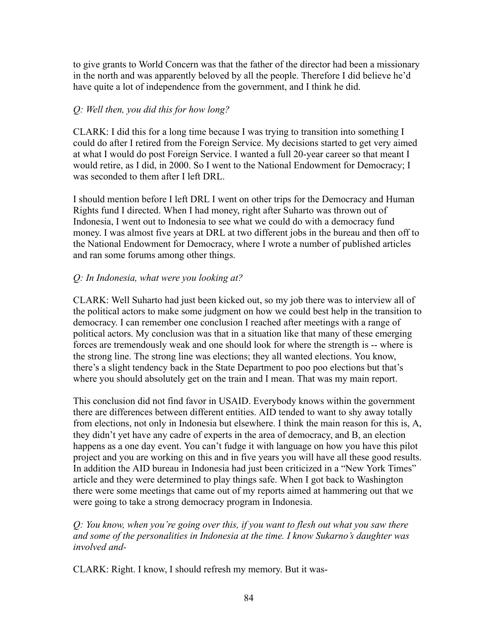to give grants to World Concern was that the father of the director had been a missionary in the north and was apparently beloved by all the people. Therefore I did believe he'd have quite a lot of independence from the government, and I think he did.

## *Q: Well then, you did this for how long?*

CLARK: I did this for a long time because I was trying to transition into something I could do after I retired from the Foreign Service. My decisions started to get very aimed at what I would do post Foreign Service. I wanted a full 20-year career so that meant I would retire, as I did, in 2000. So I went to the National Endowment for Democracy; I was seconded to them after I left DRL.

I should mention before I left DRL I went on other trips for the Democracy and Human Rights fund I directed. When I had money, right after Suharto was thrown out of Indonesia, I went out to Indonesia to see what we could do with a democracy fund money. I was almost five years at DRL at two different jobs in the bureau and then off to the National Endowment for Democracy, where I wrote a number of published articles and ran some forums among other things.

# *Q: In Indonesia, what were you looking at?*

CLARK: Well Suharto had just been kicked out, so my job there was to interview all of the political actors to make some judgment on how we could best help in the transition to democracy. I can remember one conclusion I reached after meetings with a range of political actors. My conclusion was that in a situation like that many of these emerging forces are tremendously weak and one should look for where the strength is -- where is the strong line. The strong line was elections; they all wanted elections. You know, there's a slight tendency back in the State Department to poo poo elections but that's where you should absolutely get on the train and I mean. That was my main report.

This conclusion did not find favor in USAID. Everybody knows within the government there are differences between different entities. AID tended to want to shy away totally from elections, not only in Indonesia but elsewhere. I think the main reason for this is, A, they didn't yet have any cadre of experts in the area of democracy, and B, an election happens as a one day event. You can't fudge it with language on how you have this pilot project and you are working on this and in five years you will have all these good results. In addition the AID bureau in Indonesia had just been criticized in a "New York Times" article and they were determined to play things safe. When I got back to Washington there were some meetings that came out of my reports aimed at hammering out that we were going to take a strong democracy program in Indonesia.

*Q: You know, when you're going over this, if you want to flesh out what you saw there and some of the personalities in Indonesia at the time. I know Sukarno's daughter was involved and-*

CLARK: Right. I know, I should refresh my memory. But it was-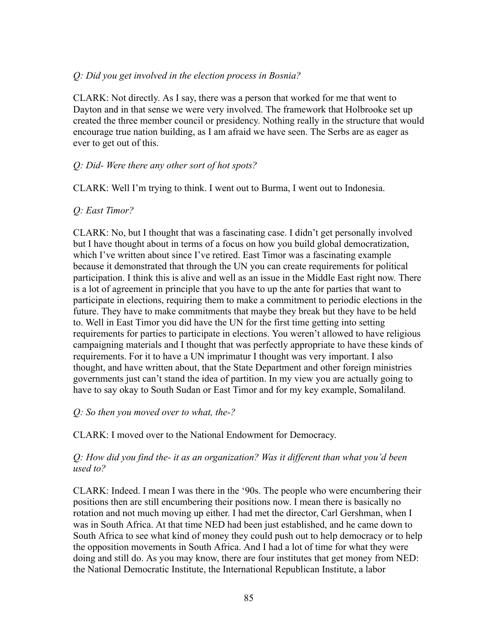#### *Q: Did you get involved in the election process in Bosnia?*

CLARK: Not directly. As I say, there was a person that worked for me that went to Dayton and in that sense we were very involved. The framework that Holbrooke set up created the three member council or presidency. Nothing really in the structure that would encourage true nation building, as I am afraid we have seen. The Serbs are as eager as ever to get out of this.

#### *Q: Did- Were there any other sort of hot spots?*

CLARK: Well I'm trying to think. I went out to Burma, I went out to Indonesia.

#### *Q: East Timor?*

CLARK: No, but I thought that was a fascinating case. I didn't get personally involved but I have thought about in terms of a focus on how you build global democratization, which I've written about since I've retired. East Timor was a fascinating example because it demonstrated that through the UN you can create requirements for political participation. I think this is alive and well as an issue in the Middle East right now. There is a lot of agreement in principle that you have to up the ante for parties that want to participate in elections, requiring them to make a commitment to periodic elections in the future. They have to make commitments that maybe they break but they have to be held to. Well in East Timor you did have the UN for the first time getting into setting requirements for parties to participate in elections. You weren't allowed to have religious campaigning materials and I thought that was perfectly appropriate to have these kinds of requirements. For it to have a UN imprimatur I thought was very important. I also thought, and have written about, that the State Department and other foreign ministries governments just can't stand the idea of partition. In my view you are actually going to have to say okay to South Sudan or East Timor and for my key example, Somaliland.

#### *Q: So then you moved over to what, the-?*

CLARK: I moved over to the National Endowment for Democracy.

#### *Q: How did you find the- it as an organization? Was it different than what you'd been used to?*

CLARK: Indeed. I mean I was there in the '90s. The people who were encumbering their positions then are still encumbering their positions now. I mean there is basically no rotation and not much moving up either. I had met the director, Carl Gershman, when I was in South Africa. At that time NED had been just established, and he came down to South Africa to see what kind of money they could push out to help democracy or to help the opposition movements in South Africa. And I had a lot of time for what they were doing and still do. As you may know, there are four institutes that get money from NED: the National Democratic Institute, the International Republican Institute, a labor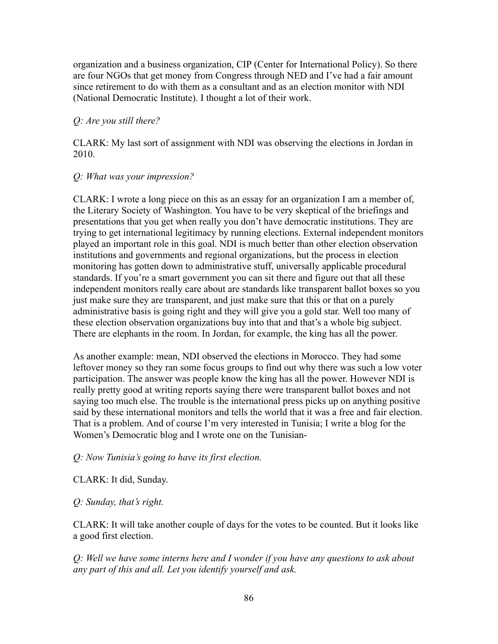organization and a business organization, CIP (Center for International Policy). So there are four NGOs that get money from Congress through NED and I've had a fair amount since retirement to do with them as a consultant and as an election monitor with NDI (National Democratic Institute). I thought a lot of their work.

## *Q: Are you still there?*

CLARK: My last sort of assignment with NDI was observing the elections in Jordan in 2010.

### *Q: What was your impression?*

CLARK: I wrote a long piece on this as an essay for an organization I am a member of, the Literary Society of Washington. You have to be very skeptical of the briefings and presentations that you get when really you don't have democratic institutions. They are trying to get international legitimacy by running elections. External independent monitors played an important role in this goal. NDI is much better than other election observation institutions and governments and regional organizations, but the process in election monitoring has gotten down to administrative stuff, universally applicable procedural standards. If you're a smart government you can sit there and figure out that all these independent monitors really care about are standards like transparent ballot boxes so you just make sure they are transparent, and just make sure that this or that on a purely administrative basis is going right and they will give you a gold star. Well too many of these election observation organizations buy into that and that's a whole big subject. There are elephants in the room. In Jordan, for example, the king has all the power.

As another example: mean, NDI observed the elections in Morocco. They had some leftover money so they ran some focus groups to find out why there was such a low voter participation. The answer was people know the king has all the power. However NDI is really pretty good at writing reports saying there were transparent ballot boxes and not saying too much else. The trouble is the international press picks up on anything positive said by these international monitors and tells the world that it was a free and fair election. That is a problem. And of course I'm very interested in Tunisia; I write a blog for the Women's Democratic blog and I wrote one on the Tunisian-

## *Q: Now Tunisia's going to have its first election.*

CLARK: It did, Sunday.

## *Q: Sunday, that's right.*

CLARK: It will take another couple of days for the votes to be counted. But it looks like a good first election.

*Q: Well we have some interns here and I wonder if you have any questions to ask about any part of this and all. Let you identify yourself and ask.*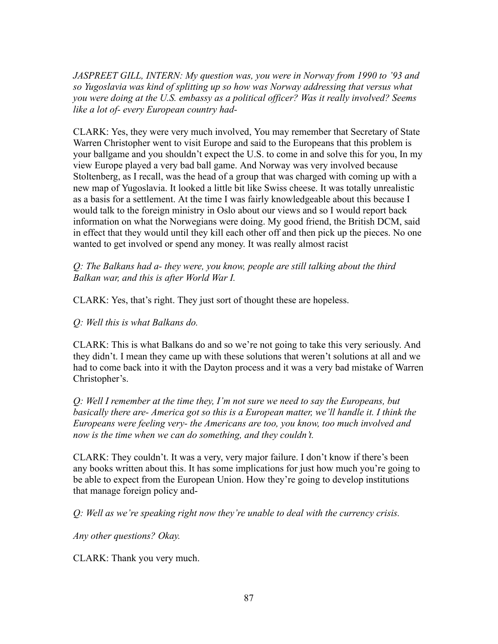*JASPREET GILL, INTERN: My question was, you were in Norway from 1990 to '93 and so Yugoslavia was kind of splitting up so how was Norway addressing that versus what you were doing at the U.S. embassy as a political officer? Was it really involved? Seems like a lot of- every European country had-*

CLARK: Yes, they were very much involved, You may remember that Secretary of State Warren Christopher went to visit Europe and said to the Europeans that this problem is your ballgame and you shouldn't expect the U.S. to come in and solve this for you, In my view Europe played a very bad ball game. And Norway was very involved because Stoltenberg, as I recall, was the head of a group that was charged with coming up with a new map of Yugoslavia. It looked a little bit like Swiss cheese. It was totally unrealistic as a basis for a settlement. At the time I was fairly knowledgeable about this because I would talk to the foreign ministry in Oslo about our views and so I would report back information on what the Norwegians were doing. My good friend, the British DCM, said in effect that they would until they kill each other off and then pick up the pieces. No one wanted to get involved or spend any money. It was really almost racist

*Q: The Balkans had a- they were, you know, people are still talking about the third Balkan war, and this is after World War I.*

CLARK: Yes, that's right. They just sort of thought these are hopeless.

*Q: Well this is what Balkans do.*

CLARK: This is what Balkans do and so we're not going to take this very seriously. And they didn't. I mean they came up with these solutions that weren't solutions at all and we had to come back into it with the Dayton process and it was a very bad mistake of Warren Christopher's.

*Q: Well I remember at the time they, I'm not sure we need to say the Europeans, but basically there are- America got so this is a European matter, we'll handle it. I think the Europeans were feeling very- the Americans are too, you know, too much involved and now is the time when we can do something, and they couldn't.*

CLARK: They couldn't. It was a very, very major failure. I don't know if there's been any books written about this. It has some implications for just how much you're going to be able to expect from the European Union. How they're going to develop institutions that manage foreign policy and-

*Q: Well as we're speaking right now they're unable to deal with the currency crisis.*

*Any other questions? Okay.*

CLARK: Thank you very much.